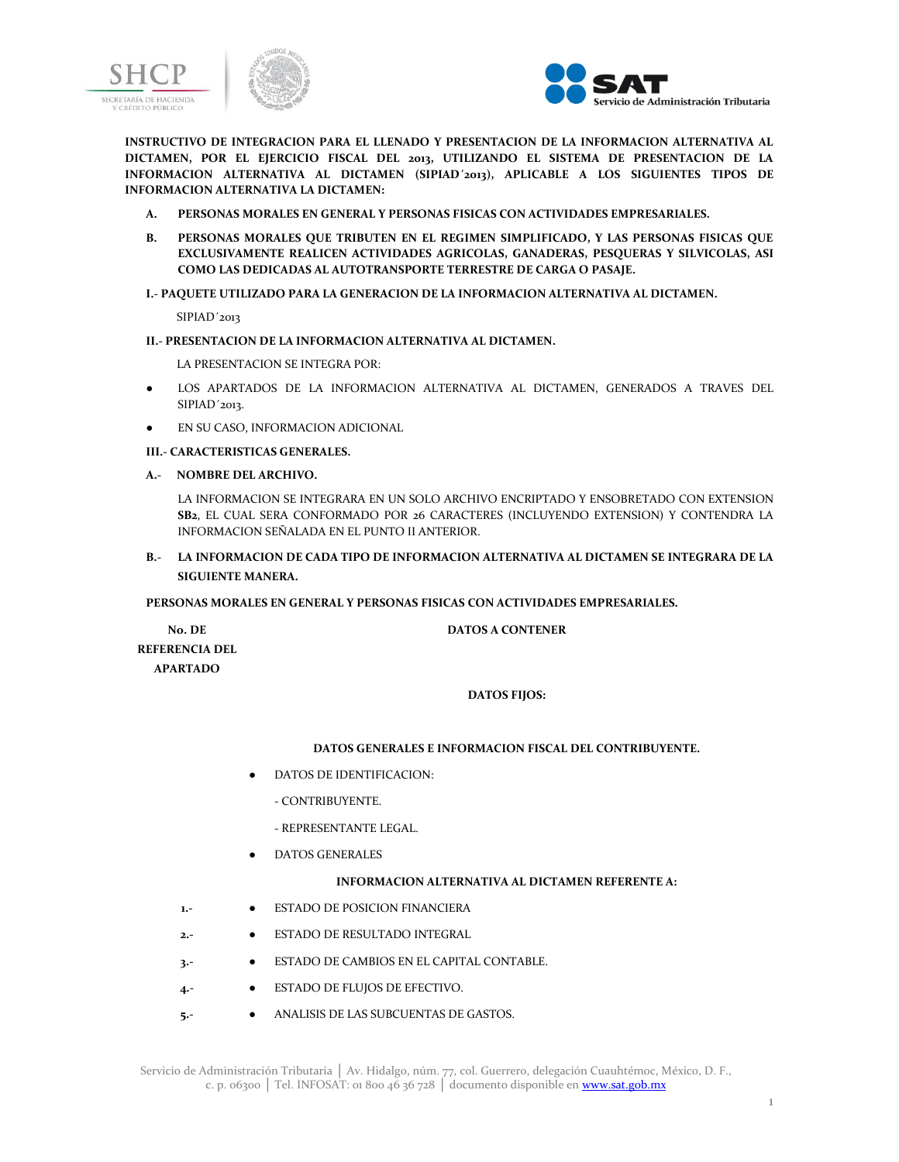



**INSTRUCTIVO DE INTEGRACION PARA EL LLENADO Y PRESENTACION DE LA INFORMACION ALTERNATIVA AL DICTAMEN, POR EL EJERCICIO FISCAL DEL 2013, UTILIZANDO EL SISTEMA DE PRESENTACION DE LA INFORMACION ALTERNATIVA AL DICTAMEN (SIPIAD´2013), APLICABLE A LOS SIGUIENTES TIPOS DE INFORMACION ALTERNATIVA LA DICTAMEN:**

- **A. PERSONAS MORALES EN GENERAL Y PERSONAS FISICAS CON ACTIVIDADES EMPRESARIALES.**
- **B. PERSONAS MORALES QUE TRIBUTEN EN EL REGIMEN SIMPLIFICADO, Y LAS PERSONAS FISICAS QUE EXCLUSIVAMENTE REALICEN ACTIVIDADES AGRICOLAS, GANADERAS, PESQUERAS Y SILVICOLAS, ASI COMO LAS DEDICADAS AL AUTOTRANSPORTE TERRESTRE DE CARGA O PASAJE.**

### **I.- PAQUETE UTILIZADO PARA LA GENERACION DE LA INFORMACION ALTERNATIVA AL DICTAMEN.**

SIPIAD´2013

### **II.- PRESENTACION DE LA INFORMACION ALTERNATIVA AL DICTAMEN.**

LA PRESENTACION SE INTEGRA POR:

- LOS APARTADOS DE LA INFORMACION ALTERNATIVA AL DICTAMEN, GENERADOS A TRAVES DEL SIPIAD´2013.
- EN SU CASO, INFORMACION ADICIONAL

# **III.- CARACTERISTICAS GENERALES.**

**A.- NOMBRE DEL ARCHIVO.**

LA INFORMACION SE INTEGRARA EN UN SOLO ARCHIVO ENCRIPTADO Y ENSOBRETADO CON EXTENSION **SB2**, EL CUAL SERA CONFORMADO POR 26 CARACTERES (INCLUYENDO EXTENSION) Y CONTENDRA LA INFORMACION SEÑALADA EN EL PUNTO II ANTERIOR.

**B.- LA INFORMACION DE CADA TIPO DE INFORMACION ALTERNATIVA AL DICTAMEN SE INTEGRARA DE LA SIGUIENTE MANERA.**

### **PERSONAS MORALES EN GENERAL Y PERSONAS FISICAS CON ACTIVIDADES EMPRESARIALES.**

**No. DE REFERENCIA DEL APARTADO**

# **DATOS A CONTENER**

### **DATOS FIJOS:**

### **DATOS GENERALES E INFORMACION FISCAL DEL CONTRIBUYENTE.**

- DATOS DE IDENTIFICACION:
	- CONTRIBUYENTE.
	- REPRESENTANTE LEGAL.
- DATOS GENERALES

### **INFORMACION ALTERNATIVA AL DICTAMEN REFERENTE A:**

- **1.- •** ESTADO DE POSICION FINANCIERA
- **2.-** ESTADO DE RESULTADO INTEGRAL
- **3.-** ESTADO DE CAMBIOS EN EL CAPITAL CONTABLE.
- **4.-** ESTADO DE FLUJOS DE EFECTIVO.
- **5.-** ANALISIS DE LAS SUBCUENTAS DE GASTOS.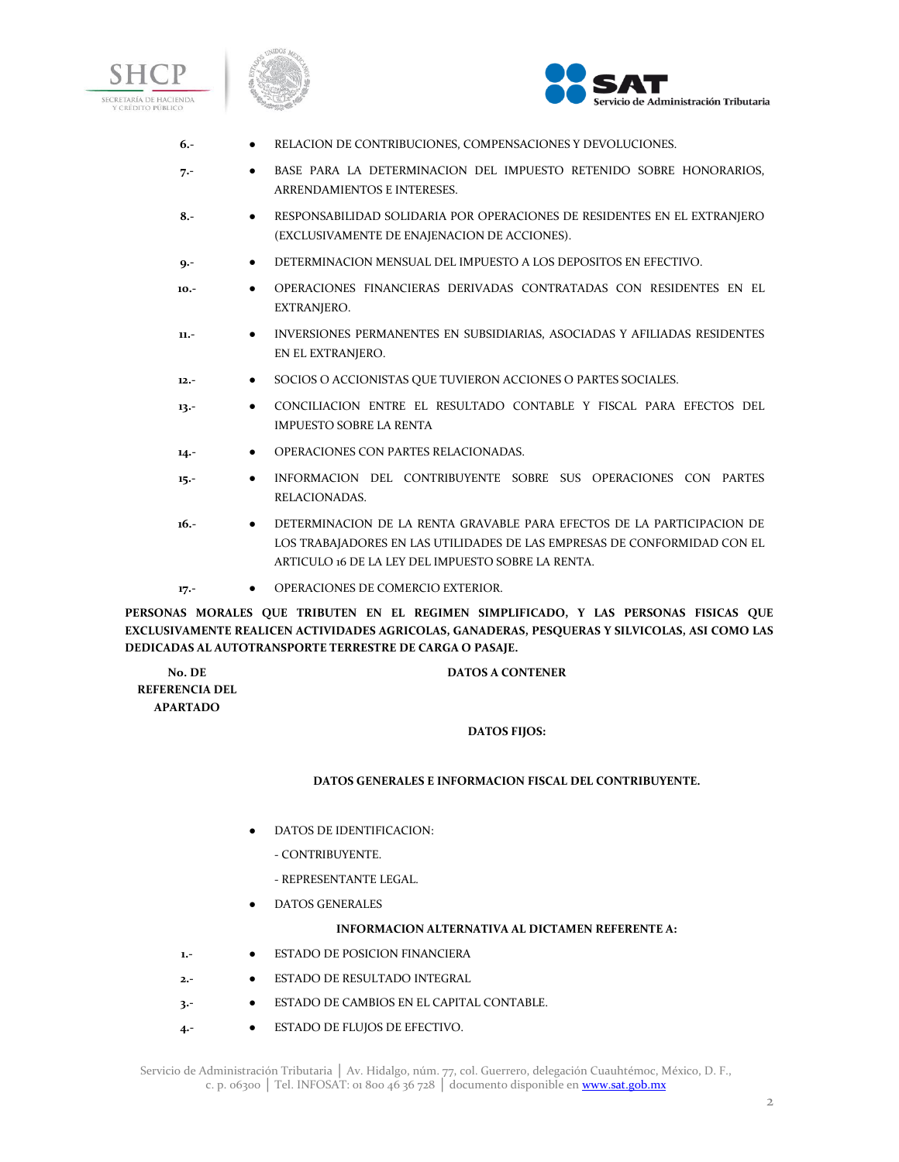





- **6.-** RELACION DE CONTRIBUCIONES, COMPENSACIONES Y DEVOLUCIONES.
- **7.-** BASE PARA LA DETERMINACION DEL IMPUESTO RETENIDO SOBRE HONORARIOS, ARRENDAMIENTOS E INTERESES.
- **8.-** RESPONSABILIDAD SOLIDARIA POR OPERACIONES DE RESIDENTES EN EL EXTRANJERO (EXCLUSIVAMENTE DE ENAJENACION DE ACCIONES).
- **9.-** DETERMINACION MENSUAL DEL IMPUESTO A LOS DEPOSITOS EN EFECTIVO.
- **10.-** OPERACIONES FINANCIERAS DERIVADAS CONTRATADAS CON RESIDENTES EN EL EXTRANJERO.
- **11.-** INVERSIONES PERMANENTES EN SUBSIDIARIAS, ASOCIADAS Y AFILIADAS RESIDENTES EN EL EXTRANJERO.
- **12.-** SOCIOS O ACCIONISTAS QUE TUVIERON ACCIONES O PARTES SOCIALES.
- **13.-** CONCILIACION ENTRE EL RESULTADO CONTABLE Y FISCAL PARA EFECTOS DEL IMPUESTO SOBRE LA RENTA
- **14.-** OPERACIONES CON PARTES RELACIONADAS.
- **15.-** INFORMACION DEL CONTRIBUYENTE SOBRE SUS OPERACIONES CON PARTES RELACIONADAS.
- **16.-** DETERMINACION DE LA RENTA GRAVABLE PARA EFECTOS DE LA PARTICIPACION DE LOS TRABAJADORES EN LAS UTILIDADES DE LAS EMPRESAS DE CONFORMIDAD CON EL ARTICULO 16 DE LA LEY DEL IMPUESTO SOBRE LA RENTA.
- 17.-<br> **0 OPERACIONES DE COMERCIO EXTERIOR.**

**PERSONAS MORALES QUE TRIBUTEN EN EL REGIMEN SIMPLIFICADO, Y LAS PERSONAS FISICAS QUE EXCLUSIVAMENTE REALICEN ACTIVIDADES AGRICOLAS, GANADERAS, PESQUERAS Y SILVICOLAS, ASI COMO LAS DEDICADAS AL AUTOTRANSPORTE TERRESTRE DE CARGA O PASAJE.**

**No. DE REFERENCIA DEL APARTADO**

**DATOS A CONTENER**

### **DATOS FIJOS:**

### **DATOS GENERALES E INFORMACION FISCAL DEL CONTRIBUYENTE.**

- DATOS DE IDENTIFICACION:
	- CONTRIBUYENTE.
	- REPRESENTANTE LEGAL.
- DATOS GENERALES

### **INFORMACION ALTERNATIVA AL DICTAMEN REFERENTE A:**

- **1.-** ESTADO DE POSICION FINANCIERA
- **2.-** ESTADO DE RESULTADO INTEGRAL
- **3.-** ESTADO DE CAMBIOS EN EL CAPITAL CONTABLE.
- **4.-** ESTADO DE FLUJOS DE EFECTIVO.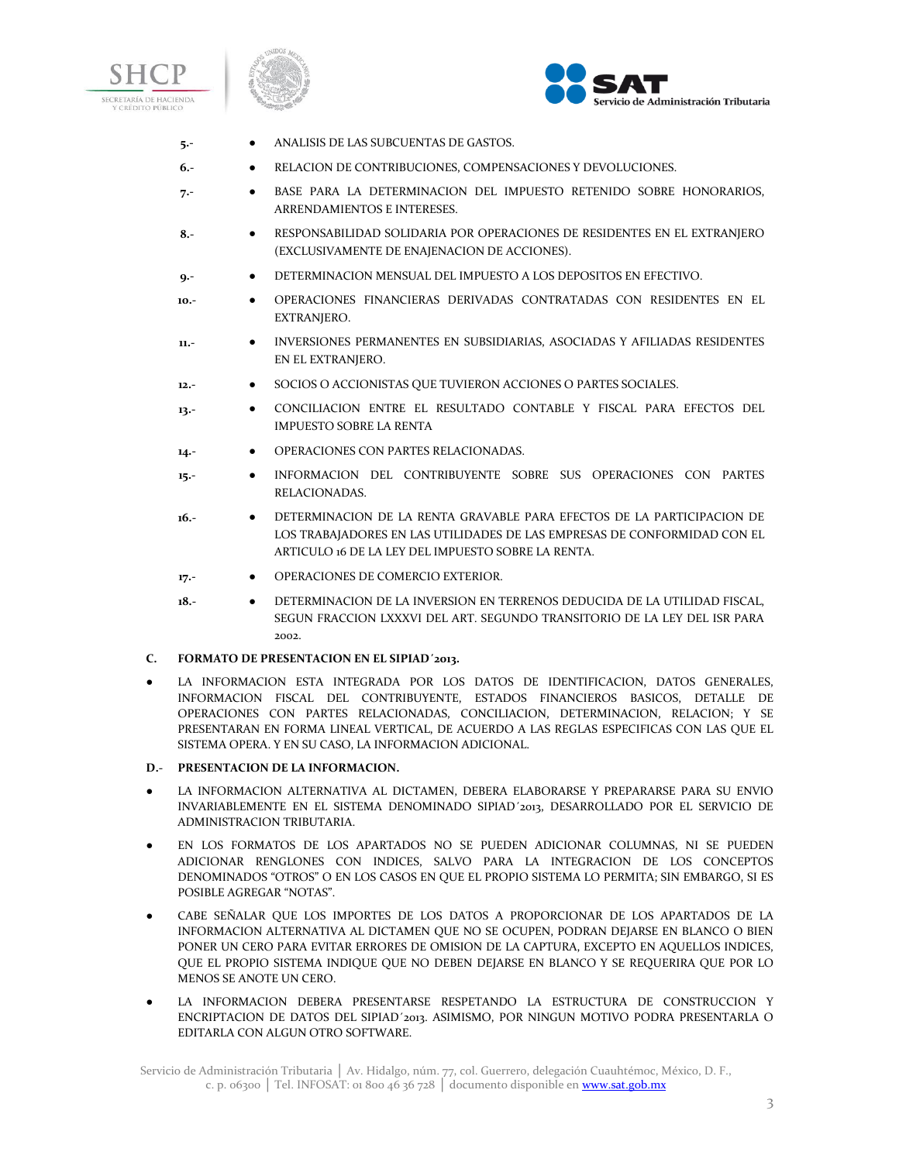





- **5.-** ANALISIS DE LAS SUBCUENTAS DE GASTOS.
- **6.-** RELACION DE CONTRIBUCIONES, COMPENSACIONES Y DEVOLUCIONES.
- **7.-** BASE PARA LA DETERMINACION DEL IMPUESTO RETENIDO SOBRE HONORARIOS, ARRENDAMIENTOS E INTERESES.
- **8.-** RESPONSABILIDAD SOLIDARIA POR OPERACIONES DE RESIDENTES EN EL EXTRANJERO (EXCLUSIVAMENTE DE ENAJENACION DE ACCIONES).
- **9.-** DETERMINACION MENSUAL DEL IMPUESTO A LOS DEPOSITOS EN EFECTIVO.
- **10.-** OPERACIONES FINANCIERAS DERIVADAS CONTRATADAS CON RESIDENTES EN EL EXTRANJERO.
- **11.-** INVERSIONES PERMANENTES EN SUBSIDIARIAS, ASOCIADAS Y AFILIADAS RESIDENTES EN EL EXTRANJERO.
- **12.-** SOCIOS O ACCIONISTAS QUE TUVIERON ACCIONES O PARTES SOCIALES.
- **13.-** CONCILIACION ENTRE EL RESULTADO CONTABLE Y FISCAL PARA EFECTOS DEL IMPUESTO SOBRE LA RENTA
- 14.- **•** OPERACIONES CON PARTES RELACIONADAS.
- **15.-** INFORMACION DEL CONTRIBUYENTE SOBRE SUS OPERACIONES CON PARTES RELACIONADAS.
- **16.-** DETERMINACION DE LA RENTA GRAVABLE PARA EFECTOS DE LA PARTICIPACION DE LOS TRABAJADORES EN LAS UTILIDADES DE LAS EMPRESAS DE CONFORMIDAD CON EL ARTICULO 16 DE LA LEY DEL IMPUESTO SOBRE LA RENTA.
- **17.-** OPERACIONES DE COMERCIO EXTERIOR.
- **18.-** DETERMINACION DE LA INVERSION EN TERRENOS DEDUCIDA DE LA UTILIDAD FISCAL, SEGUN FRACCION LXXXVI DEL ART. SEGUNDO TRANSITORIO DE LA LEY DEL ISR PARA 2002.

### **C. FORMATO DE PRESENTACION EN EL SIPIAD´2013.**

- LA INFORMACION ESTA INTEGRADA POR LOS DATOS DE IDENTIFICACION, DATOS GENERALES, INFORMACION FISCAL DEL CONTRIBUYENTE, ESTADOS FINANCIEROS BASICOS, DETALLE DE OPERACIONES CON PARTES RELACIONADAS, CONCILIACION, DETERMINACION, RELACION; Y SE PRESENTARAN EN FORMA LINEAL VERTICAL, DE ACUERDO A LAS REGLAS ESPECIFICAS CON LAS QUE EL SISTEMA OPERA. Y EN SU CASO, LA INFORMACION ADICIONAL.
- **D.- PRESENTACION DE LA INFORMACION.**
- LA INFORMACION ALTERNATIVA AL DICTAMEN, DEBERA ELABORARSE Y PREPARARSE PARA SU ENVIO INVARIABLEMENTE EN EL SISTEMA DENOMINADO SIPIAD´2013, DESARROLLADO POR EL SERVICIO DE ADMINISTRACION TRIBUTARIA.
- EN LOS FORMATOS DE LOS APARTADOS NO SE PUEDEN ADICIONAR COLUMNAS, NI SE PUEDEN ADICIONAR RENGLONES CON INDICES, SALVO PARA LA INTEGRACION DE LOS CONCEPTOS DENOMINADOS "OTROS" O EN LOS CASOS EN QUE EL PROPIO SISTEMA LO PERMITA; SIN EMBARGO, SI ES POSIBLE AGREGAR "NOTAS".
- CABE SEÑALAR QUE LOS IMPORTES DE LOS DATOS A PROPORCIONAR DE LOS APARTADOS DE LA INFORMACION ALTERNATIVA AL DICTAMEN QUE NO SE OCUPEN, PODRAN DEJARSE EN BLANCO O BIEN PONER UN CERO PARA EVITAR ERRORES DE OMISION DE LA CAPTURA, EXCEPTO EN AQUELLOS INDICES, QUE EL PROPIO SISTEMA INDIQUE QUE NO DEBEN DEJARSE EN BLANCO Y SE REQUERIRA QUE POR LO MENOS SE ANOTE UN CERO.
- LA INFORMACION DEBERA PRESENTARSE RESPETANDO LA ESTRUCTURA DE CONSTRUCCION Y ENCRIPTACION DE DATOS DEL SIPIAD´2013. ASIMISMO, POR NINGUN MOTIVO PODRA PRESENTARLA O EDITARLA CON ALGUN OTRO SOFTWARE.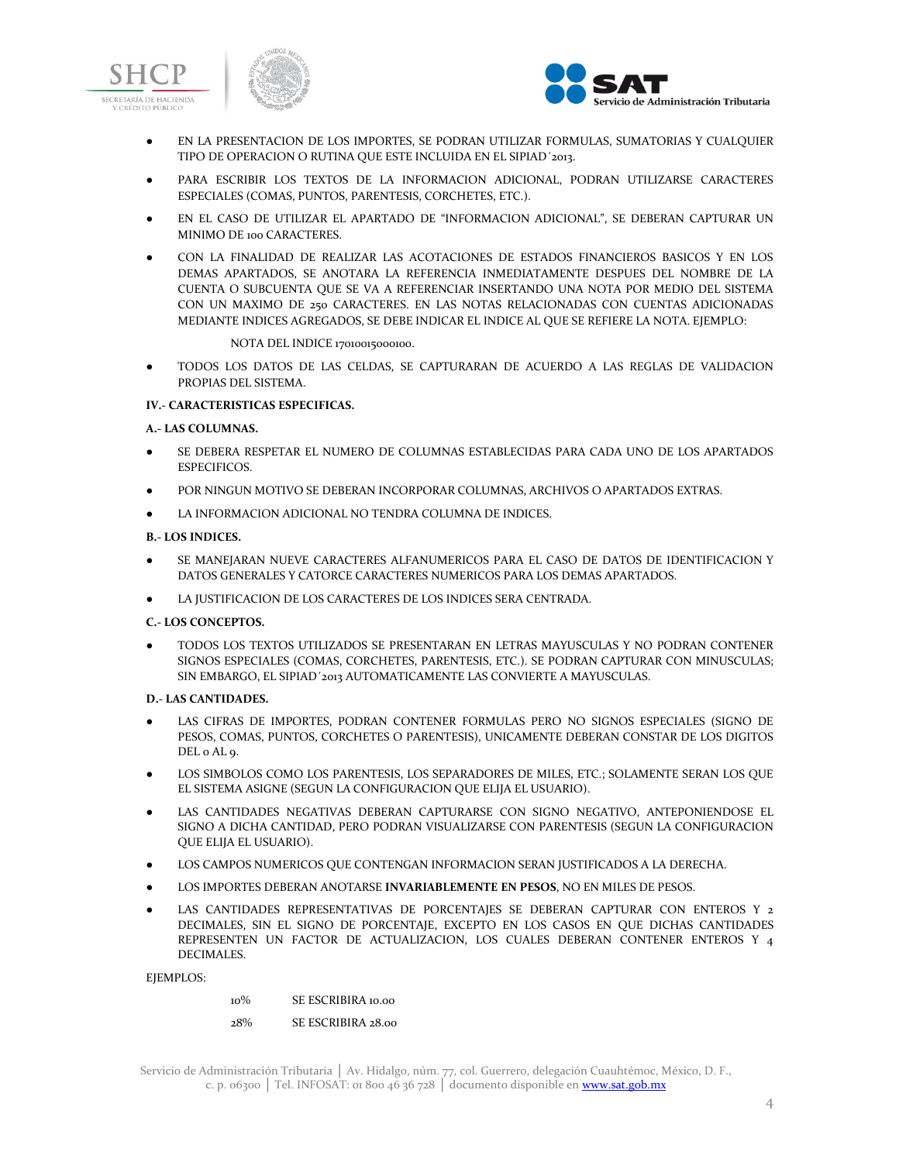



- EN LA PRESENTACION DE LOS IMPORTES, SE PODRAN UTILIZAR FORMULAS, SUMATORIAS Y CUALQUIER TIPO DE OPERACION O RUTINA QUE ESTE INCLUIDA EN EL SIPIAD´2013.
- PARA ESCRIBIR LOS TEXTOS DE LA INFORMACION ADICIONAL, PODRAN UTILIZARSE CARACTERES ESPECIALES (COMAS, PUNTOS, PARENTESIS, CORCHETES, ETC.).
- EN EL CASO DE UTILIZAR EL APARTADO DE "INFORMACION ADICIONAL", SE DEBERAN CAPTURAR UN MINIMO DE 100 CARACTERES.
- CON LA FINALIDAD DE REALIZAR LAS ACOTACIONES DE ESTADOS FINANCIEROS BASICOS Y EN LOS DEMAS APARTADOS, SE ANOTARA LA REFERENCIA INMEDIATAMENTE DESPUES DEL NOMBRE DE LA CUENTA O SUBCUENTA QUE SE VA A REFERENCIAR INSERTANDO UNA NOTA POR MEDIO DEL SISTEMA CON UN MAXIMO DE 250 CARACTERES. EN LAS NOTAS RELACIONADAS CON CUENTAS ADICIONADAS MEDIANTE INDICES AGREGADOS, SE DEBE INDICAR EL INDICE AL QUE SE REFIERE LA NOTA. EJEMPLO:

#### NOTA DEL INDICE 17010015000100.

● TODOS LOS DATOS DE LAS CELDAS, SE CAPTURARAN DE ACUERDO A LAS REGLAS DE VALIDACION PROPIAS DEL SISTEMA.

### **IV.- CARACTERISTICAS ESPECIFICAS.**

### **A.- LAS COLUMNAS.**

- SE DEBERA RESPETAR EL NUMERO DE COLUMNAS ESTABLECIDAS PARA CADA UNO DE LOS APARTADOS ESPECIFICOS.
- POR NINGUN MOTIVO SE DEBERAN INCORPORAR COLUMNAS, ARCHIVOS O APARTADOS EXTRAS.
- LA INFORMACION ADICIONAL NO TENDRA COLUMNA DE INDICES.

### **B.- LOS INDICES.**

- SE MANEJARAN NUEVE CARACTERES ALFANUMERICOS PARA EL CASO DE DATOS DE IDENTIFICACION Y DATOS GENERALES Y CATORCE CARACTERES NUMERICOS PARA LOS DEMAS APARTADOS.
- LA JUSTIFICACION DE LOS CARACTERES DE LOS INDICES SERA CENTRADA.

### **C.- LOS CONCEPTOS.**

● TODOS LOS TEXTOS UTILIZADOS SE PRESENTARAN EN LETRAS MAYUSCULAS Y NO PODRAN CONTENER SIGNOS ESPECIALES (COMAS, CORCHETES, PARENTESIS, ETC.). SE PODRAN CAPTURAR CON MINUSCULAS; SIN EMBARGO, EL SIPIAD´2013 AUTOMATICAMENTE LAS CONVIERTE A MAYUSCULAS.

### **D.- LAS CANTIDADES.**

- LAS CIFRAS DE IMPORTES, PODRAN CONTENER FORMULAS PERO NO SIGNOS ESPECIALES (SIGNO DE PESOS, COMAS, PUNTOS, CORCHETES O PARENTESIS), UNICAMENTE DEBERAN CONSTAR DE LOS DIGITOS DEL 0 AL 9.
- LOS SIMBOLOS COMO LOS PARENTESIS, LOS SEPARADORES DE MILES, ETC.; SOLAMENTE SERAN LOS QUE EL SISTEMA ASIGNE (SEGUN LA CONFIGURACION QUE ELIJA EL USUARIO).
- LAS CANTIDADES NEGATIVAS DEBERAN CAPTURARSE CON SIGNO NEGATIVO, ANTEPONIENDOSE EL SIGNO A DICHA CANTIDAD, PERO PODRAN VISUALIZARSE CON PARENTESIS (SEGUN LA CONFIGURACION QUE ELIJA EL USUARIO).
- LOS CAMPOS NUMERICOS QUE CONTENGAN INFORMACION SERAN JUSTIFICADOS A LA DERECHA.
- LOS IMPORTES DEBERAN ANOTARSE **INVARIABLEMENTE EN PESOS**, NO EN MILES DE PESOS.
- LAS CANTIDADES REPRESENTATIVAS DE PORCENTAJES SE DEBERAN CAPTURAR CON ENTEROS Y 2 DECIMALES, SIN EL SIGNO DE PORCENTAJE, EXCEPTO EN LOS CASOS EN QUE DICHAS CANTIDADES REPRESENTEN UN FACTOR DE ACTUALIZACION, LOS CUALES DEBERAN CONTENER ENTEROS Y 4 DECIMALES.

### EJEMPLOS:

10% SE ESCRIBIRA 10.00

28% SE ESCRIBIRA 28.00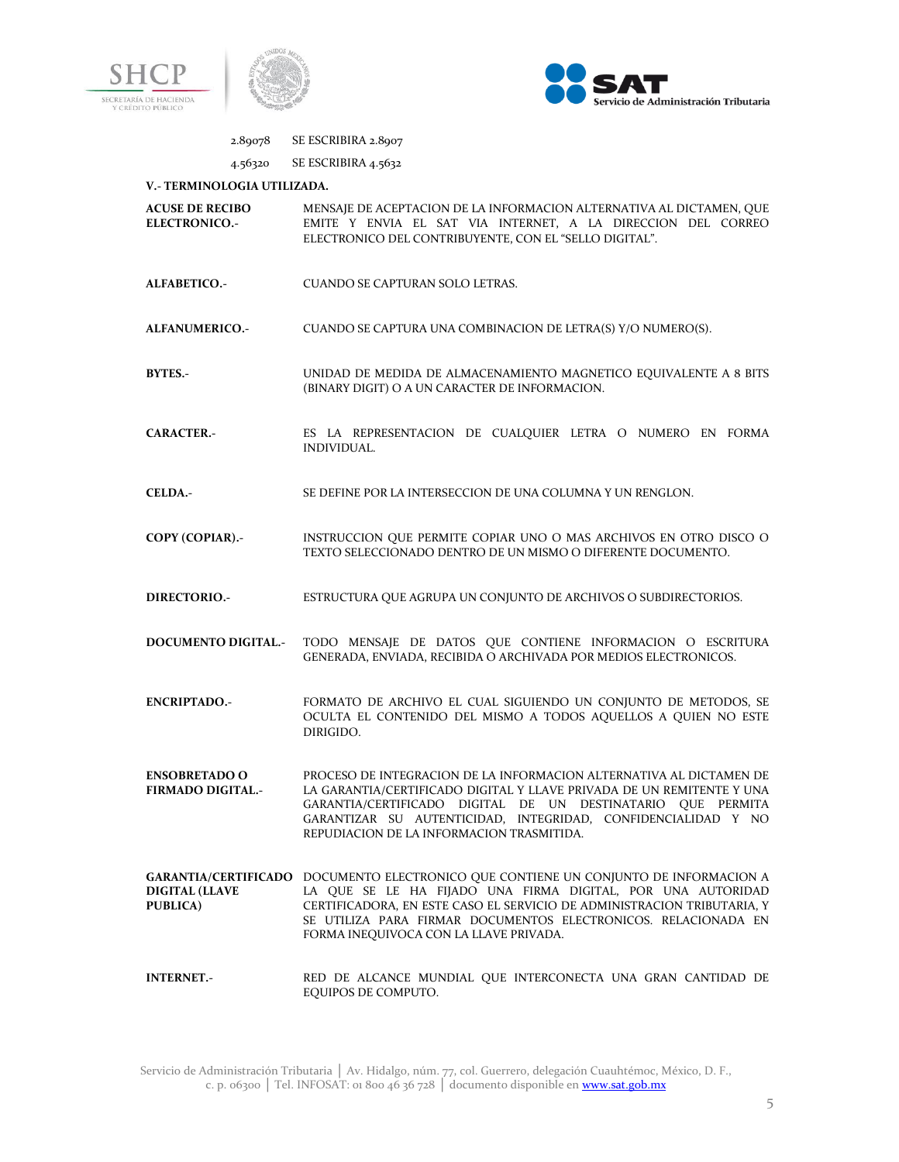



# 2.89078 SE ESCRIBIRA 2.8907

# 4.56320 SE ESCRIBIRA 4.5632

### **V.- TERMINOLOGIA UTILIZADA.**

| <b>ACUSE DE RECIBO</b><br><b>ELECTRONICO.-</b>   | MENSAJE DE ACEPTACION DE LA INFORMACION ALTERNATIVA AL DICTAMEN, QUE<br>EMITE Y ENVIA EL SAT VIA INTERNET, A LA DIRECCION DEL CORREO<br>ELECTRONICO DEL CONTRIBUYENTE, CON EL "SELLO DIGITAL".                                                                                                                                             |
|--------------------------------------------------|--------------------------------------------------------------------------------------------------------------------------------------------------------------------------------------------------------------------------------------------------------------------------------------------------------------------------------------------|
| ALFABETICO.-                                     | <b>CUANDO SE CAPTURAN SOLO LETRAS.</b>                                                                                                                                                                                                                                                                                                     |
| ALFANUMERICO.-                                   | CUANDO SE CAPTURA UNA COMBINACION DE LETRA(S) Y/O NUMERO(S).                                                                                                                                                                                                                                                                               |
| <b>BYTES.-</b>                                   | UNIDAD DE MEDIDA DE ALMACENAMIENTO MAGNETICO EQUIVALENTE A 8 BITS<br>(BINARY DIGIT) O A UN CARACTER DE INFORMACION.                                                                                                                                                                                                                        |
| <b>CARACTER.-</b>                                | ES LA REPRESENTACION DE CUALQUIER LETRA O NUMERO EN FORMA<br>INDIVIDUAL.                                                                                                                                                                                                                                                                   |
| <b>CELDA.-</b>                                   | SE DEFINE POR LA INTERSECCION DE UNA COLUMNA Y UN RENGLON.                                                                                                                                                                                                                                                                                 |
| COPY (COPIAR).-                                  | INSTRUCCION QUE PERMITE COPIAR UNO O MAS ARCHIVOS EN OTRO DISCO O<br>TEXTO SELECCIONADO DENTRO DE UN MISMO O DIFERENTE DOCUMENTO.                                                                                                                                                                                                          |
| DIRECTORIO.-                                     | ESTRUCTURA QUE AGRUPA UN CONJUNTO DE ARCHIVOS O SUBDIRECTORIOS.                                                                                                                                                                                                                                                                            |
| <b>DOCUMENTO DIGITAL.-</b>                       | TODO MENSAJE DE DATOS QUE CONTIENE INFORMACION O ESCRITURA<br>GENERADA, ENVIADA, RECIBIDA O ARCHIVADA POR MEDIOS ELECTRONICOS.                                                                                                                                                                                                             |
| <b>ENCRIPTADO.-</b>                              | FORMATO DE ARCHIVO EL CUAL SIGUIENDO UN CONJUNTO DE METODOS, SE<br>OCULTA EL CONTENIDO DEL MISMO A TODOS AQUELLOS A QUIEN NO ESTE<br>DIRIGIDO.                                                                                                                                                                                             |
| <b>ENSOBRETADO O</b><br><b>FIRMADO DIGITAL.-</b> | PROCESO DE INTEGRACION DE LA INFORMACION ALTERNATIVA AL DICTAMEN DE<br>LA GARANTIA/CERTIFICADO DIGITAL Y LLAVE PRIVADA DE UN REMITENTE Y UNA<br>GARANTIA/CERTIFICADO DIGITAL DE UN DESTINATARIO QUE PERMITA<br>GARANTIZAR SU AUTENTICIDAD, INTEGRIDAD, CONFIDENCIALIDAD Y NO<br>REPUDIACION DE LA INFORMACION TRASMITIDA.                  |
| <b>DIGITAL (LLAVE</b><br><b>PUBLICA</b> )        | GARANTIA/CERTIFICADO DOCUMENTO ELECTRONICO QUE CONTIENE UN CONJUNTO DE INFORMACION A<br>LA QUE SE LE HA FIJADO UNA FIRMA DIGITAL, POR UNA AUTORIDAD<br>CERTIFICADORA, EN ESTE CASO EL SERVICIO DE ADMINISTRACION TRIBUTARIA, Y<br>SE UTILIZA PARA FIRMAR DOCUMENTOS ELECTRONICOS. RELACIONADA EN<br>FORMA INEQUIVOCA CON LA LLAVE PRIVADA. |
| <b>INTERNET.-</b>                                | RED DE ALCANCE MUNDIAL QUE INTERCONECTA UNA GRAN CANTIDAD DE<br>EQUIPOS DE COMPUTO.                                                                                                                                                                                                                                                        |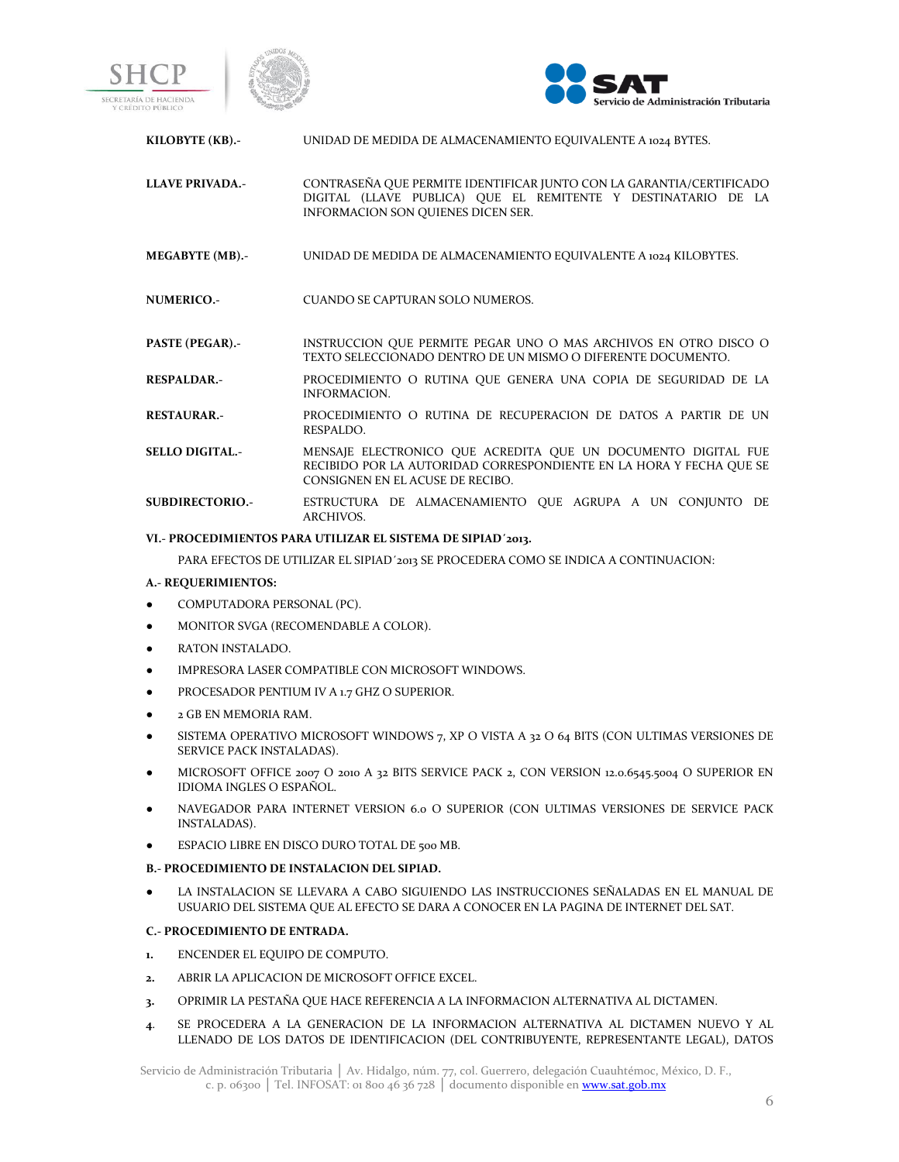





| KILOBYTE (KB).-        | UNIDAD DE MEDIDA DE ALMACENAMIENTO EQUIVALENTE A 1024 BYTES.                                                                                                                |
|------------------------|-----------------------------------------------------------------------------------------------------------------------------------------------------------------------------|
| <b>LLAVE PRIVADA.-</b> | CONTRASEÑA QUE PERMITE IDENTIFICAR JUNTO CON LA GARANTIA/CERTIFICADO<br>DIGITAL (LLAVE PUBLICA) OUE EL REMITENTE Y DESTINATARIO DE LA<br>INFORMACION SON OUIENES DICEN SER. |
| MEGABYTE (MB).-        | UNIDAD DE MEDIDA DE ALMACENAMIENTO EQUIVALENTE A 1024 KILOBYTES.                                                                                                            |
| NUMERICO.-             | CUANDO SE CAPTURAN SOLO NUMEROS.                                                                                                                                            |
| <b>PASTE (PEGAR).-</b> | INSTRUCCION OUE PERMITE PEGAR UNO O MAS ARCHIVOS EN OTRO DISCO O<br>TEXTO SELECCIONADO DENTRO DE UN MISMO O DIFERENTE DOCUMENTO.                                            |
| <b>RESPALDAR.-</b>     | PROCEDIMIENTO O RUTINA QUE GENERA UNA COPIA DE SEGURIDAD DE LA<br><b>INFORMACION.</b>                                                                                       |
| <b>RESTAURAR.-</b>     | PROCEDIMIENTO O RUTINA DE RECUPERACION DE DATOS A PARTIR DE UN<br>RESPALDO.                                                                                                 |
| <b>SELLO DIGITAL.-</b> | MENSAJE ELECTRONICO OUE ACREDITA OUE UN DOCUMENTO DIGITAL FUE<br>RECIBIDO POR LA AUTORIDAD CORRESPONDIENTE EN LA HORA Y FECHA QUE SE                                        |

**SUBDIRECTORIO.-** ESTRUCTURA DE ALMACENAMIENTO QUE AGRUPA A UN CONJUNTO DE ARCHIVOS.

### **VI.- PROCEDIMIENTOS PARA UTILIZAR EL SISTEMA DE SIPIAD´2013.**

PARA EFECTOS DE UTILIZAR EL SIPIAD´2013 SE PROCEDERA COMO SE INDICA A CONTINUACION:

CONSIGNEN EN EL ACUSE DE RECIBO.

### **A.- REQUERIMIENTOS:**

- COMPUTADORA PERSONAL (PC).
- MONITOR SVGA (RECOMENDABLE A COLOR).
- RATON INSTALADO.
- IMPRESORA LASER COMPATIBLE CON MICROSOFT WINDOWS.
- PROCESADOR PENTIUM IV A 1.7 GHZ O SUPERIOR.
- 2 GB EN MEMORIA RAM.
- SISTEMA OPERATIVO MICROSOFT WINDOWS  $7$ , XP O VISTA A 32 O 64 BITS (CON ULTIMAS VERSIONES DE SERVICE PACK INSTALADAS).
- MICROSOFT OFFICE 2007 O 2010 A 32 BITS SERVICE PACK 2, CON VERSION 12.0.6545.5004 O SUPERIOR EN IDIOMA INGLES O ESPAÑOL.
- NAVEGADOR PARA INTERNET VERSION 6.0 O SUPERIOR (CON ULTIMAS VERSIONES DE SERVICE PACK INSTALADAS).
- ESPACIO LIBRE EN DISCO DURO TOTAL DE 500 MB.
- **B.- PROCEDIMIENTO DE INSTALACION DEL SIPIAD.**
- LA INSTALACION SE LLEVARA A CABO SIGUIENDO LAS INSTRUCCIONES SEÑALADAS EN EL MANUAL DE USUARIO DEL SISTEMA QUE AL EFECTO SE DARA A CONOCER EN LA PAGINA DE INTERNET DEL SAT.

### **C.- PROCEDIMIENTO DE ENTRADA.**

- **1.** ENCENDER EL EQUIPO DE COMPUTO.
- **2.** ABRIR LA APLICACION DE MICROSOFT OFFICE EXCEL.
- **3.** OPRIMIR LA PESTAÑA QUE HACE REFERENCIA A LA INFORMACION ALTERNATIVA AL DICTAMEN.
- **4**. SE PROCEDERA A LA GENERACION DE LA INFORMACION ALTERNATIVA AL DICTAMEN NUEVO Y AL LLENADO DE LOS DATOS DE IDENTIFICACION (DEL CONTRIBUYENTE, REPRESENTANTE LEGAL), DATOS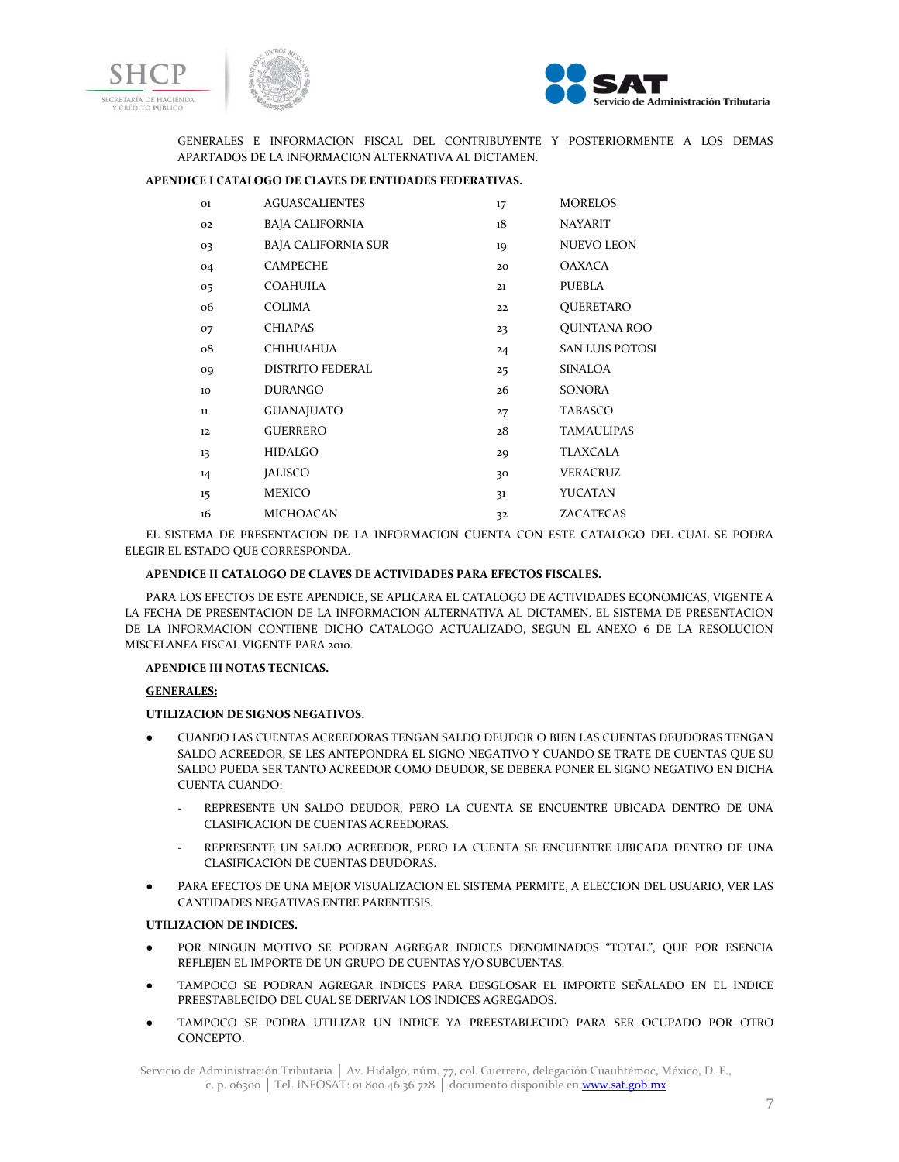



GENERALES E INFORMACION FISCAL DEL CONTRIBUYENTE Y POSTERIORMENTE A LOS DEMAS APARTADOS DE LA INFORMACION ALTERNATIVA AL DICTAMEN.

### **APENDICE I CATALOGO DE CLAVES DE ENTIDADES FEDERATIVAS.**

| 01          | <b>AGUASCALIENTES</b>      | 17 | <b>MORELOS</b>         |
|-------------|----------------------------|----|------------------------|
| 02          | BAJA CALIFORNIA            | 18 | <b>NAYARIT</b>         |
| 03          | <b>BAJA CALIFORNIA SUR</b> | 19 | <b>NUEVO LEON</b>      |
| 04          | <b>CAMPECHE</b>            | 20 | OAXACA                 |
| 05          | <b>COAHUILA</b>            | 21 | PUEBLA                 |
| 06          | COLIMA                     | 22 | QUERETARO              |
| 07          | <b>CHIAPAS</b>             | 23 | QUINTANA ROO           |
| $_{\rm o8}$ | CHIHUAHUA                  | 24 | <b>SAN LUIS POTOSI</b> |
| 09          | <b>DISTRITO FEDERAL</b>    | 25 | SINALOA                |
| 10          | <b>DURANGO</b>             | 26 | <b>SONORA</b>          |
| $11\,$      | <b>GUANAJUATO</b>          | 27 | <b>TABASCO</b>         |
| 12          | <b>GUERRERO</b>            | 28 | <b>TAMAULIPAS</b>      |
| 13          | <b>HIDALGO</b>             | 29 | TLAXCALA               |
| 14          | <b>JALISCO</b>             | 30 | VERACRUZ               |
| $15 \,$     | <b>MEXICO</b>              | 31 | YUCATAN                |
| 16          | <b>MICHOACAN</b>           | 32 | <b>ZACATECAS</b>       |

EL SISTEMA DE PRESENTACION DE LA INFORMACION CUENTA CON ESTE CATALOGO DEL CUAL SE PODRA ELEGIR EL ESTADO QUE CORRESPONDA.

# **APENDICE II CATALOGO DE CLAVES DE ACTIVIDADES PARA EFECTOS FISCALES.**

PARA LOS EFECTOS DE ESTE APENDICE, SE APLICARA EL CATALOGO DE ACTIVIDADES ECONOMICAS, VIGENTE A LA FECHA DE PRESENTACION DE LA INFORMACION ALTERNATIVA AL DICTAMEN. EL SISTEMA DE PRESENTACION DE LA INFORMACION CONTIENE DICHO CATALOGO ACTUALIZADO, SEGUN EL ANEXO 6 DE LA RESOLUCION MISCELANEA FISCAL VIGENTE PARA 2010.

### **APENDICE III NOTAS TECNICAS.**

### **GENERALES:**

### **UTILIZACION DE SIGNOS NEGATIVOS.**

- CUANDO LAS CUENTAS ACREEDORAS TENGAN SALDO DEUDOR O BIEN LAS CUENTAS DEUDORAS TENGAN SALDO ACREEDOR, SE LES ANTEPONDRA EL SIGNO NEGATIVO Y CUANDO SE TRATE DE CUENTAS QUE SU SALDO PUEDA SER TANTO ACREEDOR COMO DEUDOR, SE DEBERA PONER EL SIGNO NEGATIVO EN DICHA CUENTA CUANDO:
	- REPRESENTE UN SALDO DEUDOR, PERO LA CUENTA SE ENCUENTRE UBICADA DENTRO DE UNA CLASIFICACION DE CUENTAS ACREEDORAS.
	- REPRESENTE UN SALDO ACREEDOR, PERO LA CUENTA SE ENCUENTRE UBICADA DENTRO DE UNA CLASIFICACION DE CUENTAS DEUDORAS.
- PARA EFECTOS DE UNA MEJOR VISUALIZACION EL SISTEMA PERMITE, A ELECCION DEL USUARIO, VER LAS CANTIDADES NEGATIVAS ENTRE PARENTESIS.

### **UTILIZACION DE INDICES.**

- POR NINGUN MOTIVO SE PODRAN AGREGAR INDICES DENOMINADOS "TOTAL", QUE POR ESENCIA REFLEJEN EL IMPORTE DE UN GRUPO DE CUENTAS Y/O SUBCUENTAS.
- TAMPOCO SE PODRAN AGREGAR INDICES PARA DESGLOSAR EL IMPORTE SEÑALADO EN EL INDICE PREESTABLECIDO DEL CUAL SE DERIVAN LOS INDICES AGREGADOS.
- TAMPOCO SE PODRA UTILIZAR UN INDICE YA PREESTABLECIDO PARA SER OCUPADO POR OTRO CONCEPTO.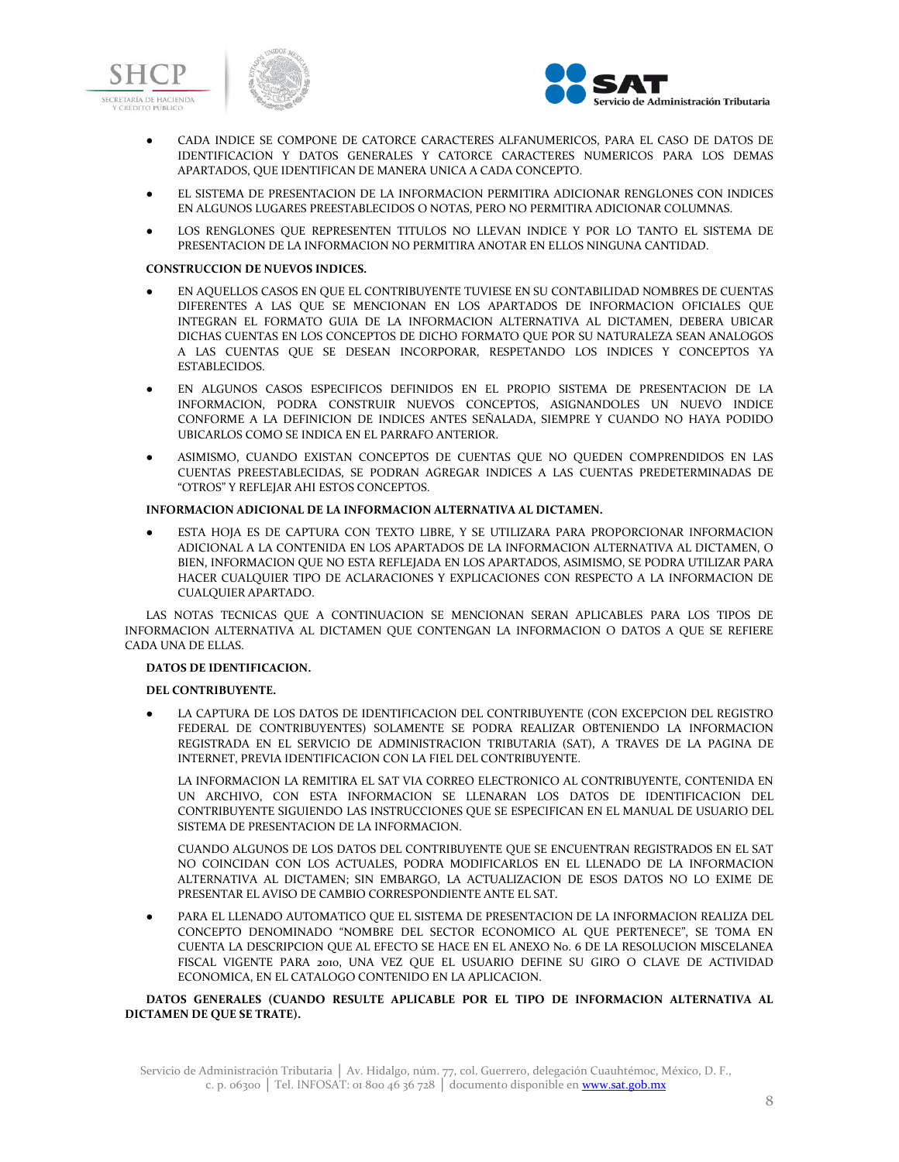





- CADA INDICE SE COMPONE DE CATORCE CARACTERES ALFANUMERICOS, PARA EL CASO DE DATOS DE IDENTIFICACION Y DATOS GENERALES Y CATORCE CARACTERES NUMERICOS PARA LOS DEMAS APARTADOS, QUE IDENTIFICAN DE MANERA UNICA A CADA CONCEPTO.
- EL SISTEMA DE PRESENTACION DE LA INFORMACION PERMITIRA ADICIONAR RENGLONES CON INDICES EN ALGUNOS LUGARES PREESTABLECIDOS O NOTAS, PERO NO PERMITIRA ADICIONAR COLUMNAS.
- LOS RENGLONES QUE REPRESENTEN TITULOS NO LLEVAN INDICE Y POR LO TANTO EL SISTEMA DE PRESENTACION DE LA INFORMACION NO PERMITIRA ANOTAR EN ELLOS NINGUNA CANTIDAD.

### **CONSTRUCCION DE NUEVOS INDICES.**

- EN AQUELLOS CASOS EN QUE EL CONTRIBUYENTE TUVIESE EN SU CONTABILIDAD NOMBRES DE CUENTAS DIFERENTES A LAS QUE SE MENCIONAN EN LOS APARTADOS DE INFORMACION OFICIALES QUE INTEGRAN EL FORMATO GUIA DE LA INFORMACION ALTERNATIVA AL DICTAMEN, DEBERA UBICAR DICHAS CUENTAS EN LOS CONCEPTOS DE DICHO FORMATO QUE POR SU NATURALEZA SEAN ANALOGOS A LAS CUENTAS QUE SE DESEAN INCORPORAR, RESPETANDO LOS INDICES Y CONCEPTOS YA ESTABLECIDOS.
- EN ALGUNOS CASOS ESPECIFICOS DEFINIDOS EN EL PROPIO SISTEMA DE PRESENTACION DE LA INFORMACION, PODRA CONSTRUIR NUEVOS CONCEPTOS, ASIGNANDOLES UN NUEVO INDICE CONFORME A LA DEFINICION DE INDICES ANTES SEÑALADA, SIEMPRE Y CUANDO NO HAYA PODIDO UBICARLOS COMO SE INDICA EN EL PARRAFO ANTERIOR.
- ASIMISMO, CUANDO EXISTAN CONCEPTOS DE CUENTAS QUE NO QUEDEN COMPRENDIDOS EN LAS CUENTAS PREESTABLECIDAS, SE PODRAN AGREGAR INDICES A LAS CUENTAS PREDETERMINADAS DE "OTROS" Y REFLEJAR AHI ESTOS CONCEPTOS.

### **INFORMACION ADICIONAL DE LA INFORMACION ALTERNATIVA AL DICTAMEN.**

● ESTA HOJA ES DE CAPTURA CON TEXTO LIBRE, Y SE UTILIZARA PARA PROPORCIONAR INFORMACION ADICIONAL A LA CONTENIDA EN LOS APARTADOS DE LA INFORMACION ALTERNATIVA AL DICTAMEN, O BIEN, INFORMACION QUE NO ESTA REFLEJADA EN LOS APARTADOS, ASIMISMO, SE PODRA UTILIZAR PARA HACER CUALQUIER TIPO DE ACLARACIONES Y EXPLICACIONES CON RESPECTO A LA INFORMACION DE CUALQUIER APARTADO.

LAS NOTAS TECNICAS QUE A CONTINUACION SE MENCIONAN SERAN APLICABLES PARA LOS TIPOS DE INFORMACION ALTERNATIVA AL DICTAMEN QUE CONTENGAN LA INFORMACION O DATOS A QUE SE REFIERE CADA UNA DE ELLAS.

### **DATOS DE IDENTIFICACION.**

### **DEL CONTRIBUYENTE.**

LA CAPTURA DE LOS DATOS DE IDENTIFICACION DEL CONTRIBUYENTE (CON EXCEPCION DEL REGISTRO FEDERAL DE CONTRIBUYENTES) SOLAMENTE SE PODRA REALIZAR OBTENIENDO LA INFORMACION REGISTRADA EN EL SERVICIO DE ADMINISTRACION TRIBUTARIA (SAT), A TRAVES DE LA PAGINA DE INTERNET, PREVIA IDENTIFICACION CON LA FIEL DEL CONTRIBUYENTE.

LA INFORMACION LA REMITIRA EL SAT VIA CORREO ELECTRONICO AL CONTRIBUYENTE, CONTENIDA EN UN ARCHIVO, CON ESTA INFORMACION SE LLENARAN LOS DATOS DE IDENTIFICACION DEL CONTRIBUYENTE SIGUIENDO LAS INSTRUCCIONES QUE SE ESPECIFICAN EN EL MANUAL DE USUARIO DEL SISTEMA DE PRESENTACION DE LA INFORMACION.

CUANDO ALGUNOS DE LOS DATOS DEL CONTRIBUYENTE QUE SE ENCUENTRAN REGISTRADOS EN EL SAT NO COINCIDAN CON LOS ACTUALES, PODRA MODIFICARLOS EN EL LLENADO DE LA INFORMACION ALTERNATIVA AL DICTAMEN; SIN EMBARGO, LA ACTUALIZACION DE ESOS DATOS NO LO EXIME DE PRESENTAR EL AVISO DE CAMBIO CORRESPONDIENTE ANTE EL SAT.

PARA EL LLENADO AUTOMATICO QUE EL SISTEMA DE PRESENTACION DE LA INFORMACION REALIZA DEL CONCEPTO DENOMINADO "NOMBRE DEL SECTOR ECONOMICO AL QUE PERTENECE", SE TOMA EN CUENTA LA DESCRIPCION QUE AL EFECTO SE HACE EN EL ANEXO No. 6 DE LA RESOLUCION MISCELANEA FISCAL VIGENTE PARA 2010, UNA VEZ QUE EL USUARIO DEFINE SU GIRO O CLAVE DE ACTIVIDAD ECONOMICA, EN EL CATALOGO CONTENIDO EN LA APLICACION.

**DATOS GENERALES (CUANDO RESULTE APLICABLE POR EL TIPO DE INFORMACION ALTERNATIVA AL DICTAMEN DE QUE SE TRATE).**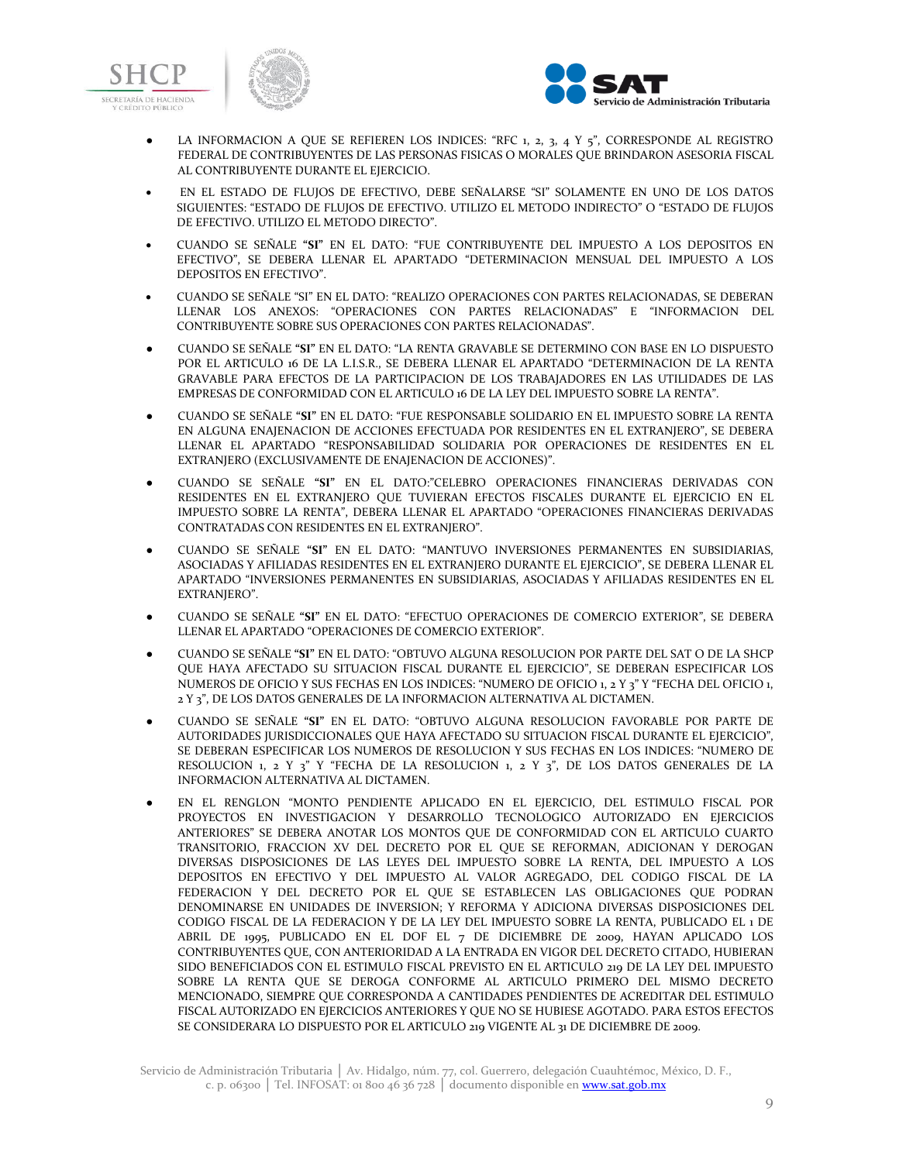



- LA INFORMACION A QUE SE REFIEREN LOS INDICES: "RFC 1, 2, 3, 4 Y 5", CORRESPONDE AL REGISTRO FEDERAL DE CONTRIBUYENTES DE LAS PERSONAS FISICAS O MORALES QUE BRINDARON ASESORIA FISCAL AL CONTRIBUYENTE DURANTE EL EJERCICIO.
- EN EL ESTADO DE FLUJOS DE EFECTIVO, DEBE SEÑALARSE "SI" SOLAMENTE EN UNO DE LOS DATOS SIGUIENTES: "ESTADO DE FLUJOS DE EFECTIVO. UTILIZO EL METODO INDIRECTO" O "ESTADO DE FLUJOS DE EFECTIVO. UTILIZO EL METODO DIRECTO".
- CUANDO SE SEÑALE **"SI"** EN EL DATO: "FUE CONTRIBUYENTE DEL IMPUESTO A LOS DEPOSITOS EN EFECTIVO", SE DEBERA LLENAR EL APARTADO "DETERMINACION MENSUAL DEL IMPUESTO A LOS DEPOSITOS EN EFECTIVO".
- CUANDO SE SEÑALE "SI" EN EL DATO: "REALIZO OPERACIONES CON PARTES RELACIONADAS, SE DEBERAN LLENAR LOS ANEXOS: "OPERACIONES CON PARTES RELACIONADAS" E "INFORMACION DEL CONTRIBUYENTE SOBRE SUS OPERACIONES CON PARTES RELACIONADAS".
- CUANDO SE SEÑALE **"SI"** EN EL DATO: "LA RENTA GRAVABLE SE DETERMINO CON BASE EN LO DISPUESTO POR EL ARTICULO 16 DE LA L.I.S.R., SE DEBERA LLENAR EL APARTADO "DETERMINACION DE LA RENTA GRAVABLE PARA EFECTOS DE LA PARTICIPACION DE LOS TRABAJADORES EN LAS UTILIDADES DE LAS EMPRESAS DE CONFORMIDAD CON EL ARTICULO 16 DE LA LEY DEL IMPUESTO SOBRE LA RENTA".
- CUANDO SE SEÑALE **"SI"** EN EL DATO: "FUE RESPONSABLE SOLIDARIO EN EL IMPUESTO SOBRE LA RENTA EN ALGUNA ENAJENACION DE ACCIONES EFECTUADA POR RESIDENTES EN EL EXTRANJERO", SE DEBERA LLENAR EL APARTADO "RESPONSABILIDAD SOLIDARIA POR OPERACIONES DE RESIDENTES EN EL EXTRANJERO (EXCLUSIVAMENTE DE ENAJENACION DE ACCIONES)".
- CUANDO SE SEÑALE **"SI"** EN EL DATO:"CELEBRO OPERACIONES FINANCIERAS DERIVADAS CON RESIDENTES EN EL EXTRANJERO QUE TUVIERAN EFECTOS FISCALES DURANTE EL EJERCICIO EN EL IMPUESTO SOBRE LA RENTA", DEBERA LLENAR EL APARTADO "OPERACIONES FINANCIERAS DERIVADAS CONTRATADAS CON RESIDENTES EN EL EXTRANJERO".
- CUANDO SE SEÑALE **"SI"** EN EL DATO: "MANTUVO INVERSIONES PERMANENTES EN SUBSIDIARIAS, ASOCIADAS Y AFILIADAS RESIDENTES EN EL EXTRANJERO DURANTE EL EJERCICIO", SE DEBERA LLENAR EL APARTADO "INVERSIONES PERMANENTES EN SUBSIDIARIAS, ASOCIADAS Y AFILIADAS RESIDENTES EN EL EXTRANJERO".
- CUANDO SE SEÑALE **"SI"** EN EL DATO: "EFECTUO OPERACIONES DE COMERCIO EXTERIOR", SE DEBERA LLENAR EL APARTADO "OPERACIONES DE COMERCIO EXTERIOR".
- CUANDO SE SEÑALE **"SI"** EN EL DATO: "OBTUVO ALGUNA RESOLUCION POR PARTE DEL SAT O DE LA SHCP QUE HAYA AFECTADO SU SITUACION FISCAL DURANTE EL EJERCICIO", SE DEBERAN ESPECIFICAR LOS NUMEROS DE OFICIO Y SUS FECHAS EN LOS INDICES: "NUMERO DE OFICIO 1, 2 Y 3" Y "FECHA DEL OFICIO 1, 2 Y 3", DE LOS DATOS GENERALES DE LA INFORMACION ALTERNATIVA AL DICTAMEN.
- CUANDO SE SEÑALE **"SI"** EN EL DATO: "OBTUVO ALGUNA RESOLUCION FAVORABLE POR PARTE DE AUTORIDADES JURISDICCIONALES QUE HAYA AFECTADO SU SITUACION FISCAL DURANTE EL EJERCICIO", SE DEBERAN ESPECIFICAR LOS NUMEROS DE RESOLUCION Y SUS FECHAS EN LOS INDICES: "NUMERO DE RESOLUCION 1, 2 Y 3" Y "FECHA DE LA RESOLUCION 1, 2 Y 3", DE LOS DATOS GENERALES DE LA INFORMACION ALTERNATIVA AL DICTAMEN.
- EN EL RENGLON "MONTO PENDIENTE APLICADO EN EL EJERCICIO, DEL ESTIMULO FISCAL POR PROYECTOS EN INVESTIGACION Y DESARROLLO TECNOLOGICO AUTORIZADO EN EJERCICIOS ANTERIORES" SE DEBERA ANOTAR LOS MONTOS QUE DE CONFORMIDAD CON EL ARTICULO CUARTO TRANSITORIO, FRACCION XV DEL DECRETO POR EL QUE SE REFORMAN, ADICIONAN Y DEROGAN DIVERSAS DISPOSICIONES DE LAS LEYES DEL IMPUESTO SOBRE LA RENTA, DEL IMPUESTO A LOS DEPOSITOS EN EFECTIVO Y DEL IMPUESTO AL VALOR AGREGADO, DEL CODIGO FISCAL DE LA FEDERACION Y DEL DECRETO POR EL QUE SE ESTABLECEN LAS OBLIGACIONES QUE PODRAN DENOMINARSE EN UNIDADES DE INVERSION; Y REFORMA Y ADICIONA DIVERSAS DISPOSICIONES DEL CODIGO FISCAL DE LA FEDERACION Y DE LA LEY DEL IMPUESTO SOBRE LA RENTA, PUBLICADO EL 1 DE ABRIL DE 1995, PUBLICADO EN EL DOF EL 7 DE DICIEMBRE DE 2009, HAYAN APLICADO LOS CONTRIBUYENTES QUE, CON ANTERIORIDAD A LA ENTRADA EN VIGOR DEL DECRETO CITADO, HUBIERAN SIDO BENEFICIADOS CON EL ESTIMULO FISCAL PREVISTO EN EL ARTICULO 219 DE LA LEY DEL IMPUESTO SOBRE LA RENTA QUE SE DEROGA CONFORME AL ARTICULO PRIMERO DEL MISMO DECRETO MENCIONADO, SIEMPRE QUE CORRESPONDA A CANTIDADES PENDIENTES DE ACREDITAR DEL ESTIMULO FISCAL AUTORIZADO EN EJERCICIOS ANTERIORES Y QUE NO SE HUBIESE AGOTADO. PARA ESTOS EFECTOS SE CONSIDERARA LO DISPUESTO POR EL ARTICULO 219 VIGENTE AL 31 DE DICIEMBRE DE 2009.

Servicio de Administración Tributaria │ Av. Hidalgo, núm. 77, col. Guerrero, delegación Cuauhtémoc, México, D. F., c. p. 06300 | Tel. INFOSAT: 01 800  $4\overline{6}$  36 728 | documento disponible en www.sat.gob.mx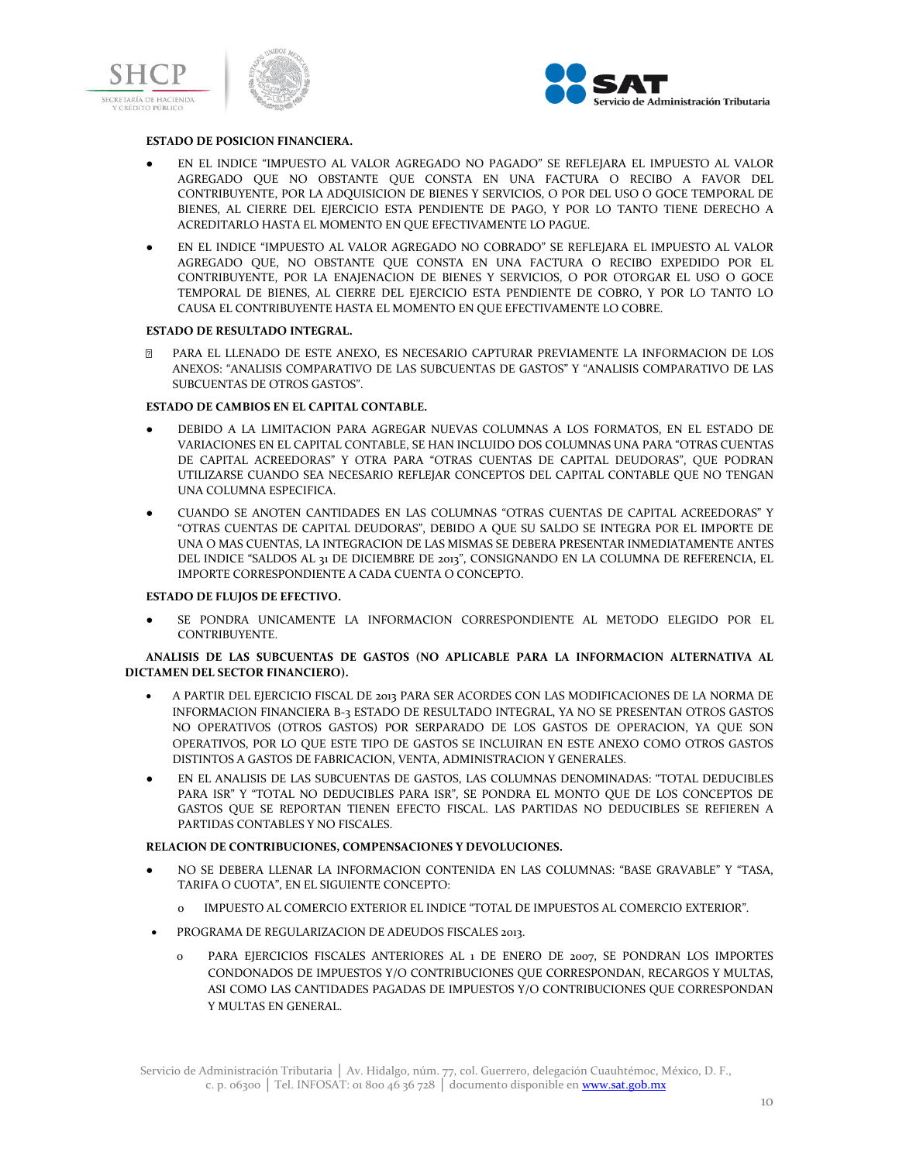



#### **ESTADO DE POSICION FINANCIERA.**

- EN EL INDICE "IMPUESTO AL VALOR AGREGADO NO PAGADO" SE REFLEJARA EL IMPUESTO AL VALOR AGREGADO QUE NO OBSTANTE QUE CONSTA EN UNA FACTURA O RECIBO A FAVOR DEL CONTRIBUYENTE, POR LA ADQUISICION DE BIENES Y SERVICIOS, O POR DEL USO O GOCE TEMPORAL DE BIENES, AL CIERRE DEL EJERCICIO ESTA PENDIENTE DE PAGO, Y POR LO TANTO TIENE DERECHO A ACREDITARLO HASTA EL MOMENTO EN QUE EFECTIVAMENTE LO PAGUE.
- EN EL INDICE "IMPUESTO AL VALOR AGREGADO NO COBRADO" SE REFLEJARA EL IMPUESTO AL VALOR AGREGADO QUE, NO OBSTANTE QUE CONSTA EN UNA FACTURA O RECIBO EXPEDIDO POR EL CONTRIBUYENTE, POR LA ENAJENACION DE BIENES Y SERVICIOS, O POR OTORGAR EL USO O GOCE TEMPORAL DE BIENES, AL CIERRE DEL EJERCICIO ESTA PENDIENTE DE COBRO, Y POR LO TANTO LO CAUSA EL CONTRIBUYENTE HASTA EL MOMENTO EN QUE EFECTIVAMENTE LO COBRE.

### **ESTADO DE RESULTADO INTEGRAL.**

PARA EL LLENADO DE ESTE ANEXO, ES NECESARIO CAPTURAR PREVIAMENTE LA INFORMACION DE LOS ANEXOS: "ANALISIS COMPARATIVO DE LAS SUBCUENTAS DE GASTOS" Y "ANALISIS COMPARATIVO DE LAS SUBCUENTAS DE OTROS GASTOS".

### **ESTADO DE CAMBIOS EN EL CAPITAL CONTABLE.**

- DEBIDO A LA LIMITACION PARA AGREGAR NUEVAS COLUMNAS A LOS FORMATOS, EN EL ESTADO DE VARIACIONES EN EL CAPITAL CONTABLE, SE HAN INCLUIDO DOS COLUMNAS UNA PARA "OTRAS CUENTAS DE CAPITAL ACREEDORAS" Y OTRA PARA "OTRAS CUENTAS DE CAPITAL DEUDORAS", QUE PODRAN UTILIZARSE CUANDO SEA NECESARIO REFLEJAR CONCEPTOS DEL CAPITAL CONTABLE QUE NO TENGAN UNA COLUMNA ESPECIFICA.
- CUANDO SE ANOTEN CANTIDADES EN LAS COLUMNAS "OTRAS CUENTAS DE CAPITAL ACREEDORAS" Y "OTRAS CUENTAS DE CAPITAL DEUDORAS", DEBIDO A QUE SU SALDO SE INTEGRA POR EL IMPORTE DE UNA O MAS CUENTAS, LA INTEGRACION DE LAS MISMAS SE DEBERA PRESENTAR INMEDIATAMENTE ANTES DEL INDICE "SALDOS AL 31 DE DICIEMBRE DE 2013", CONSIGNANDO EN LA COLUMNA DE REFERENCIA, EL IMPORTE CORRESPONDIENTE A CADA CUENTA O CONCEPTO.

#### **ESTADO DE FLUJOS DE EFECTIVO.**

SE PONDRA UNICAMENTE LA INFORMACION CORRESPONDIENTE AL METODO ELEGIDO POR EL CONTRIBUYENTE.

### **ANALISIS DE LAS SUBCUENTAS DE GASTOS (NO APLICABLE PARA LA INFORMACION ALTERNATIVA AL DICTAMEN DEL SECTOR FINANCIERO).**

- A PARTIR DEL EJERCICIO FISCAL DE 2013 PARA SER ACORDES CON LAS MODIFICACIONES DE LA NORMA DE INFORMACION FINANCIERA B-3 ESTADO DE RESULTADO INTEGRAL, YA NO SE PRESENTAN OTROS GASTOS NO OPERATIVOS (OTROS GASTOS) POR SERPARADO DE LOS GASTOS DE OPERACION, YA QUE SON OPERATIVOS, POR LO QUE ESTE TIPO DE GASTOS SE INCLUIRAN EN ESTE ANEXO COMO OTROS GASTOS DISTINTOS A GASTOS DE FABRICACION, VENTA, ADMINISTRACION Y GENERALES.
- EN EL ANALISIS DE LAS SUBCUENTAS DE GASTOS, LAS COLUMNAS DENOMINADAS: "TOTAL DEDUCIBLES PARA ISR" Y "TOTAL NO DEDUCIBLES PARA ISR", SE PONDRA EL MONTO QUE DE LOS CONCEPTOS DE GASTOS QUE SE REPORTAN TIENEN EFECTO FISCAL. LAS PARTIDAS NO DEDUCIBLES SE REFIEREN A PARTIDAS CONTABLES Y NO FISCALES.

### **RELACION DE CONTRIBUCIONES, COMPENSACIONES Y DEVOLUCIONES.**

- NO SE DEBERA LLENAR LA INFORMACION CONTENIDA EN LAS COLUMNAS: "BASE GRAVABLE" Y "TASA, TARIFA O CUOTA", EN EL SIGUIENTE CONCEPTO:
	- o IMPUESTO AL COMERCIO EXTERIOR EL INDICE "TOTAL DE IMPUESTOS AL COMERCIO EXTERIOR".
- PROGRAMA DE REGULARIZACION DE ADEUDOS FISCALES 2013.
	- PARA EJERCICIOS FISCALES ANTERIORES AL 1 DE ENERO DE 2007, SE PONDRAN LOS IMPORTES CONDONADOS DE IMPUESTOS Y/O CONTRIBUCIONES QUE CORRESPONDAN, RECARGOS Y MULTAS, ASI COMO LAS CANTIDADES PAGADAS DE IMPUESTOS Y/O CONTRIBUCIONES QUE CORRESPONDAN Y MULTAS EN GENERAL.

Servicio de Administración Tributaria │ Av. Hidalgo, núm. 77, col. Guerrero, delegación Cuauhtémoc, México, D. F., c. p. 06300 | Tel. INFOSAT: 01 800 46 36 728 | documento disponible en www.sat.gob.mx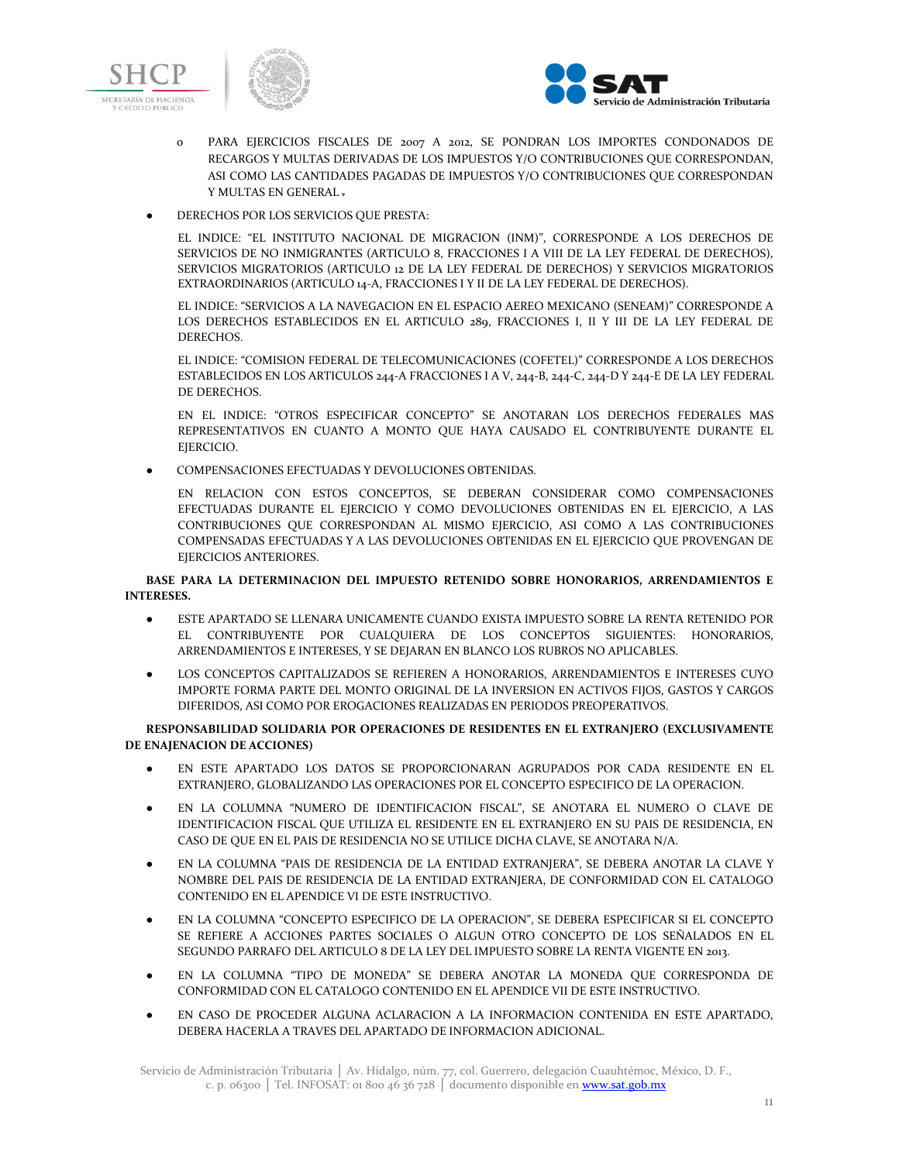



- o PARA EJERCICIOS FISCALES DE 2007 A 2012, SE PONDRAN LOS IMPORTES CONDONADOS DE RECARGOS Y MULTAS DERIVADAS DE LOS IMPUESTOS Y/O CONTRIBUCIONES QUE CORRESPONDAN, ASI COMO LAS CANTIDADES PAGADAS DE IMPUESTOS Y/O CONTRIBUCIONES QUE CORRESPONDAN Y MULTAS EN GENERAL .
- DERECHOS POR LOS SERVICIOS QUE PRESTA:

EL INDICE: "EL INSTITUTO NACIONAL DE MIGRACION (INM)", CORRESPONDE A LOS DERECHOS DE SERVICIOS DE NO INMIGRANTES (ARTICULO 8, FRACCIONES I A VIII DE LA LEY FEDERAL DE DERECHOS), SERVICIOS MIGRATORIOS (ARTICULO 12 DE LA LEY FEDERAL DE DERECHOS) Y SERVICIOS MIGRATORIOS EXTRAORDINARIOS (ARTICULO 14-A, FRACCIONES I Y II DE LA LEY FEDERAL DE DERECHOS).

EL INDICE: "SERVICIOS A LA NAVEGACION EN EL ESPACIO AEREO MEXICANO (SENEAM)" CORRESPONDE A LOS DERECHOS ESTABLECIDOS EN EL ARTICULO 289, FRACCIONES I, II Y III DE LA LEY FEDERAL DE DERECHOS.

EL INDICE: "COMISION FEDERAL DE TELECOMUNICACIONES (COFETEL)" CORRESPONDE A LOS DERECHOS ESTABLECIDOS EN LOS ARTICULOS 244-A FRACCIONES I A V, 244-B, 244-C, 244-D Y 244-E DE LA LEY FEDERAL DE DERECHOS.

EN EL INDICE: "OTROS ESPECIFICAR CONCEPTO" SE ANOTARAN LOS DERECHOS FEDERALES MAS REPRESENTATIVOS EN CUANTO A MONTO QUE HAYA CAUSADO EL CONTRIBUYENTE DURANTE EL EIERCICIO.

COMPENSACIONES EFECTUADAS Y DEVOLUCIONES OBTENIDAS.

EN RELACION CON ESTOS CONCEPTOS, SE DEBERAN CONSIDERAR COMO COMPENSACIONES EFECTUADAS DURANTE EL EJERCICIO Y COMO DEVOLUCIONES OBTENIDAS EN EL EJERCICIO, A LAS CONTRIBUCIONES QUE CORRESPONDAN AL MISMO EJERCICIO, ASI COMO A LAS CONTRIBUCIONES COMPENSADAS EFECTUADAS Y A LAS DEVOLUCIONES OBTENIDAS EN EL EJERCICIO QUE PROVENGAN DE EJERCICIOS ANTERIORES.

**BASE PARA LA DETERMINACION DEL IMPUESTO RETENIDO SOBRE HONORARIOS, ARRENDAMIENTOS E INTERESES.**

- ESTE APARTADO SE LLENARA UNICAMENTE CUANDO EXISTA IMPUESTO SOBRE LA RENTA RETENIDO POR EL CONTRIBUYENTE POR CUALQUIERA DE LOS CONCEPTOS SIGUIENTES: HONORARIOS, ARRENDAMIENTOS E INTERESES, Y SE DEJARAN EN BLANCO LOS RUBROS NO APLICABLES.
- LOS CONCEPTOS CAPITALIZADOS SE REFIEREN A HONORARIOS, ARRENDAMIENTOS E INTERESES CUYO IMPORTE FORMA PARTE DEL MONTO ORIGINAL DE LA INVERSION EN ACTIVOS FIJOS, GASTOS Y CARGOS DIFERIDOS, ASI COMO POR EROGACIONES REALIZADAS EN PERIODOS PREOPERATIVOS.

**RESPONSABILIDAD SOLIDARIA POR OPERACIONES DE RESIDENTES EN EL EXTRANJERO (EXCLUSIVAMENTE DE ENAJENACION DE ACCIONES)**

- EN ESTE APARTADO LOS DATOS SE PROPORCIONARAN AGRUPADOS POR CADA RESIDENTE EN EL EXTRANJERO, GLOBALIZANDO LAS OPERACIONES POR EL CONCEPTO ESPECIFICO DE LA OPERACION.
- EN LA COLUMNA "NUMERO DE IDENTIFICACION FISCAL", SE ANOTARA EL NUMERO O CLAVE DE IDENTIFICACION FISCAL QUE UTILIZA EL RESIDENTE EN EL EXTRANJERO EN SU PAIS DE RESIDENCIA, EN CASO DE QUE EN EL PAIS DE RESIDENCIA NO SE UTILICE DICHA CLAVE, SE ANOTARA N/A.
- EN LA COLUMNA "PAIS DE RESIDENCIA DE LA ENTIDAD EXTRANJERA", SE DEBERA ANOTAR LA CLAVE Y NOMBRE DEL PAIS DE RESIDENCIA DE LA ENTIDAD EXTRANJERA, DE CONFORMIDAD CON EL CATALOGO CONTENIDO EN EL APENDICE VI DE ESTE INSTRUCTIVO.
- EN LA COLUMNA "CONCEPTO ESPECIFICO DE LA OPERACION", SE DEBERA ESPECIFICAR SI EL CONCEPTO SE REFIERE A ACCIONES PARTES SOCIALES O ALGUN OTRO CONCEPTO DE LOS SEÑALADOS EN EL SEGUNDO PARRAFO DEL ARTICULO 8 DE LA LEY DEL IMPUESTO SOBRE LA RENTA VIGENTE EN 2013.
- EN LA COLUMNA "TIPO DE MONEDA" SE DEBERA ANOTAR LA MONEDA QUE CORRESPONDA DE CONFORMIDAD CON EL CATALOGO CONTENIDO EN EL APENDICE VII DE ESTE INSTRUCTIVO.
- EN CASO DE PROCEDER ALGUNA ACLARACION A LA INFORMACION CONTENIDA EN ESTE APARTADO, DEBERA HACERLA A TRAVES DEL APARTADO DE INFORMACION ADICIONAL.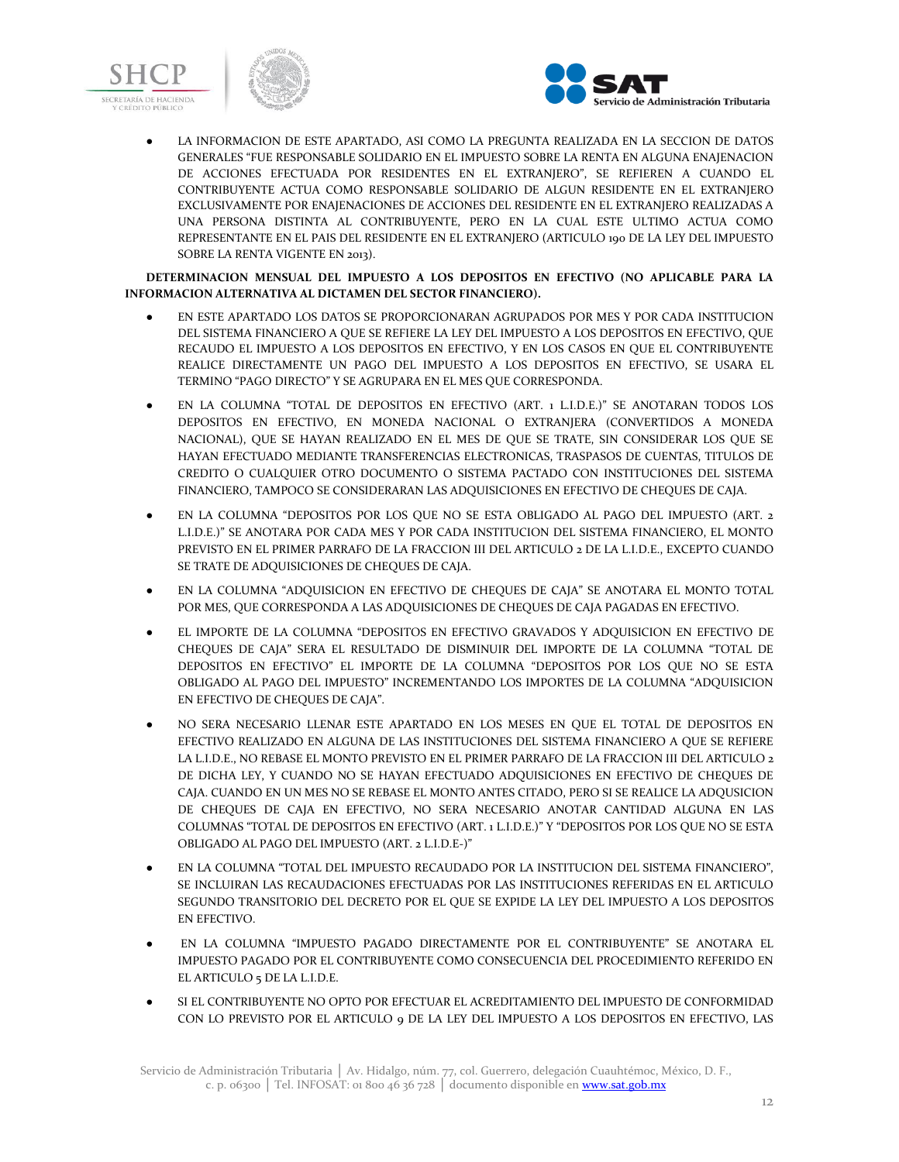



LA INFORMACION DE ESTE APARTADO, ASI COMO LA PREGUNTA REALIZADA EN LA SECCION DE DATOS GENERALES "FUE RESPONSABLE SOLIDARIO EN EL IMPUESTO SOBRE LA RENTA EN ALGUNA ENAJENACION DE ACCIONES EFECTUADA POR RESIDENTES EN EL EXTRANJERO", SE REFIEREN A CUANDO EL CONTRIBUYENTE ACTUA COMO RESPONSABLE SOLIDARIO DE ALGUN RESIDENTE EN EL EXTRANJERO EXCLUSIVAMENTE POR ENAJENACIONES DE ACCIONES DEL RESIDENTE EN EL EXTRANJERO REALIZADAS A UNA PERSONA DISTINTA AL CONTRIBUYENTE, PERO EN LA CUAL ESTE ULTIMO ACTUA COMO REPRESENTANTE EN EL PAIS DEL RESIDENTE EN EL EXTRANJERO (ARTICULO 190 DE LA LEY DEL IMPUESTO SOBRE LA RENTA VIGENTE EN 2013).

### **DETERMINACION MENSUAL DEL IMPUESTO A LOS DEPOSITOS EN EFECTIVO (NO APLICABLE PARA LA INFORMACION ALTERNATIVA AL DICTAMEN DEL SECTOR FINANCIERO).**

- EN ESTE APARTADO LOS DATOS SE PROPORCIONARAN AGRUPADOS POR MES Y POR CADA INSTITUCION DEL SISTEMA FINANCIERO A QUE SE REFIERE LA LEY DEL IMPUESTO A LOS DEPOSITOS EN EFECTIVO, QUE RECAUDO EL IMPUESTO A LOS DEPOSITOS EN EFECTIVO, Y EN LOS CASOS EN QUE EL CONTRIBUYENTE REALICE DIRECTAMENTE UN PAGO DEL IMPUESTO A LOS DEPOSITOS EN EFECTIVO, SE USARA EL TERMINO "PAGO DIRECTO" Y SE AGRUPARA EN EL MES QUE CORRESPONDA.
- EN LA COLUMNA "TOTAL DE DEPOSITOS EN EFECTIVO (ART. 1 L.I.D.E.)" SE ANOTARAN TODOS LOS DEPOSITOS EN EFECTIVO, EN MONEDA NACIONAL O EXTRANJERA (CONVERTIDOS A MONEDA NACIONAL), QUE SE HAYAN REALIZADO EN EL MES DE QUE SE TRATE, SIN CONSIDERAR LOS QUE SE HAYAN EFECTUADO MEDIANTE TRANSFERENCIAS ELECTRONICAS, TRASPASOS DE CUENTAS, TITULOS DE CREDITO O CUALQUIER OTRO DOCUMENTO O SISTEMA PACTADO CON INSTITUCIONES DEL SISTEMA FINANCIERO, TAMPOCO SE CONSIDERARAN LAS ADQUISICIONES EN EFECTIVO DE CHEQUES DE CAJA.
- EN LA COLUMNA "DEPOSITOS POR LOS QUE NO SE ESTA OBLIGADO AL PAGO DEL IMPUESTO (ART. 2 L.I.D.E.)" SE ANOTARA POR CADA MES Y POR CADA INSTITUCION DEL SISTEMA FINANCIERO, EL MONTO PREVISTO EN EL PRIMER PARRAFO DE LA FRACCION III DEL ARTICULO 2 DE LA L.I.D.E., EXCEPTO CUANDO SE TRATE DE ADQUISICIONES DE CHEQUES DE CAJA.
- EN LA COLUMNA "ADOUISICION EN EFECTIVO DE CHEQUES DE CAJA" SE ANOTARA EL MONTO TOTAL POR MES, QUE CORRESPONDA A LAS ADQUISICIONES DE CHEQUES DE CAJA PAGADAS EN EFECTIVO.
- EL IMPORTE DE LA COLUMNA "DEPOSITOS EN EFECTIVO GRAVADOS Y ADQUISICION EN EFECTIVO DE CHEQUES DE CAJA" SERA EL RESULTADO DE DISMINUIR DEL IMPORTE DE LA COLUMNA "TOTAL DE DEPOSITOS EN EFECTIVO" EL IMPORTE DE LA COLUMNA "DEPOSITOS POR LOS QUE NO SE ESTA OBLIGADO AL PAGO DEL IMPUESTO" INCREMENTANDO LOS IMPORTES DE LA COLUMNA "ADQUISICION EN EFECTIVO DE CHEQUES DE CAJA".
- NO SERA NECESARIO LLENAR ESTE APARTADO EN LOS MESES EN QUE EL TOTAL DE DEPOSITOS EN EFECTIVO REALIZADO EN ALGUNA DE LAS INSTITUCIONES DEL SISTEMA FINANCIERO A QUE SE REFIERE LA L.I.D.E., NO REBASE EL MONTO PREVISTO EN EL PRIMER PARRAFO DE LA FRACCION III DEL ARTICULO 2 DE DICHA LEY, Y CUANDO NO SE HAYAN EFECTUADO ADQUISICIONES EN EFECTIVO DE CHEQUES DE CAJA. CUANDO EN UN MES NO SE REBASE EL MONTO ANTES CITADO, PERO SI SE REALICE LA ADQUSICION DE CHEQUES DE CAJA EN EFECTIVO, NO SERA NECESARIO ANOTAR CANTIDAD ALGUNA EN LAS COLUMNAS "TOTAL DE DEPOSITOS EN EFECTIVO (ART. 1 L.I.D.E.)" Y "DEPOSITOS POR LOS QUE NO SE ESTA OBLIGADO AL PAGO DEL IMPUESTO (ART. 2 L.I.D.E-)"
- EN LA COLUMNA "TOTAL DEL IMPUESTO RECAUDADO POR LA INSTITUCION DEL SISTEMA FINANCIERO", SE INCLUIRAN LAS RECAUDACIONES EFECTUADAS POR LAS INSTITUCIONES REFERIDAS EN EL ARTICULO SEGUNDO TRANSITORIO DEL DECRETO POR EL QUE SE EXPIDE LA LEY DEL IMPUESTO A LOS DEPOSITOS EN EFECTIVO.
- EN LA COLUMNA "IMPUESTO PAGADO DIRECTAMENTE POR EL CONTRIBUYENTE" SE ANOTARA EL IMPUESTO PAGADO POR EL CONTRIBUYENTE COMO CONSECUENCIA DEL PROCEDIMIENTO REFERIDO EN EL ARTICULO 5 DE LA L.I.D.E.
- SI EL CONTRIBUYENTE NO OPTO POR EFECTUAR EL ACREDITAMIENTO DEL IMPUESTO DE CONFORMIDAD CON LO PREVISTO POR EL ARTICULO 9 DE LA LEY DEL IMPUESTO A LOS DEPOSITOS EN EFECTIVO, LAS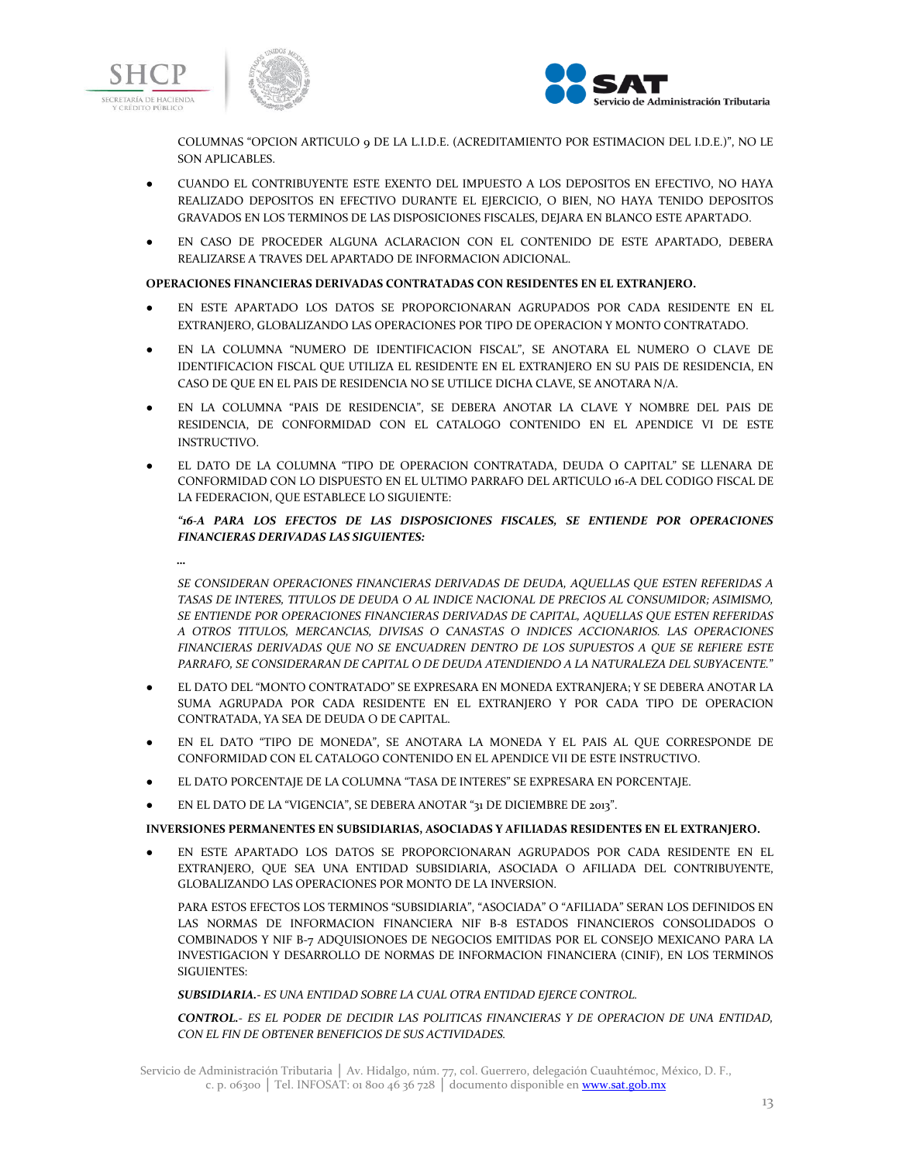





COLUMNAS "OPCION ARTICULO 9 DE LA L.I.D.E. (ACREDITAMIENTO POR ESTIMACION DEL I.D.E.)", NO LE SON APLICABLES.

- CUANDO EL CONTRIBUYENTE ESTE EXENTO DEL IMPUESTO A LOS DEPOSITOS EN EFECTIVO, NO HAYA REALIZADO DEPOSITOS EN EFECTIVO DURANTE EL EJERCICIO, O BIEN, NO HAYA TENIDO DEPOSITOS GRAVADOS EN LOS TERMINOS DE LAS DISPOSICIONES FISCALES, DEJARA EN BLANCO ESTE APARTADO.
- EN CASO DE PROCEDER ALGUNA ACLARACION CON EL CONTENIDO DE ESTE APARTADO, DEBERA REALIZARSE A TRAVES DEL APARTADO DE INFORMACION ADICIONAL.

### **OPERACIONES FINANCIERAS DERIVADAS CONTRATADAS CON RESIDENTES EN EL EXTRANJERO.**

- EN ESTE APARTADO LOS DATOS SE PROPORCIONARAN AGRUPADOS POR CADA RESIDENTE EN EL EXTRANJERO, GLOBALIZANDO LAS OPERACIONES POR TIPO DE OPERACION Y MONTO CONTRATADO.
- EN LA COLUMNA "NUMERO DE IDENTIFICACION FISCAL", SE ANOTARA EL NUMERO O CLAVE DE IDENTIFICACION FISCAL QUE UTILIZA EL RESIDENTE EN EL EXTRANJERO EN SU PAIS DE RESIDENCIA, EN CASO DE QUE EN EL PAIS DE RESIDENCIA NO SE UTILICE DICHA CLAVE, SE ANOTARA N/A.
- EN LA COLUMNA "PAIS DE RESIDENCIA", SE DEBERA ANOTAR LA CLAVE Y NOMBRE DEL PAIS DE RESIDENCIA, DE CONFORMIDAD CON EL CATALOGO CONTENIDO EN EL APENDICE VI DE ESTE INSTRUCTIVO.
- EL DATO DE LA COLUMNA "TIPO DE OPERACION CONTRATADA, DEUDA O CAPITAL" SE LLENARA DE CONFORMIDAD CON LO DISPUESTO EN EL ULTIMO PARRAFO DEL ARTICULO 16-A DEL CODIGO FISCAL DE LA FEDERACION, QUE ESTABLECE LO SIGUIENTE:

### *"16-A PARA LOS EFECTOS DE LAS DISPOSICIONES FISCALES, SE ENTIENDE POR OPERACIONES FINANCIERAS DERIVADAS LAS SIGUIENTES:*

*…*

*SE CONSIDERAN OPERACIONES FINANCIERAS DERIVADAS DE DEUDA, AQUELLAS QUE ESTEN REFERIDAS A TASAS DE INTERES, TITULOS DE DEUDA O AL INDICE NACIONAL DE PRECIOS AL CONSUMIDOR; ASIMISMO, SE ENTIENDE POR OPERACIONES FINANCIERAS DERIVADAS DE CAPITAL, AQUELLAS QUE ESTEN REFERIDAS A OTROS TITULOS, MERCANCIAS, DIVISAS O CANASTAS O INDICES ACCIONARIOS. LAS OPERACIONES FINANCIERAS DERIVADAS QUE NO SE ENCUADREN DENTRO DE LOS SUPUESTOS A QUE SE REFIERE ESTE PARRAFO, SE CONSIDERARAN DE CAPITAL O DE DEUDA ATENDIENDO A LA NATURALEZA DEL SUBYACENTE.*"

- EL DATO DEL "MONTO CONTRATADO" SE EXPRESARA EN MONEDA EXTRANJERA; Y SE DEBERA ANOTAR LA SUMA AGRUPADA POR CADA RESIDENTE EN EL EXTRANJERO Y POR CADA TIPO DE OPERACION CONTRATADA, YA SEA DE DEUDA O DE CAPITAL.
- EN EL DATO "TIPO DE MONEDA", SE ANOTARA LA MONEDA Y EL PAIS AL QUE CORRESPONDE DE CONFORMIDAD CON EL CATALOGO CONTENIDO EN EL APENDICE VII DE ESTE INSTRUCTIVO.
- EL DATO PORCENTAJE DE LA COLUMNA "TASA DE INTERES" SE EXPRESARA EN PORCENTAJE.
- EN EL DATO DE LA "VIGENCIA", SE DEBERA ANOTAR "31 DE DICIEMBRE DE 2013".

### **INVERSIONES PERMANENTES EN SUBSIDIARIAS, ASOCIADAS Y AFILIADAS RESIDENTES EN EL EXTRANJERO.**

EN ESTE APARTADO LOS DATOS SE PROPORCIONARAN AGRUPADOS POR CADA RESIDENTE EN EL EXTRANJERO, QUE SEA UNA ENTIDAD SUBSIDIARIA, ASOCIADA O AFILIADA DEL CONTRIBUYENTE, GLOBALIZANDO LAS OPERACIONES POR MONTO DE LA INVERSION.

PARA ESTOS EFECTOS LOS TERMINOS "SUBSIDIARIA", "ASOCIADA" O "AFILIADA" SERAN LOS DEFINIDOS EN LAS NORMAS DE INFORMACION FINANCIERA NIF B-8 ESTADOS FINANCIEROS CONSOLIDADOS O COMBINADOS Y NIF B-7 ADQUISIONOES DE NEGOCIOS EMITIDAS POR EL CONSEJO MEXICANO PARA LA INVESTIGACION Y DESARROLLO DE NORMAS DE INFORMACION FINANCIERA (CINIF), EN LOS TERMINOS SIGUIENTES:

*SUBSIDIARIA.- ES UNA ENTIDAD SOBRE LA CUAL OTRA ENTIDAD EJERCE CONTROL.*

*CONTROL.- ES EL PODER DE DECIDIR LAS POLITICAS FINANCIERAS Y DE OPERACION DE UNA ENTIDAD, CON EL FIN DE OBTENER BENEFICIOS DE SUS ACTIVIDADES.*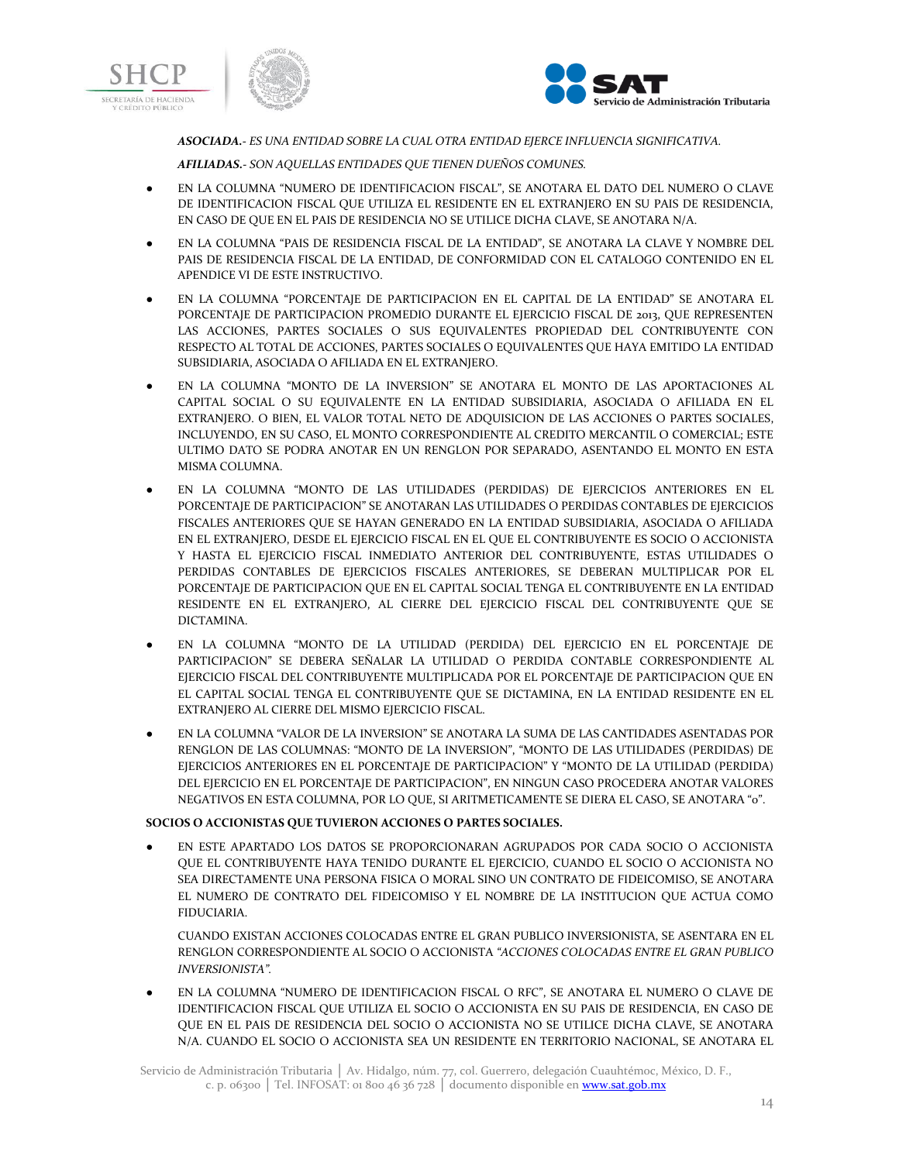





*ASOCIADA.- ES UNA ENTIDAD SOBRE LA CUAL OTRA ENTIDAD EJERCE INFLUENCIA SIGNIFICATIVA.*

*AFILIADAS.- SON AQUELLAS ENTIDADES QUE TIENEN DUEÑOS COMUNES.*

- EN LA COLUMNA "NUMERO DE IDENTIFICACION FISCAL", SE ANOTARA EL DATO DEL NUMERO O CLAVE DE IDENTIFICACION FISCAL QUE UTILIZA EL RESIDENTE EN EL EXTRANJERO EN SU PAIS DE RESIDENCIA, EN CASO DE QUE EN EL PAIS DE RESIDENCIA NO SE UTILICE DICHA CLAVE, SE ANOTARA N/A.
- EN LA COLUMNA "PAIS DE RESIDENCIA FISCAL DE LA ENTIDAD", SE ANOTARA LA CLAVE Y NOMBRE DEL PAIS DE RESIDENCIA FISCAL DE LA ENTIDAD, DE CONFORMIDAD CON EL CATALOGO CONTENIDO EN EL APENDICE VI DE ESTE INSTRUCTIVO.
- EN LA COLUMNA "PORCENTAJE DE PARTICIPACION EN EL CAPITAL DE LA ENTIDAD" SE ANOTARA EL PORCENTAJE DE PARTICIPACION PROMEDIO DURANTE EL EJERCICIO FISCAL DE 2013, QUE REPRESENTEN LAS ACCIONES, PARTES SOCIALES O SUS EQUIVALENTES PROPIEDAD DEL CONTRIBUYENTE CON RESPECTO AL TOTAL DE ACCIONES, PARTES SOCIALES O EQUIVALENTES QUE HAYA EMITIDO LA ENTIDAD SUBSIDIARIA, ASOCIADA O AFILIADA EN EL EXTRANJERO.
- EN LA COLUMNA "MONTO DE LA INVERSION" SE ANOTARA EL MONTO DE LAS APORTACIONES AL CAPITAL SOCIAL O SU EQUIVALENTE EN LA ENTIDAD SUBSIDIARIA, ASOCIADA O AFILIADA EN EL EXTRANJERO. O BIEN, EL VALOR TOTAL NETO DE ADQUISICION DE LAS ACCIONES O PARTES SOCIALES, INCLUYENDO, EN SU CASO, EL MONTO CORRESPONDIENTE AL CREDITO MERCANTIL O COMERCIAL; ESTE ULTIMO DATO SE PODRA ANOTAR EN UN RENGLON POR SEPARADO, ASENTANDO EL MONTO EN ESTA MISMA COLUMNA.
- EN LA COLUMNA "MONTO DE LAS UTILIDADES (PERDIDAS) DE EJERCICIOS ANTERIORES EN EL PORCENTAJE DE PARTICIPACION" SE ANOTARAN LAS UTILIDADES O PERDIDAS CONTABLES DE EJERCICIOS FISCALES ANTERIORES QUE SE HAYAN GENERADO EN LA ENTIDAD SUBSIDIARIA, ASOCIADA O AFILIADA EN EL EXTRANJERO, DESDE EL EJERCICIO FISCAL EN EL QUE EL CONTRIBUYENTE ES SOCIO O ACCIONISTA Y HASTA EL EJERCICIO FISCAL INMEDIATO ANTERIOR DEL CONTRIBUYENTE, ESTAS UTILIDADES O PERDIDAS CONTABLES DE EJERCICIOS FISCALES ANTERIORES, SE DEBERAN MULTIPLICAR POR EL PORCENTAJE DE PARTICIPACION QUE EN EL CAPITAL SOCIAL TENGA EL CONTRIBUYENTE EN LA ENTIDAD RESIDENTE EN EL EXTRANJERO, AL CIERRE DEL EJERCICIO FISCAL DEL CONTRIBUYENTE QUE SE DICTAMINA.
- EN LA COLUMNA "MONTO DE LA UTILIDAD (PERDIDA) DEL EJERCICIO EN EL PORCENTAJE DE PARTICIPACION" SE DEBERA SEÑALAR LA UTILIDAD O PERDIDA CONTABLE CORRESPONDIENTE AL EJERCICIO FISCAL DEL CONTRIBUYENTE MULTIPLICADA POR EL PORCENTAJE DE PARTICIPACION QUE EN EL CAPITAL SOCIAL TENGA EL CONTRIBUYENTE QUE SE DICTAMINA, EN LA ENTIDAD RESIDENTE EN EL EXTRANJERO AL CIERRE DEL MISMO EJERCICIO FISCAL.
- EN LA COLUMNA "VALOR DE LA INVERSION" SE ANOTARA LA SUMA DE LAS CANTIDADES ASENTADAS POR RENGLON DE LAS COLUMNAS: "MONTO DE LA INVERSION", "MONTO DE LAS UTILIDADES (PERDIDAS) DE EJERCICIOS ANTERIORES EN EL PORCENTAJE DE PARTICIPACION" Y "MONTO DE LA UTILIDAD (PERDIDA) DEL EJERCICIO EN EL PORCENTAJE DE PARTICIPACION", EN NINGUN CASO PROCEDERA ANOTAR VALORES NEGATIVOS EN ESTA COLUMNA, POR LO QUE, SI ARITMETICAMENTE SE DIERA EL CASO, SE ANOTARA "0".

### **SOCIOS O ACCIONISTAS QUE TUVIERON ACCIONES O PARTES SOCIALES.**

● EN ESTE APARTADO LOS DATOS SE PROPORCIONARAN AGRUPADOS POR CADA SOCIO O ACCIONISTA QUE EL CONTRIBUYENTE HAYA TENIDO DURANTE EL EJERCICIO, CUANDO EL SOCIO O ACCIONISTA NO SEA DIRECTAMENTE UNA PERSONA FISICA O MORAL SINO UN CONTRATO DE FIDEICOMISO, SE ANOTARA EL NUMERO DE CONTRATO DEL FIDEICOMISO Y EL NOMBRE DE LA INSTITUCION QUE ACTUA COMO FIDUCIARIA.

CUANDO EXISTAN ACCIONES COLOCADAS ENTRE EL GRAN PUBLICO INVERSIONISTA, SE ASENTARA EN EL RENGLON CORRESPONDIENTE AL SOCIO O ACCIONISTA *"ACCIONES COLOCADAS ENTRE EL GRAN PUBLICO INVERSIONISTA".*

EN LA COLUMNA "NUMERO DE IDENTIFICACION FISCAL O RFC", SE ANOTARA EL NUMERO O CLAVE DE IDENTIFICACION FISCAL QUE UTILIZA EL SOCIO O ACCIONISTA EN SU PAIS DE RESIDENCIA, EN CASO DE QUE EN EL PAIS DE RESIDENCIA DEL SOCIO O ACCIONISTA NO SE UTILICE DICHA CLAVE, SE ANOTARA N/A. CUANDO EL SOCIO O ACCIONISTA SEA UN RESIDENTE EN TERRITORIO NACIONAL, SE ANOTARA EL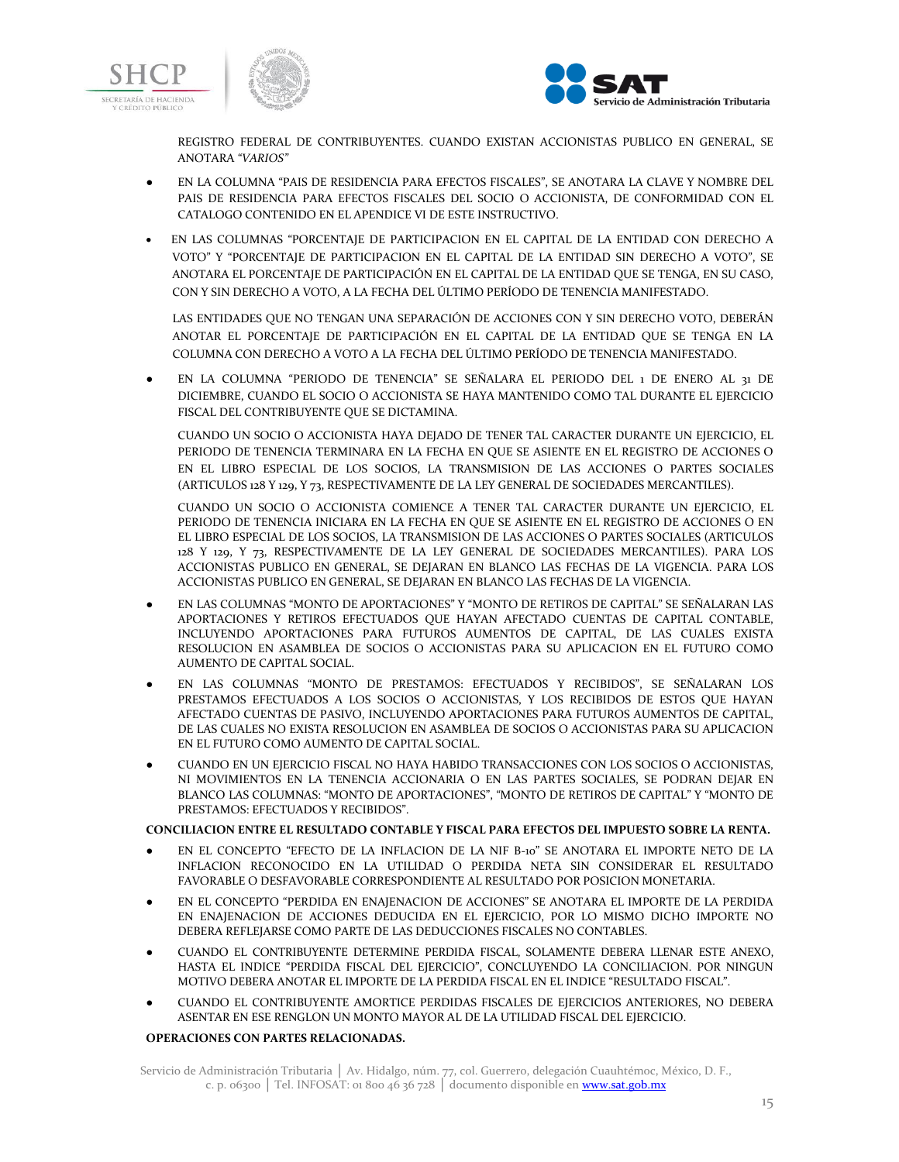



REGISTRO FEDERAL DE CONTRIBUYENTES. CUANDO EXISTAN ACCIONISTAS PUBLICO EN GENERAL, SE ANOTARA *"VARIOS"*

- EN LA COLUMNA "PAIS DE RESIDENCIA PARA EFECTOS FISCALES", SE ANOTARA LA CLAVE Y NOMBRE DEL PAIS DE RESIDENCIA PARA EFECTOS FISCALES DEL SOCIO O ACCIONISTA, DE CONFORMIDAD CON EL CATALOGO CONTENIDO EN EL APENDICE VI DE ESTE INSTRUCTIVO.
- EN LAS COLUMNAS "PORCENTAJE DE PARTICIPACION EN EL CAPITAL DE LA ENTIDAD CON DERECHO A VOTO" Y "PORCENTAJE DE PARTICIPACION EN EL CAPITAL DE LA ENTIDAD SIN DERECHO A VOTO", SE ANOTARA EL PORCENTAJE DE PARTICIPACIÓN EN EL CAPITAL DE LA ENTIDAD QUE SE TENGA, EN SU CASO, CON Y SIN DERECHO A VOTO, A LA FECHA DEL ÚLTIMO PERÍODO DE TENENCIA MANIFESTADO.

LAS ENTIDADES QUE NO TENGAN UNA SEPARACIÓN DE ACCIONES CON Y SIN DERECHO VOTO, DEBERÁN ANOTAR EL PORCENTAJE DE PARTICIPACIÓN EN EL CAPITAL DE LA ENTIDAD QUE SE TENGA EN LA COLUMNA CON DERECHO A VOTO A LA FECHA DEL ÚLTIMO PERÍODO DE TENENCIA MANIFESTADO.

● EN LA COLUMNA "PERIODO DE TENENCIA" SE SEÑALARA EL PERIODO DEL 1 DE ENERO AL 31 DE DICIEMBRE, CUANDO EL SOCIO O ACCIONISTA SE HAYA MANTENIDO COMO TAL DURANTE EL EJERCICIO FISCAL DEL CONTRIBUYENTE QUE SE DICTAMINA.

CUANDO UN SOCIO O ACCIONISTA HAYA DEJADO DE TENER TAL CARACTER DURANTE UN EJERCICIO, EL PERIODO DE TENENCIA TERMINARA EN LA FECHA EN QUE SE ASIENTE EN EL REGISTRO DE ACCIONES O EN EL LIBRO ESPECIAL DE LOS SOCIOS, LA TRANSMISION DE LAS ACCIONES O PARTES SOCIALES (ARTICULOS 128 Y 129, Y 73, RESPECTIVAMENTE DE LA LEY GENERAL DE SOCIEDADES MERCANTILES).

CUANDO UN SOCIO O ACCIONISTA COMIENCE A TENER TAL CARACTER DURANTE UN EJERCICIO, EL PERIODO DE TENENCIA INICIARA EN LA FECHA EN QUE SE ASIENTE EN EL REGISTRO DE ACCIONES O EN EL LIBRO ESPECIAL DE LOS SOCIOS, LA TRANSMISION DE LAS ACCIONES O PARTES SOCIALES (ARTICULOS 128 Y 129, Y 73, RESPECTIVAMENTE DE LA LEY GENERAL DE SOCIEDADES MERCANTILES). PARA LOS ACCIONISTAS PUBLICO EN GENERAL, SE DEJARAN EN BLANCO LAS FECHAS DE LA VIGENCIA. PARA LOS ACCIONISTAS PUBLICO EN GENERAL, SE DEJARAN EN BLANCO LAS FECHAS DE LA VIGENCIA.

- EN LAS COLUMNAS "MONTO DE APORTACIONES" Y "MONTO DE RETIROS DE CAPITAL" SE SEÑALARAN LAS APORTACIONES Y RETIROS EFECTUADOS QUE HAYAN AFECTADO CUENTAS DE CAPITAL CONTABLE, INCLUYENDO APORTACIONES PARA FUTUROS AUMENTOS DE CAPITAL, DE LAS CUALES EXISTA RESOLUCION EN ASAMBLEA DE SOCIOS O ACCIONISTAS PARA SU APLICACION EN EL FUTURO COMO AUMENTO DE CAPITAL SOCIAL.
- EN LAS COLUMNAS "MONTO DE PRESTAMOS: EFECTUADOS Y RECIBIDOS", SE SEÑALARAN LOS PRESTAMOS EFECTUADOS A LOS SOCIOS O ACCIONISTAS, Y LOS RECIBIDOS DE ESTOS QUE HAYAN AFECTADO CUENTAS DE PASIVO, INCLUYENDO APORTACIONES PARA FUTUROS AUMENTOS DE CAPITAL, DE LAS CUALES NO EXISTA RESOLUCION EN ASAMBLEA DE SOCIOS O ACCIONISTAS PARA SU APLICACION EN EL FUTURO COMO AUMENTO DE CAPITAL SOCIAL.
- CUANDO EN UN EJERCICIO FISCAL NO HAYA HABIDO TRANSACCIONES CON LOS SOCIOS O ACCIONISTAS, NI MOVIMIENTOS EN LA TENENCIA ACCIONARIA O EN LAS PARTES SOCIALES, SE PODRAN DEJAR EN BLANCO LAS COLUMNAS: "MONTO DE APORTACIONES", "MONTO DE RETIROS DE CAPITAL" Y "MONTO DE PRESTAMOS: EFECTUADOS Y RECIBIDOS".

### **CONCILIACION ENTRE EL RESULTADO CONTABLE Y FISCAL PARA EFECTOS DEL IMPUESTO SOBRE LA RENTA.**

- EN EL CONCEPTO "EFECTO DE LA INFLACION DE LA NIF B-10" SE ANOTARA EL IMPORTE NETO DE LA INFLACION RECONOCIDO EN LA UTILIDAD O PERDIDA NETA SIN CONSIDERAR EL RESULTADO FAVORABLE O DESFAVORABLE CORRESPONDIENTE AL RESULTADO POR POSICION MONETARIA.
- EN EL CONCEPTO "PERDIDA EN ENAJENACION DE ACCIONES" SE ANOTARA EL IMPORTE DE LA PERDIDA EN ENAJENACION DE ACCIONES DEDUCIDA EN EL EJERCICIO, POR LO MISMO DICHO IMPORTE NO DEBERA REFLEJARSE COMO PARTE DE LAS DEDUCCIONES FISCALES NO CONTABLES.
- CUANDO EL CONTRIBUYENTE DETERMINE PERDIDA FISCAL, SOLAMENTE DEBERA LLENAR ESTE ANEXO, HASTA EL INDICE "PERDIDA FISCAL DEL EJERCICIO", CONCLUYENDO LA CONCILIACION. POR NINGUN MOTIVO DEBERA ANOTAR EL IMPORTE DE LA PERDIDA FISCAL EN EL INDICE "RESULTADO FISCAL".
- CUANDO EL CONTRIBUYENTE AMORTICE PERDIDAS FISCALES DE EJERCICIOS ANTERIORES, NO DEBERA ASENTAR EN ESE RENGLON UN MONTO MAYOR AL DE LA UTILIDAD FISCAL DEL EJERCICIO.

### **OPERACIONES CON PARTES RELACIONADAS.**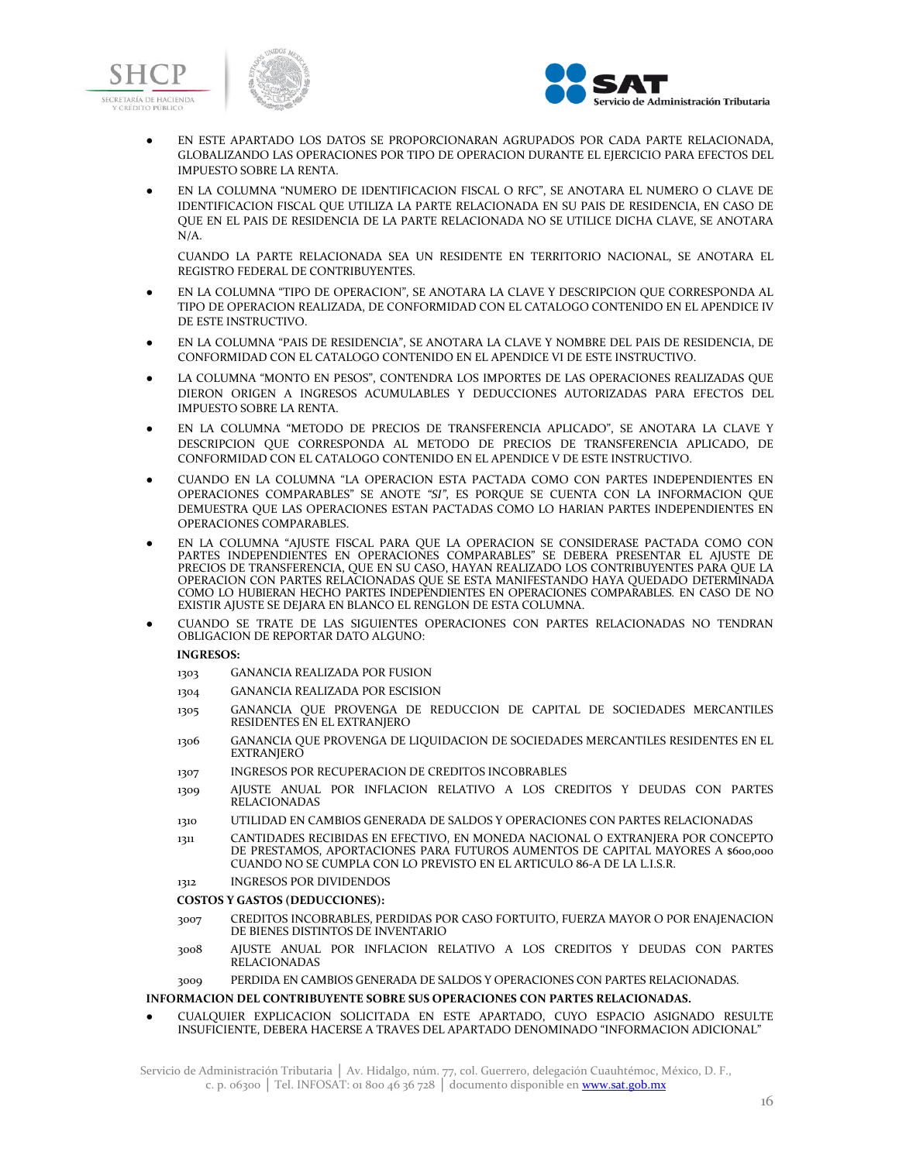





- EN ESTE APARTADO LOS DATOS SE PROPORCIONARAN AGRUPADOS POR CADA PARTE RELACIONADA, GLOBALIZANDO LAS OPERACIONES POR TIPO DE OPERACION DURANTE EL EJERCICIO PARA EFECTOS DEL IMPUESTO SOBRE LA RENTA.
- EN LA COLUMNA "NUMERO DE IDENTIFICACION FISCAL O RFC", SE ANOTARA EL NUMERO O CLAVE DE IDENTIFICACION FISCAL QUE UTILIZA LA PARTE RELACIONADA EN SU PAIS DE RESIDENCIA, EN CASO DE QUE EN EL PAIS DE RESIDENCIA DE LA PARTE RELACIONADA NO SE UTILICE DICHA CLAVE, SE ANOTARA N/A.

CUANDO LA PARTE RELACIONADA SEA UN RESIDENTE EN TERRITORIO NACIONAL, SE ANOTARA EL REGISTRO FEDERAL DE CONTRIBUYENTES.

- EN LA COLUMNA "TIPO DE OPERACION", SE ANOTARA LA CLAVE Y DESCRIPCION QUE CORRESPONDA AL TIPO DE OPERACION REALIZADA, DE CONFORMIDAD CON EL CATALOGO CONTENIDO EN EL APENDICE IV DE ESTE INSTRUCTIVO.
- EN LA COLUMNA "PAIS DE RESIDENCIA", SE ANOTARA LA CLAVE Y NOMBRE DEL PAIS DE RESIDENCIA, DE CONFORMIDAD CON EL CATALOGO CONTENIDO EN EL APENDICE VI DE ESTE INSTRUCTIVO.
- LA COLUMNA "MONTO EN PESOS", CONTENDRA LOS IMPORTES DE LAS OPERACIONES REALIZADAS QUE DIERON ORIGEN A INGRESOS ACUMULABLES Y DEDUCCIONES AUTORIZADAS PARA EFECTOS DEL IMPUESTO SOBRE LA RENTA.
- EN LA COLUMNA "METODO DE PRECIOS DE TRANSFERENCIA APLICADO", SE ANOTARA LA CLAVE Y DESCRIPCION QUE CORRESPONDA AL METODO DE PRECIOS DE TRANSFERENCIA APLICADO, DE CONFORMIDAD CON EL CATALOGO CONTENIDO EN EL APENDICE V DE ESTE INSTRUCTIVO.
- CUANDO EN LA COLUMNA "LA OPERACION ESTA PACTADA COMO CON PARTES INDEPENDIENTES EN OPERACIONES COMPARABLES" SE ANOTE *"SI"*, ES PORQUE SE CUENTA CON LA INFORMACION QUE DEMUESTRA QUE LAS OPERACIONES ESTAN PACTADAS COMO LO HARIAN PARTES INDEPENDIENTES EN OPERACIONES COMPARABLES.
- EN LA COLUMNA "AJUSTE FISCAL PARA QUE LA OPERACION SE CONSIDERASE PACTADA COMO CON PARTES INDEPENDIENTES EN OPERACIONES COMPARABLES" SE DEBERA PRESENTAR EL AJUSTE DE PRECIOS DE TRANSFERENCIA, QUE EN SU CASO, HAYAN REALIZADO LOS CONTRIBUYENTES PARA QUE LA OPERACION CON PARTES RELACIONADAS QUE SE ESTA MANIFESTANDO HAYA QUEDADO DETERMINADA COMO LO HUBIERAN HECHO PARTES INDEPENDIENTES EN OPERACIONES COMPARABLES. EN CASO DE NO EXISTIR AJUSTE SE DEJARA EN BLANCO EL RENGLON DE ESTA COLUMNA.
- CUANDO SE TRATE DE LAS SIGUIENTES OPERACIONES CON PARTES RELACIONADAS NO TENDRAN OBLIGACION DE REPORTAR DATO ALGUNO:

### **INGRESOS:**

- 1303 GANANCIA REALIZADA POR FUSION
- 1304 GANANCIA REALIZADA POR ESCISION
- 1305 GANANCIA QUE PROVENGA DE REDUCCION DE CAPITAL DE SOCIEDADES MERCANTILES RESIDENTES EN EL EXTRANJERO
- 1306 GANANCIA QUE PROVENGA DE LIQUIDACION DE SOCIEDADES MERCANTILES RESIDENTES EN EL **EXTRANJERO**
- 1307 INGRESOS POR RECUPERACION DE CREDITOS INCOBRABLES
- 1309 AJUSTE ANUAL POR INFLACION RELATIVO A LOS CREDITOS Y DEUDAS CON PARTES RELACIONADAS
- 1310 UTILIDAD EN CAMBIOS GENERADA DE SALDOS Y OPERACIONES CON PARTES RELACIONADAS
- 1311 CANTIDADES RECIBIDAS EN EFECTIVO, EN MONEDA NACIONAL O EXTRANJERA POR CONCEPTO DE PRESTAMOS, APORTACIONES PARA FUTUROS AUMENTOS DE CAPITAL MAYORES A \$600,000 CUANDO NO SE CUMPLA CON LO PREVISTO EN EL ARTICULO 86-A DE LA L.I.S.R.
- 1312 INGRESOS POR DIVIDENDOS

#### **COSTOS Y GASTOS (DEDUCCIONES):**

- 3007 CREDITOS INCOBRABLES, PERDIDAS POR CASO FORTUITO, FUERZA MAYOR O POR ENAJENACION DE BIENES DISTINTOS DE INVENTARIO
- 3008 AJUSTE ANUAL POR INFLACION RELATIVO A LOS CREDITOS Y DEUDAS CON PARTES RELACIONADAS

#### 3009 PERDIDA EN CAMBIOS GENERADA DE SALDOS Y OPERACIONES CON PARTES RELACIONADAS.

### **INFORMACION DEL CONTRIBUYENTE SOBRE SUS OPERACIONES CON PARTES RELACIONADAS.**

● CUALQUIER EXPLICACION SOLICITADA EN ESTE APARTADO, CUYO ESPACIO ASIGNADO RESULTE INSUFICIENTE, DEBERA HACERSE A TRAVES DEL APARTADO DENOMINADO "INFORMACION ADICIONAL"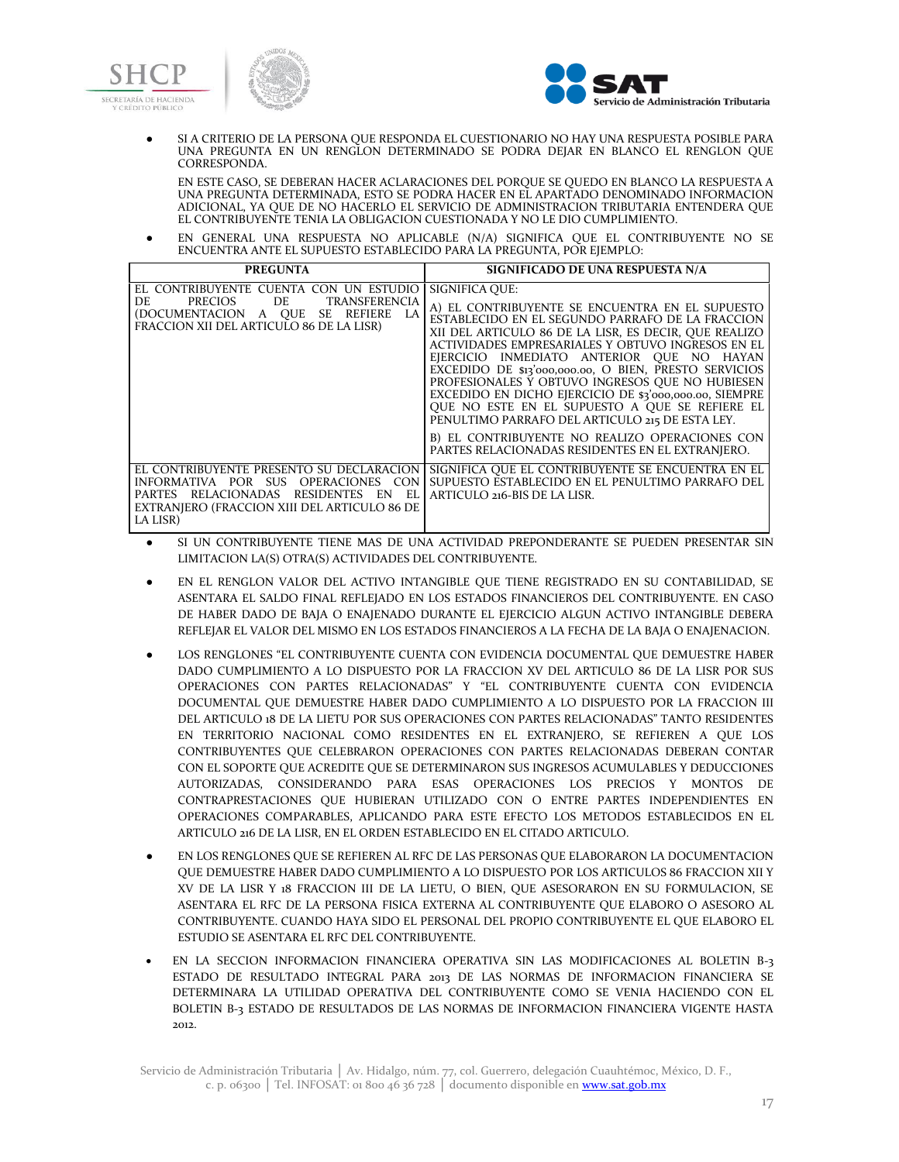



SI A CRITERIO DE LA PERSONA QUE RESPONDA EL CUESTIONARIO NO HAY UNA RESPUESTA POSIBLE PARA UNA PREGUNTA EN UN RENGLON DETERMINADO SE PODRA DEJAR EN BLANCO EL RENGLON QUE CORRESPONDA.

EN ESTE CASO, SE DEBERAN HACER ACLARACIONES DEL PORQUE SE QUEDO EN BLANCO LA RESPUESTA A UNA PREGUNTA DETERMINADA, ESTO SE PODRA HACER EN EL APARTADO DENOMINADO INFORMACION ADICIONAL, YA QUE DE NO HACERLO EL SERVICIO DE ADMINISTRACION TRIBUTARIA ENTENDERA QUE EL CONTRIBUYENTE TENIA LA OBLIGACION CUESTIONADA Y NO LE DIO CUMPLIMIENTO.

● EN GENERAL UNA RESPUESTA NO APLICABLE (N/A) SIGNIFICA QUE EL CONTRIBUYENTE NO SE ENCUENTRA ANTE EL SUPUESTO ESTABLECIDO PARA LA PREGUNTA, POR EJEMPLO:

| <b>PREGUNTA</b>                                                                                                                                                                               | SIGNIFICADO DE UNA RESPUESTA N/A                                                                                                                                                                                                                                                                                                                                                                                                                                                                                                                                                                                                                                  |
|-----------------------------------------------------------------------------------------------------------------------------------------------------------------------------------------------|-------------------------------------------------------------------------------------------------------------------------------------------------------------------------------------------------------------------------------------------------------------------------------------------------------------------------------------------------------------------------------------------------------------------------------------------------------------------------------------------------------------------------------------------------------------------------------------------------------------------------------------------------------------------|
| EL CONTRIBUYENTE CUENTA CON UN ESTUDIO<br>PRECIOS DE TRANSFERENCIA<br>DE<br>(DOCUMENTACION A QUE<br>SE REFIERE LA<br>FRACCION XII DEL ARTICULO 86 DE LA LISR)                                 | SIGNIFICA OUE:<br>A) EL CONTRIBUYENTE SE ENCUENTRA EN EL SUPUESTO<br>ESTABLECIDO EN EL SEGUNDO PARRAFO DE LA FRACCION<br>XII DEL ARTICULO 86 DE LA LISR, ES DECIR, QUE REALIZO<br>ACTIVIDADES EMPRESARIALES Y OBTUVO INGRESOS EN EL<br>EJERCICIO INMEDIATO ANTERIOR OUE NO HAYAN<br>EXCEDIDO DE \$13'000,000.00, O BIEN, PRESTO SERVICIOS<br>PROFESIONALES Y OBTUVO INGRESOS QUE NO HUBIESEN<br>EXCEDIDO EN DICHO EJERCICIO DE \$3'000,000.00, SIEMPRE<br>OUE NO ESTE EN EL SUPUESTO A OUE SE REFIERE EL<br>PENULTIMO PARRAFO DEL ARTICULO 215 DE ESTA LEY.<br>B) EL CONTRIBUYENTE NO REALIZO OPERACIONES CON<br>PARTES RELACIONADAS RESIDENTES EN EL EXTRANJERO. |
| EL CONTRIBUYENTE PRESENTO SU DECLARACION<br>INFORMATIVA POR SUS OPERACIONES CON<br>PARTES RELACIONADAS<br>EL.<br>RESIDENTES<br>EN<br>EXTRANIERO (FRACCION XIII DEL ARTICULO 86 DE<br>LA LISR) | SIGNIFICA QUE EL CONTRIBUYENTE SE ENCUENTRA EN EL<br>SUPUESTO ESTABLECIDO EN EL PENULTIMO PARRAFO DEL<br>ARTICULO 216-BIS DE LA LISR.                                                                                                                                                                                                                                                                                                                                                                                                                                                                                                                             |

SI UN CONTRIBUYENTE TIENE MAS DE UNA ACTIVIDAD PREPONDERANTE SE PUEDEN PRESENTAR SIN LIMITACION LA(S) OTRA(S) ACTIVIDADES DEL CONTRIBUYENTE.

- EN EL RENGLON VALOR DEL ACTIVO INTANGIBLE QUE TIENE REGISTRADO EN SU CONTABILIDAD, SE ASENTARA EL SALDO FINAL REFLEJADO EN LOS ESTADOS FINANCIEROS DEL CONTRIBUYENTE. EN CASO DE HABER DADO DE BAJA O ENAJENADO DURANTE EL EJERCICIO ALGUN ACTIVO INTANGIBLE DEBERA REFLEJAR EL VALOR DEL MISMO EN LOS ESTADOS FINANCIEROS A LA FECHA DE LA BAJA O ENAJENACION.
- LOS RENGLONES "EL CONTRIBUYENTE CUENTA CON EVIDENCIA DOCUMENTAL QUE DEMUESTRE HABER DADO CUMPLIMIENTO A LO DISPUESTO POR LA FRACCION XV DEL ARTICULO 86 DE LA LISR POR SUS OPERACIONES CON PARTES RELACIONADAS" Y "EL CONTRIBUYENTE CUENTA CON EVIDENCIA DOCUMENTAL QUE DEMUESTRE HABER DADO CUMPLIMIENTO A LO DISPUESTO POR LA FRACCION III DEL ARTICULO 18 DE LA LIETU POR SUS OPERACIONES CON PARTES RELACIONADAS" TANTO RESIDENTES EN TERRITORIO NACIONAL COMO RESIDENTES EN EL EXTRANJERO, SE REFIEREN A QUE LOS CONTRIBUYENTES QUE CELEBRARON OPERACIONES CON PARTES RELACIONADAS DEBERAN CONTAR CON EL SOPORTE QUE ACREDITE QUE SE DETERMINARON SUS INGRESOS ACUMULABLES Y DEDUCCIONES AUTORIZADAS, CONSIDERANDO PARA ESAS OPERACIONES LOS PRECIOS Y MONTOS DE CONTRAPRESTACIONES QUE HUBIERAN UTILIZADO CON O ENTRE PARTES INDEPENDIENTES EN OPERACIONES COMPARABLES, APLICANDO PARA ESTE EFECTO LOS METODOS ESTABLECIDOS EN EL ARTICULO 216 DE LA LISR, EN EL ORDEN ESTABLECIDO EN EL CITADO ARTICULO.
- EN LOS RENGLONES QUE SE REFIEREN AL RFC DE LAS PERSONAS QUE ELABORARON LA DOCUMENTACION QUE DEMUESTRE HABER DADO CUMPLIMIENTO A LO DISPUESTO POR LOS ARTICULOS 86 FRACCION XII Y XV DE LA LISR Y 18 FRACCION III DE LA LIETU, O BIEN, QUE ASESORARON EN SU FORMULACION, SE ASENTARA EL RFC DE LA PERSONA FISICA EXTERNA AL CONTRIBUYENTE QUE ELABORO O ASESORO AL CONTRIBUYENTE. CUANDO HAYA SIDO EL PERSONAL DEL PROPIO CONTRIBUYENTE EL QUE ELABORO EL ESTUDIO SE ASENTARA EL RFC DEL CONTRIBUYENTE.
- EN LA SECCION INFORMACION FINANCIERA OPERATIVA SIN LAS MODIFICACIONES AL BOLETIN B-3 ESTADO DE RESULTADO INTEGRAL PARA 2013 DE LAS NORMAS DE INFORMACION FINANCIERA SE DETERMINARA LA UTILIDAD OPERATIVA DEL CONTRIBUYENTE COMO SE VENIA HACIENDO CON EL BOLETIN B-3 ESTADO DE RESULTADOS DE LAS NORMAS DE INFORMACION FINANCIERA VIGENTE HASTA 2012.

Servicio de Administración Tributaria │ Av. Hidalgo, núm. 77, col. Guerrero, delegación Cuauhtémoc, México, D. F., c. p. 06300 | Tel. INFOSAT: 01 800 46 36 728 | documento disponible en www.sat.gob.mx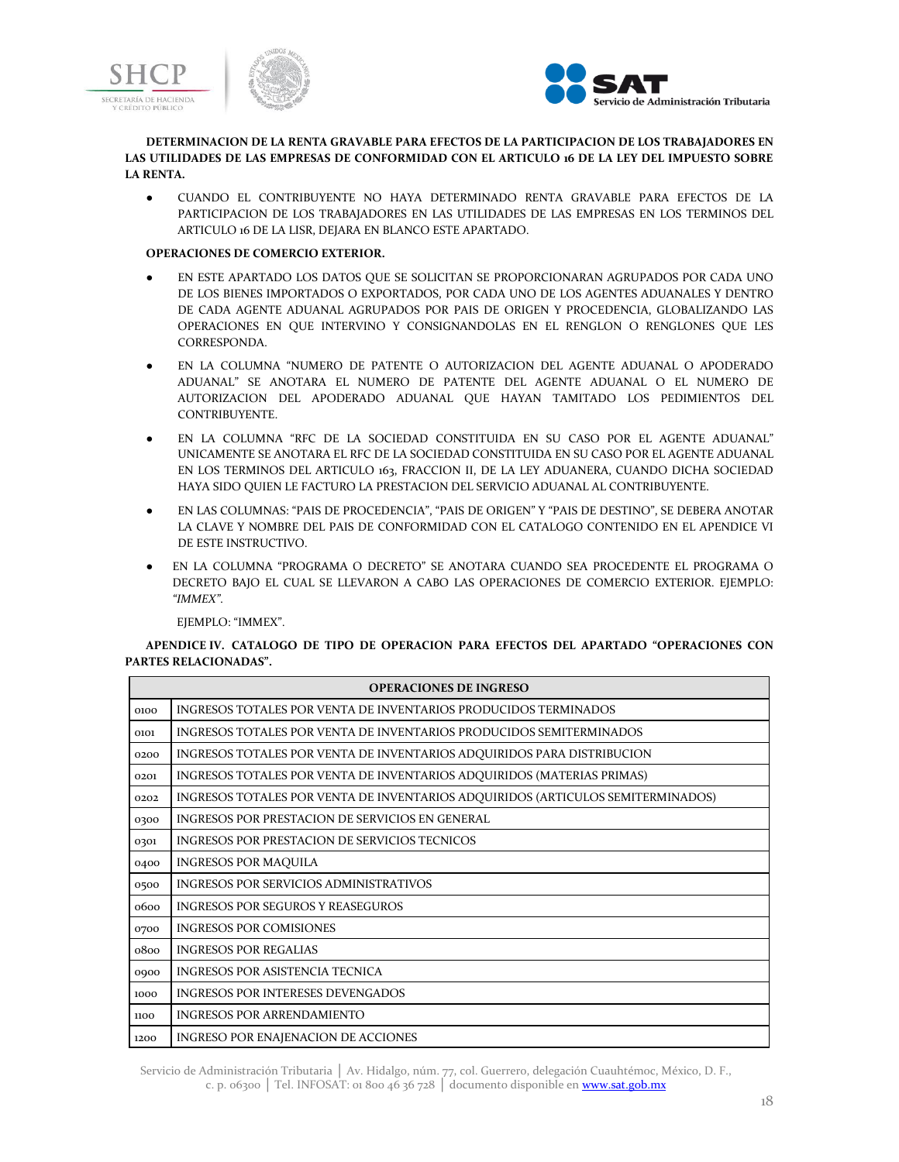



### **DETERMINACION DE LA RENTA GRAVABLE PARA EFECTOS DE LA PARTICIPACION DE LOS TRABAJADORES EN LAS UTILIDADES DE LAS EMPRESAS DE CONFORMIDAD CON EL ARTICULO 16 DE LA LEY DEL IMPUESTO SOBRE LA RENTA.**

● CUANDO EL CONTRIBUYENTE NO HAYA DETERMINADO RENTA GRAVABLE PARA EFECTOS DE LA PARTICIPACION DE LOS TRABAJADORES EN LAS UTILIDADES DE LAS EMPRESAS EN LOS TERMINOS DEL ARTICULO 16 DE LA LISR, DEJARA EN BLANCO ESTE APARTADO.

### **OPERACIONES DE COMERCIO EXTERIOR.**

- EN ESTE APARTADO LOS DATOS QUE SE SOLICITAN SE PROPORCIONARAN AGRUPADOS POR CADA UNO DE LOS BIENES IMPORTADOS O EXPORTADOS, POR CADA UNO DE LOS AGENTES ADUANALES Y DENTRO DE CADA AGENTE ADUANAL AGRUPADOS POR PAIS DE ORIGEN Y PROCEDENCIA, GLOBALIZANDO LAS OPERACIONES EN QUE INTERVINO Y CONSIGNANDOLAS EN EL RENGLON O RENGLONES QUE LES CORRESPONDA.
- EN LA COLUMNA "NUMERO DE PATENTE O AUTORIZACION DEL AGENTE ADUANAL O APODERADO ADUANAL" SE ANOTARA EL NUMERO DE PATENTE DEL AGENTE ADUANAL O EL NUMERO DE AUTORIZACION DEL APODERADO ADUANAL QUE HAYAN TAMITADO LOS PEDIMIENTOS DEL CONTRIBUYENTE.
- EN LA COLUMNA "RFC DE LA SOCIEDAD CONSTITUIDA EN SU CASO POR EL AGENTE ADUANAL" UNICAMENTE SE ANOTARA EL RFC DE LA SOCIEDAD CONSTITUIDA EN SU CASO POR EL AGENTE ADUANAL EN LOS TERMINOS DEL ARTICULO 163, FRACCION II, DE LA LEY ADUANERA, CUANDO DICHA SOCIEDAD HAYA SIDO QUIEN LE FACTURO LA PRESTACION DEL SERVICIO ADUANAL AL CONTRIBUYENTE.
- EN LAS COLUMNAS: "PAIS DE PROCEDENCIA", "PAIS DE ORIGEN" Y "PAIS DE DESTINO", SE DEBERA ANOTAR LA CLAVE Y NOMBRE DEL PAIS DE CONFORMIDAD CON EL CATALOGO CONTENIDO EN EL APENDICE VI DE ESTE INSTRUCTIVO.
- EN LA COLUMNA "PROGRAMA O DECRETO" SE ANOTARA CUANDO SEA PROCEDENTE EL PROGRAMA O DECRETO BAJO EL CUAL SE LLEVARON A CABO LAS OPERACIONES DE COMERCIO EXTERIOR. EJEMPLO: *"IMMEX"*.

EJEMPLO: "IMMEX".

### **APENDICE IV. CATALOGO DE TIPO DE OPERACION PARA EFECTOS DEL APARTADO "OPERACIONES CON PARTES RELACIONADAS".**

| <b>OPERACIONES DE INGRESO</b> |                                                                                 |  |
|-------------------------------|---------------------------------------------------------------------------------|--|
| 0100                          | INGRESOS TOTALES POR VENTA DE INVENTARIOS PRODUCIDOS TERMINADOS                 |  |
| 0101                          | INGRESOS TOTALES POR VENTA DE INVENTARIOS PRODUCIDOS SEMITERMINADOS             |  |
| 0200                          | INGRESOS TOTALES POR VENTA DE INVENTARIOS ADQUIRIDOS PARA DISTRIBUCION          |  |
| 0201                          | INGRESOS TOTALES POR VENTA DE INVENTARIOS ADQUIRIDOS (MATERIAS PRIMAS)          |  |
| 0202                          | INGRESOS TOTALES POR VENTA DE INVENTARIOS ADQUIRIDOS (ARTICULOS SEMITERMINADOS) |  |
| 0300                          | INGRESOS POR PRESTACION DE SERVICIOS EN GENERAL                                 |  |
| 0301                          | INGRESOS POR PRESTACION DE SERVICIOS TECNICOS                                   |  |
| 0400                          | <b>INGRESOS POR MAQUILA</b>                                                     |  |
| 0500                          | INGRESOS POR SERVICIOS ADMINISTRATIVOS                                          |  |
| 0600                          | <b>INGRESOS POR SEGUROS Y REASEGUROS</b>                                        |  |
| 0700                          | INGRESOS POR COMISIONES                                                         |  |
| 0800                          | <b>INGRESOS POR REGALIAS</b>                                                    |  |
| 0900                          | INGRESOS POR ASISTENCIA TECNICA                                                 |  |
| 1000                          | <b>INGRESOS POR INTERESES DEVENGADOS</b>                                        |  |
| 1100                          | <b>INGRESOS POR ARRENDAMIENTO</b>                                               |  |
| 1200                          | INGRESO POR ENAJENACION DE ACCIONES                                             |  |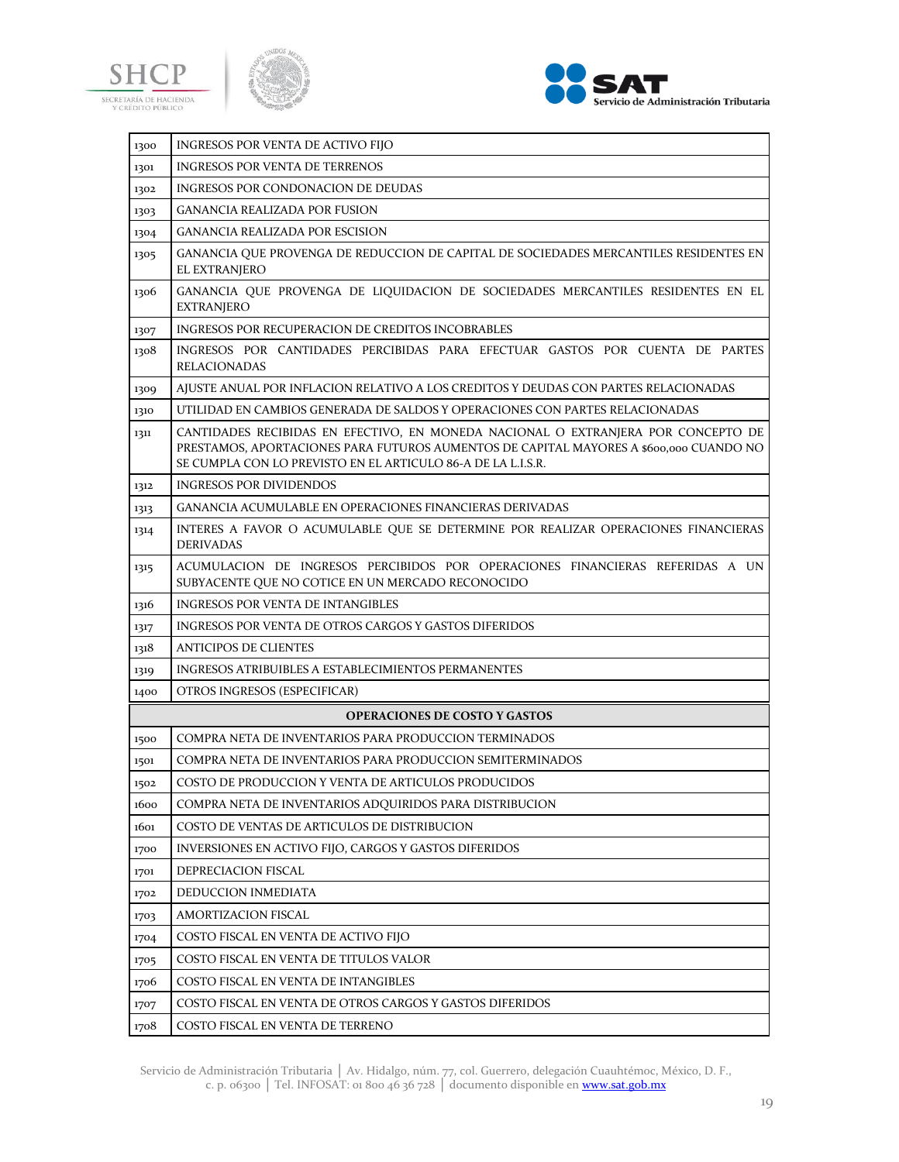





| 1300 | INGRESOS POR VENTA DE ACTIVO FIJO                                                                                                                                                                                                           |
|------|---------------------------------------------------------------------------------------------------------------------------------------------------------------------------------------------------------------------------------------------|
| 1301 | <b>INGRESOS POR VENTA DE TERRENOS</b>                                                                                                                                                                                                       |
| 1302 | INGRESOS POR CONDONACION DE DEUDAS                                                                                                                                                                                                          |
| 1303 | <b>GANANCIA REALIZADA POR FUSION</b>                                                                                                                                                                                                        |
| 1304 | <b>GANANCIA REALIZADA POR ESCISION</b>                                                                                                                                                                                                      |
| 1305 | GANANCIA QUE PROVENGA DE REDUCCION DE CAPITAL DE SOCIEDADES MERCANTILES RESIDENTES EN<br>EL EXTRANJERO                                                                                                                                      |
| 1306 | GANANCIA QUE PROVENGA DE LIQUIDACION DE SOCIEDADES MERCANTILES RESIDENTES EN EL<br><b>EXTRANJERO</b>                                                                                                                                        |
| 1307 | INGRESOS POR RECUPERACION DE CREDITOS INCOBRABLES                                                                                                                                                                                           |
| 1308 | INGRESOS POR CANTIDADES PERCIBIDAS PARA EFECTUAR GASTOS POR CUENTA DE PARTES<br><b>RELACIONADAS</b>                                                                                                                                         |
| 1309 | AJUSTE ANUAL POR INFLACION RELATIVO A LOS CREDITOS Y DEUDAS CON PARTES RELACIONADAS                                                                                                                                                         |
| 1310 | UTILIDAD EN CAMBIOS GENERADA DE SALDOS Y OPERACIONES CON PARTES RELACIONADAS                                                                                                                                                                |
| 1311 | CANTIDADES RECIBIDAS EN EFECTIVO, EN MONEDA NACIONAL O EXTRANJERA POR CONCEPTO DE<br>PRESTAMOS, APORTACIONES PARA FUTUROS AUMENTOS DE CAPITAL MAYORES A \$600,000 CUANDO NO<br>SE CUMPLA CON LO PREVISTO EN EL ARTICULO 86-A DE LA L.I.S.R. |
| 1312 | <b>INGRESOS POR DIVIDENDOS</b>                                                                                                                                                                                                              |
| 1313 | <b>GANANCIA ACUMULABLE EN OPERACIONES FINANCIERAS DERIVADAS</b>                                                                                                                                                                             |
| 1314 | INTERES A FAVOR O ACUMULABLE QUE SE DETERMINE POR REALIZAR OPERACIONES FINANCIERAS<br><b>DERIVADAS</b>                                                                                                                                      |
| 1315 | ACUMULACION DE INGRESOS PERCIBIDOS POR OPERACIONES FINANCIERAS REFERIDAS A UN<br>SUBYACENTE QUE NO COTICE EN UN MERCADO RECONOCIDO                                                                                                          |
| 1316 | <b>INGRESOS POR VENTA DE INTANGIBLES</b>                                                                                                                                                                                                    |
| 1317 | <b>INGRESOS POR VENTA DE OTROS CARGOS Y GASTOS DIFERIDOS</b>                                                                                                                                                                                |
| 1318 | <b>ANTICIPOS DE CLIENTES</b>                                                                                                                                                                                                                |
| 1319 | INGRESOS ATRIBUIBLES A ESTABLECIMIENTOS PERMANENTES                                                                                                                                                                                         |
| 1400 | OTROS INGRESOS (ESPECIFICAR)                                                                                                                                                                                                                |
|      | <b>OPERACIONES DE COSTO Y GASTOS</b>                                                                                                                                                                                                        |
| 1500 | COMPRA NETA DE INVENTARIOS PARA PRODUCCION TERMINADOS                                                                                                                                                                                       |
| 1501 | COMPRA NETA DE INVENTARIOS PARA PRODUCCION SEMITERMINADOS                                                                                                                                                                                   |
| 1502 | COSTO DE PRODUCCION Y VENTA DE ARTICULOS PRODUCIDOS                                                                                                                                                                                         |
| 1600 | COMPRA NETA DE INVENTARIOS ADQUIRIDOS PARA DISTRIBUCION                                                                                                                                                                                     |
| 1601 | COSTO DE VENTAS DE ARTICULOS DE DISTRIBUCION                                                                                                                                                                                                |
| 1700 | INVERSIONES EN ACTIVO FIJO, CARGOS Y GASTOS DIFERIDOS                                                                                                                                                                                       |
| 1701 | DEPRECIACION FISCAL                                                                                                                                                                                                                         |
| 1702 | DEDUCCION INMEDIATA                                                                                                                                                                                                                         |
| 1703 | <b>AMORTIZACION FISCAL</b>                                                                                                                                                                                                                  |
| 1704 | COSTO FISCAL EN VENTA DE ACTIVO FIJO                                                                                                                                                                                                        |
| 1705 | COSTO FISCAL EN VENTA DE TITULOS VALOR                                                                                                                                                                                                      |
| 1706 | COSTO FISCAL EN VENTA DE INTANGIBLES                                                                                                                                                                                                        |
| 1707 | COSTO FISCAL EN VENTA DE OTROS CARGOS Y GASTOS DIFERIDOS                                                                                                                                                                                    |
| 1708 | COSTO FISCAL EN VENTA DE TERRENO                                                                                                                                                                                                            |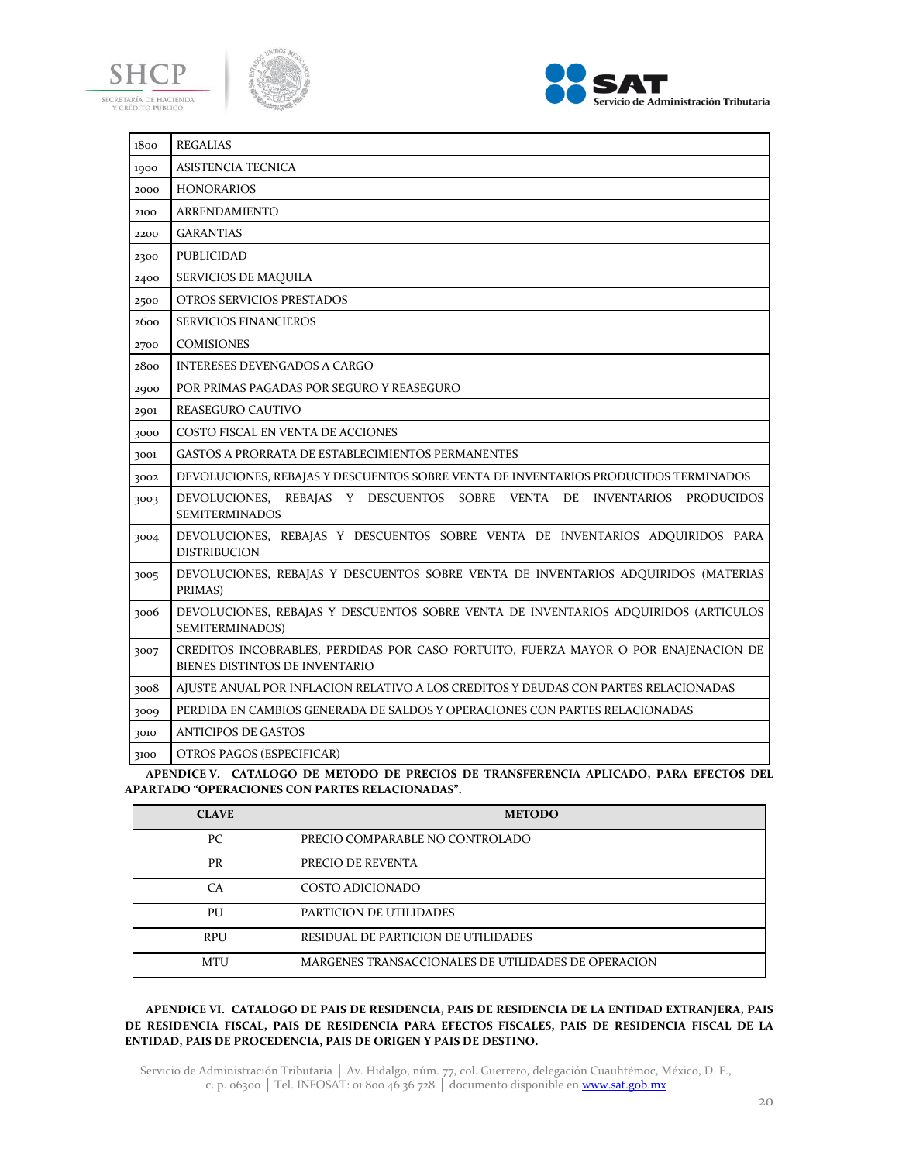





| 1800 | <b>REGALIAS</b>                                                                                                       |
|------|-----------------------------------------------------------------------------------------------------------------------|
| 1900 | <b>ASISTENCIA TECNICA</b>                                                                                             |
| 2000 | <b>HONORARIOS</b>                                                                                                     |
| 2100 | <b>ARRENDAMIENTO</b>                                                                                                  |
| 2200 | <b>GARANTIAS</b>                                                                                                      |
| 2300 | PUBLICIDAD                                                                                                            |
| 2400 | SERVICIOS DE MAQUILA                                                                                                  |
| 2500 | OTROS SERVICIOS PRESTADOS                                                                                             |
| 2600 | <b>SERVICIOS FINANCIEROS</b>                                                                                          |
| 2700 | <b>COMISIONES</b>                                                                                                     |
| 2800 | <b>INTERESES DEVENGADOS A CARGO</b>                                                                                   |
| 2900 | POR PRIMAS PAGADAS POR SEGURO Y REASEGURO                                                                             |
| 2901 | <b>REASEGURO CAUTIVO</b>                                                                                              |
| 3000 | COSTO FISCAL EN VENTA DE ACCIONES                                                                                     |
| 3001 | <b>GASTOS A PRORRATA DE ESTABLECIMIENTOS PERMANENTES</b>                                                              |
| 3002 | DEVOLUCIONES, REBAJAS Y DESCUENTOS SOBRE VENTA DE INVENTARIOS PRODUCIDOS TERMINADOS                                   |
| 3003 | DEVOLUCIONES, REBAJAS Y DESCUENTOS SOBRE VENTA DE INVENTARIOS PRODUCIDOS<br><b>SEMITERMINADOS</b>                     |
| 3004 | DEVOLUCIONES, REBAJAS Y DESCUENTOS SOBRE VENTA DE INVENTARIOS ADQUIRIDOS PARA<br><b>DISTRIBUCION</b>                  |
| 3005 | DEVOLUCIONES, REBAJAS Y DESCUENTOS SOBRE VENTA DE INVENTARIOS ADQUIRIDOS (MATERIAS<br>PRIMAS)                         |
| 3006 | DEVOLUCIONES, REBAJAS Y DESCUENTOS SOBRE VENTA DE INVENTARIOS ADQUIRIDOS (ARTICULOS<br>SEMITERMINADOS)                |
| 3007 | CREDITOS INCOBRABLES, PERDIDAS POR CASO FORTUITO, FUERZA MAYOR O POR ENAJENACION DE<br>BIENES DISTINTOS DE INVENTARIO |
| 3008 | AJUSTE ANUAL POR INFLACION RELATIVO A LOS CREDITOS Y DEUDAS CON PARTES RELACIONADAS                                   |
| 3009 | PERDIDA EN CAMBIOS GENERADA DE SALDOS Y OPERACIONES CON PARTES RELACIONADAS                                           |
| 3010 | <b>ANTICIPOS DE GASTOS</b>                                                                                            |
| 3100 | OTROS PAGOS (ESPECIFICAR)                                                                                             |

**APENDICE V. CATALOGO DE METODO DE PRECIOS DE TRANSFERENCIA APLICADO, PARA EFECTOS DEL APARTADO "OPERACIONES CON PARTES RELACIONADAS".**

| <b>CLAVE</b> | <b>METODO</b>                                       |
|--------------|-----------------------------------------------------|
| PС           | PRECIO COMPARABLE NO CONTROLADO                     |
| PR           | PRECIO DE REVENTA                                   |
| CА           | COSTO ADICIONADO                                    |
| PU           | PARTICION DE UTILIDADES                             |
| <b>RPU</b>   | RESIDUAL DE PARTICION DE UTILIDADES                 |
| <b>MTU</b>   | MARGENES TRANSACCIONALES DE UTILIDADES DE OPERACION |

# **APENDICE VI. CATALOGO DE PAIS DE RESIDENCIA, PAIS DE RESIDENCIA DE LA ENTIDAD EXTRANJERA, PAIS DE RESIDENCIA FISCAL, PAIS DE RESIDENCIA PARA EFECTOS FISCALES, PAIS DE RESIDENCIA FISCAL DE LA ENTIDAD, PAIS DE PROCEDENCIA, PAIS DE ORIGEN Y PAIS DE DESTINO.**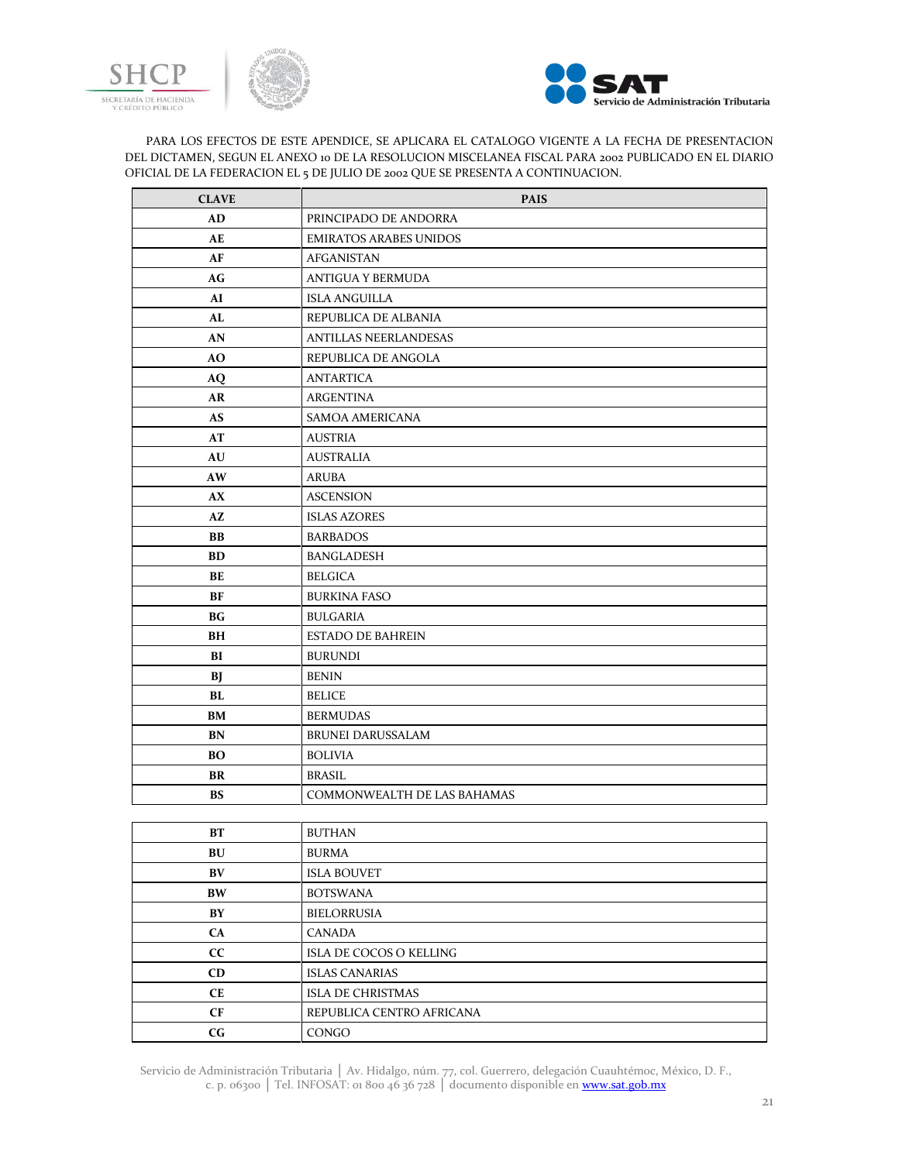





PARA LOS EFECTOS DE ESTE APENDICE, SE APLICARA EL CATALOGO VIGENTE A LA FECHA DE PRESENTACION DEL DICTAMEN, SEGUN EL ANEXO 10 DE LA RESOLUCION MISCELANEA FISCAL PARA 2002 PUBLICADO EN EL DIARIO OFICIAL DE LA FEDERACION EL 5 DE JULIO DE 2002 QUE SE PRESENTA A CONTINUACION.

| <b>CLAVE</b> | <b>PAIS</b>                   |
|--------------|-------------------------------|
| AD           | PRINCIPADO DE ANDORRA         |
| AE           | <b>EMIRATOS ARABES UNIDOS</b> |
| AF           | <b>AFGANISTAN</b>             |
| AG           | <b>ANTIGUA Y BERMUDA</b>      |
| AI           | <b>ISLA ANGUILLA</b>          |
| AL           | REPUBLICA DE ALBANIA          |
| AN           | <b>ANTILLAS NEERLANDESAS</b>  |
| AO           | REPUBLICA DE ANGOLA           |
| AQ           | <b>ANTARTICA</b>              |
| AR           | <b>ARGENTINA</b>              |
| <b>AS</b>    | <b>SAMOA AMERICANA</b>        |
| AT           | <b>AUSTRIA</b>                |
| AU           | <b>AUSTRALIA</b>              |
| AW           | <b>ARUBA</b>                  |
| AX           | <b>ASCENSION</b>              |
| AZ           | <b>ISLAS AZORES</b>           |
| BB           | <b>BARBADOS</b>               |
| <b>BD</b>    | <b>BANGLADESH</b>             |
| BE           | <b>BELGICA</b>                |
| BF           | <b>BURKINA FASO</b>           |
| <b>BG</b>    | <b>BULGARIA</b>               |
| BH           | <b>ESTADO DE BAHREIN</b>      |
| BI           | <b>BURUNDI</b>                |
| BJ           | <b>BENIN</b>                  |
| BL           | <b>BELICE</b>                 |
| BM           | <b>BERMUDAS</b>               |
| <b>BN</b>    | <b>BRUNEI DARUSSALAM</b>      |
| <b>BO</b>    | <b>BOLIVIA</b>                |
| BR           | <b>BRASIL</b>                 |
| <b>BS</b>    | COMMONWEALTH DE LAS BAHAMAS   |
|              |                               |
| BT           | <b>BUTHAN</b>                 |
| BU           | <b>BURMA</b>                  |
| BV           | <b>ISLA BOUVET</b>            |
| <b>BW</b>    | <b>BOTSWANA</b>               |

**BY** BIELORRUSIA **CA** CANADA **CC** ISLA DE COCOS O KELLING **CD** ISLAS CANARIAS **CE** ISLA DE CHRISTMAS **CF** REPUBLICA CENTRO AFRICANA **CG** CONGO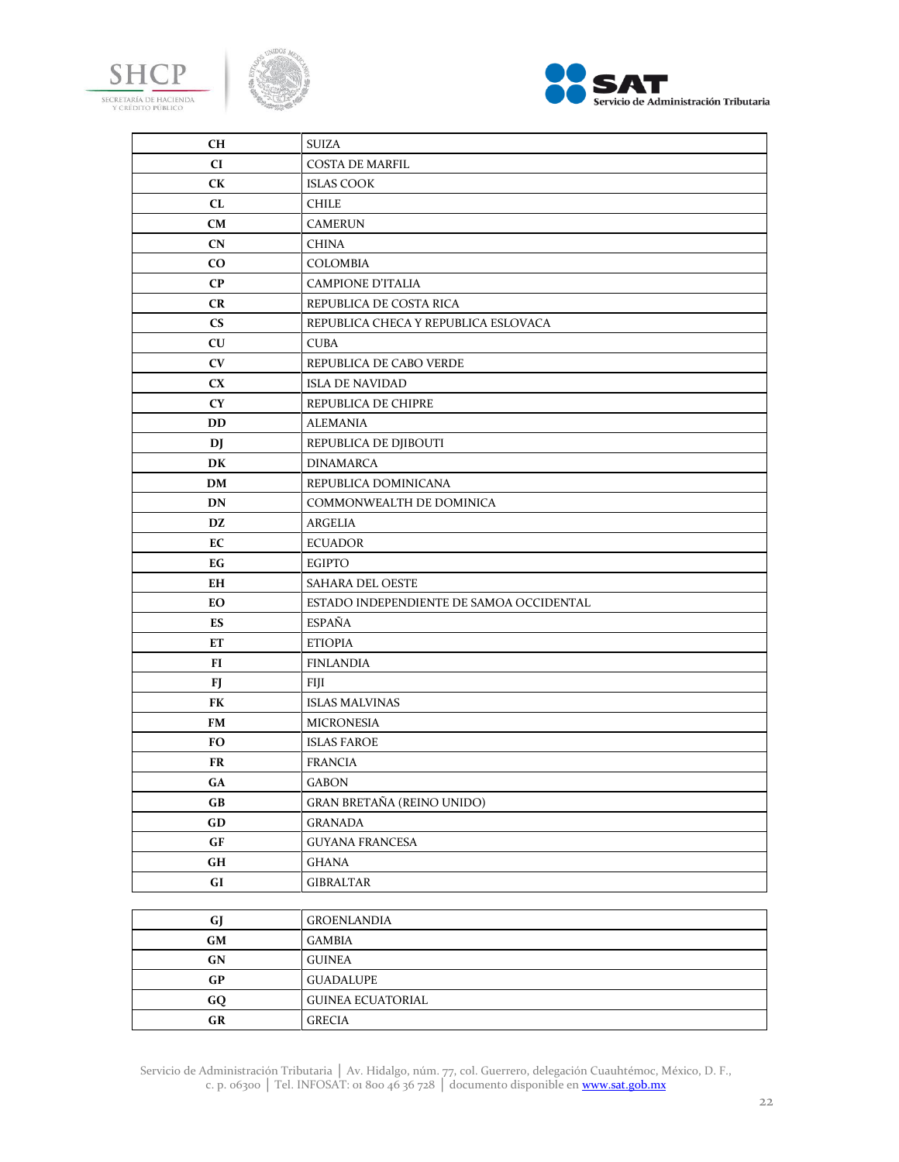





| CН                     | <b>SUIZA</b>                             |
|------------------------|------------------------------------------|
| CI                     | <b>COSTA DE MARFIL</b>                   |
| <b>CK</b>              | <b>ISLAS COOK</b>                        |
| CL                     | <b>CHILE</b>                             |
| CM                     | <b>CAMERUN</b>                           |
| <b>CN</b>              | <b>CHINA</b>                             |
| CO.                    | COLOMBIA                                 |
| $\bf CP$               | <b>CAMPIONE D'ITALIA</b>                 |
| <b>CR</b>              | REPUBLICA DE COSTA RICA                  |
| $\mathbf{C}\mathbf{S}$ | REPUBLICA CHECA Y REPUBLICA ESLOVACA     |
| <b>CU</b>              | <b>CUBA</b>                              |
| <b>CV</b>              | REPUBLICA DE CABO VERDE                  |
| CX                     | <b>ISLA DE NAVIDAD</b>                   |
| <b>CY</b>              | REPUBLICA DE CHIPRE                      |
| <b>DD</b>              | <b>ALEMANIA</b>                          |
| DJ                     | REPUBLICA DE DJIBOUTI                    |
| DK                     | <b>DINAMARCA</b>                         |
| DM                     | REPUBLICA DOMINICANA                     |
| DN                     | COMMONWEALTH DE DOMINICA                 |
| DZ                     | ARGELIA                                  |
| EC                     | <b>ECUADOR</b>                           |
| EG                     | <b>EGIPTO</b>                            |
| EН                     | SAHARA DEL OESTE                         |
| EО                     | ESTADO INDEPENDIENTE DE SAMOA OCCIDENTAL |
| ES                     | <b>ESPAÑA</b>                            |
| ET                     | <b>ETIOPIA</b>                           |
| FI                     | <b>FINLANDIA</b>                         |
| FJ                     | <b>FIJI</b>                              |
| FK                     | <b>ISLAS MALVINAS</b>                    |
| FM                     | <b>MICRONESIA</b>                        |
| FO.                    | <b>ISLAS FAROE</b>                       |
| FR                     | <b>FRANCIA</b>                           |
| GA                     | <b>GABON</b>                             |
| $G$ B                  | <b>GRAN BRETAÑA (REINO UNIDO)</b>        |
| GD                     | <b>GRANADA</b>                           |
| $\bf{G} \bf{F}$        | <b>GUYANA FRANCESA</b>                   |
| $\mathbf{G}\mathbf{H}$ | GHANA                                    |
| ${\bf G}{\bf I}$       | <b>GIBRALTAR</b>                         |
|                        |                                          |
| GJ                     | <b>GROENLANDIA</b>                       |
| GM                     | GAMBIA                                   |
| GN                     | <b>GUINEA</b>                            |
| $\bf GP$               | <b>GUADALUPE</b>                         |
| ${\bf G}{\bf Q}$       | <b>GUINEA ECUATORIAL</b>                 |

**GR** GRECIA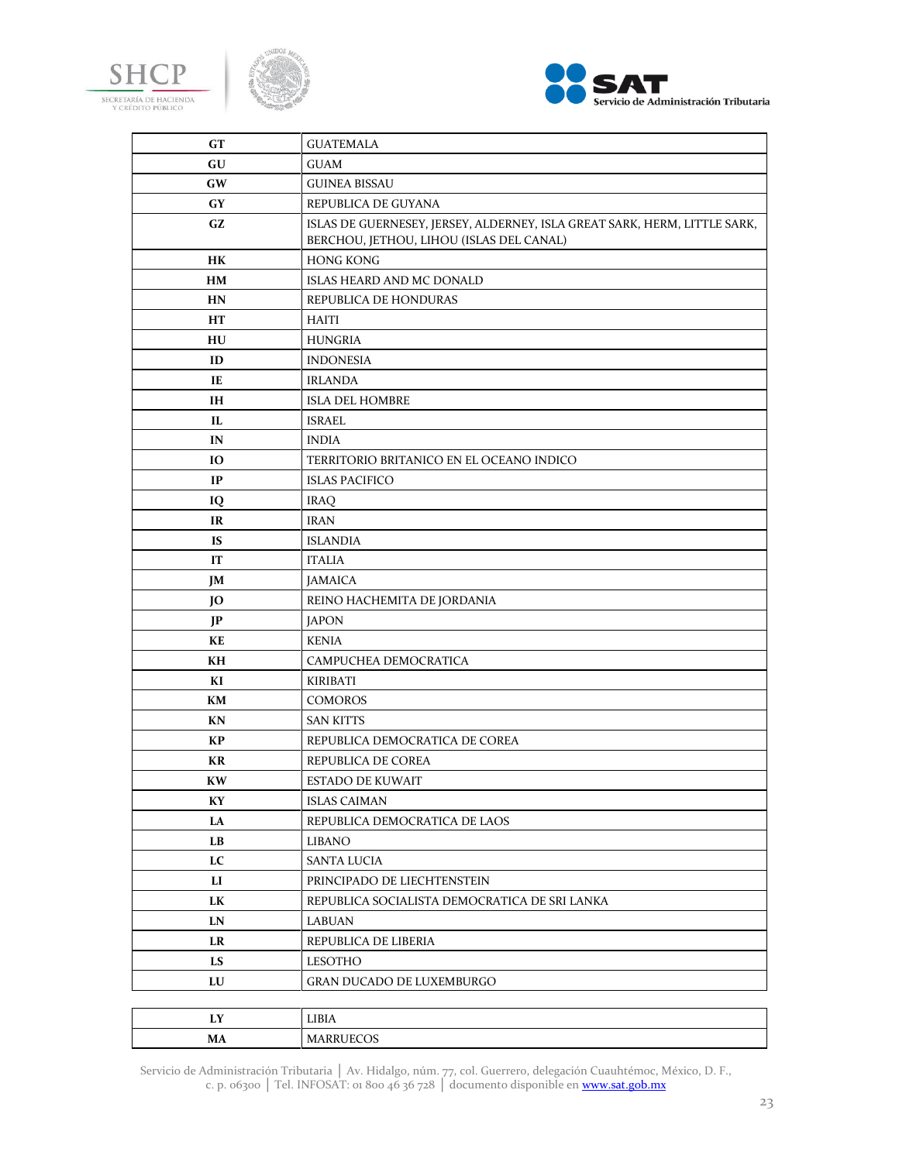





| GT        | <b>GUATEMALA</b>                                                          |
|-----------|---------------------------------------------------------------------------|
| GU        | <b>GUAM</b>                                                               |
| GW        | <b>GUINEA BISSAU</b>                                                      |
| GY        | REPUBLICA DE GUYANA                                                       |
| GZ        | ISLAS DE GUERNESEY, JERSEY, ALDERNEY, ISLA GREAT SARK, HERM, LITTLE SARK, |
|           | BERCHOU, JETHOU, LIHOU (ISLAS DEL CANAL)                                  |
| HK        | <b>HONG KONG</b>                                                          |
| HМ        | ISLAS HEARD AND MC DONALD                                                 |
| HN        | REPUBLICA DE HONDURAS                                                     |
| HT        | <b>HAITI</b>                                                              |
| HU        | <b>HUNGRIA</b>                                                            |
| ID        | <b>INDONESIA</b>                                                          |
| IE        | <b>IRLANDA</b>                                                            |
| <b>IH</b> | <b>ISLA DEL HOMBRE</b>                                                    |
| IL        | <b>ISRAEL</b>                                                             |
| IN        | <b>INDIA</b>                                                              |
| IO        | TERRITORIO BRITANICO EN EL OCEANO INDICO                                  |
| IP        | <b>ISLAS PACIFICO</b>                                                     |
| IQ        | <b>IRAQ</b>                                                               |
| IR        | <b>IRAN</b>                                                               |
| <b>IS</b> | <b>ISLANDIA</b>                                                           |
| IT        | <b>ITALIA</b>                                                             |
| JM        | <b>JAMAICA</b>                                                            |
| JO        | REINO HACHEMITA DE JORDANIA                                               |
| JP        | <b>JAPON</b>                                                              |
| KE        | <b>KENIA</b>                                                              |
| KH        | CAMPUCHEA DEMOCRATICA                                                     |
| KI        | <b>KIRIBATI</b>                                                           |
| KM        | <b>COMOROS</b>                                                            |
| KN        | <b>SAN KITTS</b>                                                          |
| KP        | REPUBLICA DEMOCRATICA DE COREA                                            |
| KR        | REPUBLICA DE COREA                                                        |
| <b>KW</b> | <b>ESTADO DE KUWAIT</b>                                                   |
| KY        | <b>ISLAS CAIMAN</b>                                                       |
| LA        | REPUBLICA DEMOCRATICA DE LAOS                                             |
| LB        | <b>LIBANO</b>                                                             |
| LC        | <b>SANTA LUCIA</b>                                                        |
| LI        | PRINCIPADO DE LIECHTENSTEIN                                               |
| LK        | REPUBLICA SOCIALISTA DEMOCRATICA DE SRI LANKA                             |
| LN        | <b>LABUAN</b>                                                             |
| LR        | REPUBLICA DE LIBERIA                                                      |
| LS        | <b>LESOTHO</b>                                                            |
| LU        | <b>GRAN DUCADO DE LUXEMBURGO</b>                                          |
|           |                                                                           |
| LY        | LIBIA                                                                     |
| MA        | <b>MARRUECOS</b>                                                          |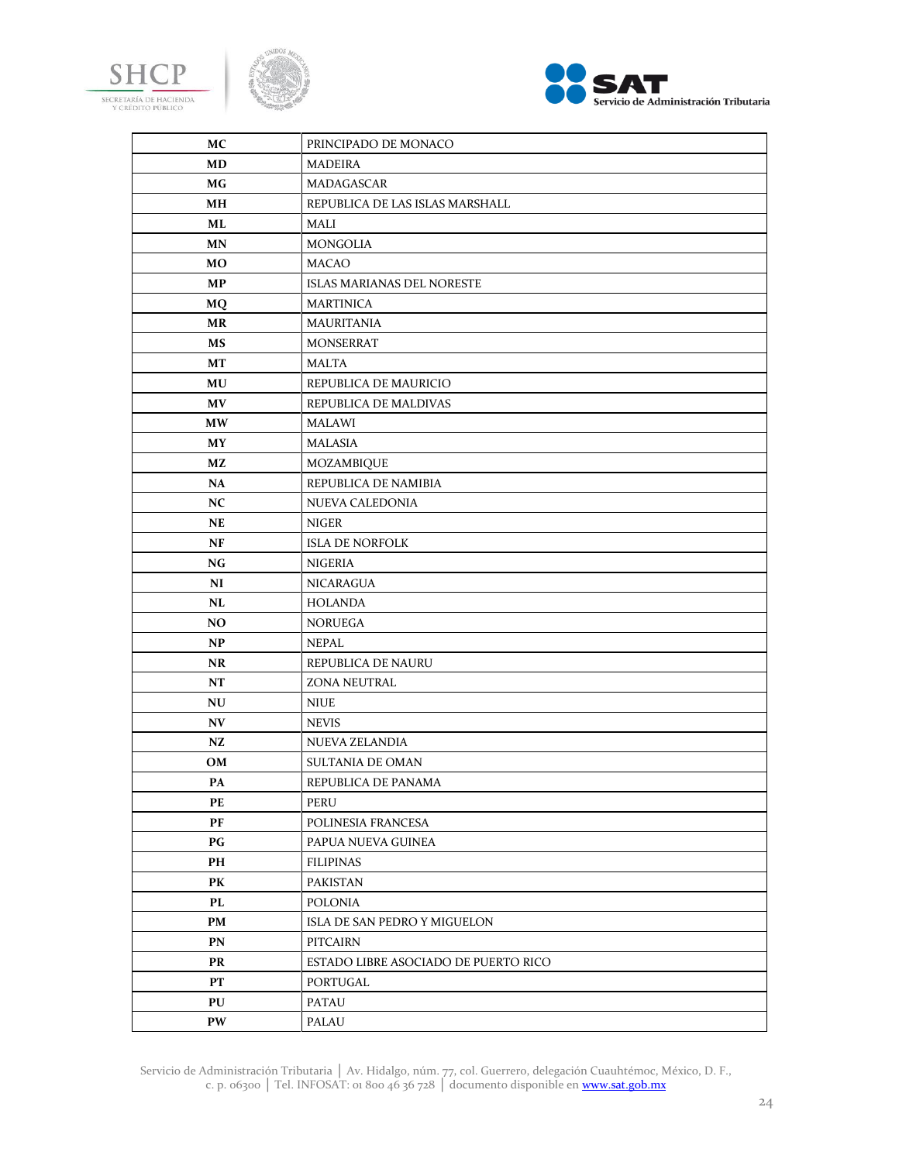





| МC                     | PRINCIPADO DE MONACO                 |
|------------------------|--------------------------------------|
| MD                     | <b>MADEIRA</b>                       |
| МG                     | MADAGASCAR                           |
| MН                     | REPUBLICA DE LAS ISLAS MARSHALL      |
| ML                     | MALI                                 |
| <b>MN</b>              | <b>MONGOLIA</b>                      |
| MO                     | <b>MACAO</b>                         |
| MP                     | <b>ISLAS MARIANAS DEL NORESTE</b>    |
| <b>MQ</b>              | <b>MARTINICA</b>                     |
| <b>MR</b>              | <b>MAURITANIA</b>                    |
| MS                     | <b>MONSERRAT</b>                     |
| MT                     | <b>MALTA</b>                         |
| MU                     | REPUBLICA DE MAURICIO                |
| <b>MV</b>              | REPUBLICA DE MALDIVAS                |
| <b>MW</b>              | <b>MALAWI</b>                        |
| <b>MY</b>              | <b>MALASIA</b>                       |
| МZ                     | MOZAMBIQUE                           |
| <b>NA</b>              | REPUBLICA DE NAMIBIA                 |
| NC                     | NUEVA CALEDONIA                      |
| NE                     | <b>NIGER</b>                         |
| NF                     | <b>ISLA DE NORFOLK</b>               |
| NG                     | <b>NIGERIA</b>                       |
| NI                     | <b>NICARAGUA</b>                     |
| NL                     | <b>HOLANDA</b>                       |
| N <sub>O</sub>         | <b>NORUEGA</b>                       |
| <b>NP</b>              | <b>NEPAL</b>                         |
| <b>NR</b>              | REPUBLICA DE NAURU                   |
| NT                     | <b>ZONA NEUTRAL</b>                  |
| NU                     | <b>NIUE</b>                          |
| N V                    | <b>NEVIS</b>                         |
| NZ                     | NUEVA ZELANDIA                       |
| OM                     | SULTANIA DE OMAN                     |
| PA                     | REPUBLICA DE PANAMA                  |
| PЕ                     | PERU                                 |
| PF                     | POLINESIA FRANCESA                   |
| $\mathbf{P}\mathbf{G}$ | PAPUA NUEVA GUINEA                   |
| PH                     | <b>FILIPINAS</b>                     |
| PK                     | <b>PAKISTAN</b>                      |
| PL                     | <b>POLONIA</b>                       |
| PM                     | ISLA DE SAN PEDRO Y MIGUELON         |
| PN                     | PITCAIRN                             |
| PR                     | ESTADO LIBRE ASOCIADO DE PUERTO RICO |
| PT                     | PORTUGAL                             |
| PU                     | <b>PATAU</b>                         |
| PW                     | PALAU                                |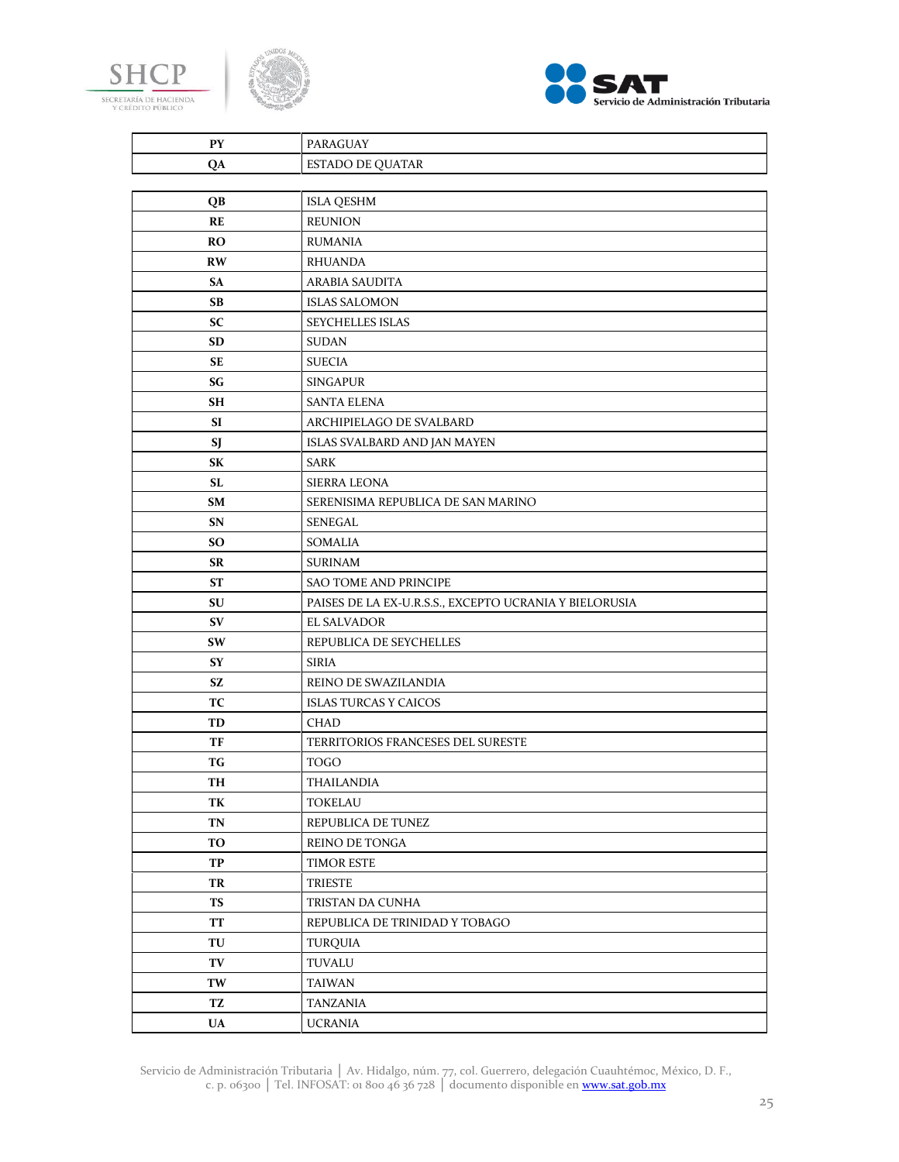





| <b>PY</b>     | PARAGUAY                                               |
|---------------|--------------------------------------------------------|
| QA            | <b>ESTADO DE QUATAR</b>                                |
|               |                                                        |
| QB            | <b>ISLA QESHM</b>                                      |
| RE            | <b>REUNION</b>                                         |
| <b>RO</b>     | <b>RUMANIA</b>                                         |
| <b>RW</b>     | <b>RHUANDA</b>                                         |
| SA            | ARABIA SAUDITA                                         |
| <b>SB</b>     | <b>ISLAS SALOMON</b>                                   |
| SC            | SEYCHELLES ISLAS                                       |
| SD            | <b>SUDAN</b>                                           |
| SE            | <b>SUECIA</b>                                          |
| SG            | <b>SINGAPUR</b>                                        |
| SН            | <b>SANTA ELENA</b>                                     |
| SI            | ARCHIPIELAGO DE SVALBARD                               |
| SJ            | ISLAS SVALBARD AND JAN MAYEN                           |
| SК            | <b>SARK</b>                                            |
| SL            | <b>SIERRA LEONA</b>                                    |
| SM            | SERENISIMA REPUBLICA DE SAN MARINO                     |
| SN            | <b>SENEGAL</b>                                         |
| <b>SO</b>     | <b>SOMALIA</b>                                         |
| SR            | <b>SURINAM</b>                                         |
| <b>ST</b>     | SAO TOME AND PRINCIPE                                  |
| SU            | PAISES DE LA EX-U.R.S.S., EXCEPTO UCRANIA Y BIELORUSIA |
| SV            | <b>EL SALVADOR</b>                                     |
| SW            | REPUBLICA DE SEYCHELLES                                |
| <b>SY</b>     | <b>SIRIA</b>                                           |
| <b>SZ</b>     | REINO DE SWAZILANDIA                                   |
| ТC            | <b>ISLAS TURCAS Y CAICOS</b>                           |
| TD            | <b>CHAD</b>                                            |
| TF            | TERRITORIOS FRANCESES DEL SURESTE                      |
| TG            | <b>TOGO</b>                                            |
| TH            | THAILANDIA                                             |
| TК            | <b>TOKELAU</b>                                         |
| TN            | REPUBLICA DE TUNEZ                                     |
| TO            | REINO DE TONGA                                         |
| TP            | TIMOR ESTE                                             |
| TR            | <b>TRIESTE</b>                                         |
| <b>TS</b>     | TRISTAN DA CUNHA                                       |
| <b>TT</b>     | REPUBLICA DE TRINIDAD Y TOBAGO                         |
| TU            | <b>TURQUIA</b>                                         |
| TV            | TUVALU                                                 |
| TW            | TAIWAN                                                 |
| TZ            | <b>TANZANIA</b>                                        |
| $\mathbf{UA}$ | <b>UCRANIA</b>                                         |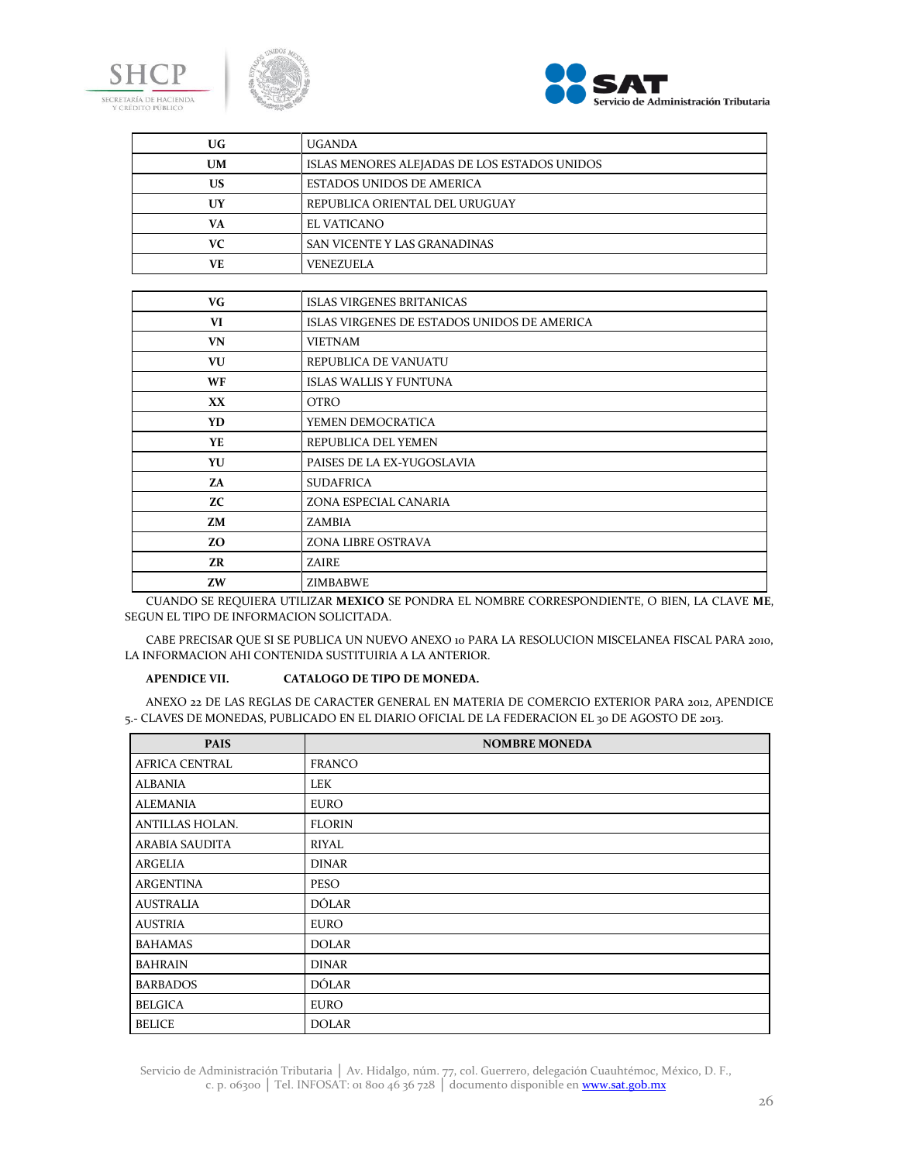





| UG        | <b>UGANDA</b>                                |
|-----------|----------------------------------------------|
| <b>UM</b> | ISLAS MENORES ALEJADAS DE LOS ESTADOS UNIDOS |
| <b>US</b> | <b>ESTADOS UNIDOS DE AMERICA</b>             |
| <b>UY</b> | REPUBLICA ORIENTAL DEL URUGUAY               |
| VA        | EL VATICANO                                  |
| VC.       | SAN VICENTE Y LAS GRANADINAS                 |
| VE.       | <b>VENEZUELA</b>                             |
|           |                                              |
| <b>VG</b> | <b>ISLAS VIRGENES BRITANICAS</b>             |
| VI        | ISLAS VIRGENES DE ESTADOS UNIDOS DE AMERICA  |
| <b>VN</b> | <b>VIETNAM</b>                               |
| VU        | REPUBLICA DE VANUATU                         |
| <b>WF</b> | <b>ISLAS WALLIS Y FUNTUNA</b>                |
| XX.       | <b>OTRO</b>                                  |
| YD.       | YEMEN DEMOCRATICA                            |
| YE.       | REPUBLICA DEL YEMEN                          |
| YU        | PAISES DE LA EX-YUGOSLAVIA                   |
| 7A        | <b>SUDAFRICA</b>                             |
| ZC.       | ZONA ESPECIAL CANARIA                        |
| <b>ZM</b> | <b>ZAMBIA</b>                                |
| ZO.       | ZONA LIBRE OSTRAVA                           |
| <b>ZR</b> | <b>ZAIRE</b>                                 |
| <b>ZW</b> | ZIMBABWE                                     |

CUANDO SE REQUIERA UTILIZAR **MEXICO** SE PONDRA EL NOMBRE CORRESPONDIENTE, O BIEN, LA CLAVE **ME**, SEGUN EL TIPO DE INFORMACION SOLICITADA.

CABE PRECISAR QUE SI SE PUBLICA UN NUEVO ANEXO 10 PARA LA RESOLUCION MISCELANEA FISCAL PARA 2010, LA INFORMACION AHI CONTENIDA SUSTITUIRIA A LA ANTERIOR.

### **APENDICE VII. CATALOGO DE TIPO DE MONEDA.**

ANEXO 22 DE LAS REGLAS DE CARACTER GENERAL EN MATERIA DE COMERCIO EXTERIOR PARA 2012, APENDICE 5.- CLAVES DE MONEDAS, PUBLICADO EN EL DIARIO OFICIAL DE LA FEDERACION EL 30 DE AGOSTO DE 2013.

| <b>PAIS</b>           | <b>NOMBRE MONEDA</b> |
|-----------------------|----------------------|
| <b>AFRICA CENTRAL</b> | <b>FRANCO</b>        |
| <b>ALBANIA</b>        | LEK                  |
| <b>ALEMANIA</b>       | EURO                 |
| ANTILLAS HOLAN.       | <b>FLORIN</b>        |
| <b>ARABIA SAUDITA</b> | RIYAL                |
| ARGELIA               | <b>DINAR</b>         |
| <b>ARGENTINA</b>      | <b>PESO</b>          |
| <b>AUSTRALIA</b>      | DÓLAR                |
| AUSTRIA               | EURO                 |
| <b>BAHAMAS</b>        | <b>DOLAR</b>         |
| <b>BAHRAIN</b>        | <b>DINAR</b>         |
| <b>BARBADOS</b>       | <b>DÓLAR</b>         |
| <b>BELGICA</b>        | EURO                 |
| <b>BELICE</b>         | <b>DOLAR</b>         |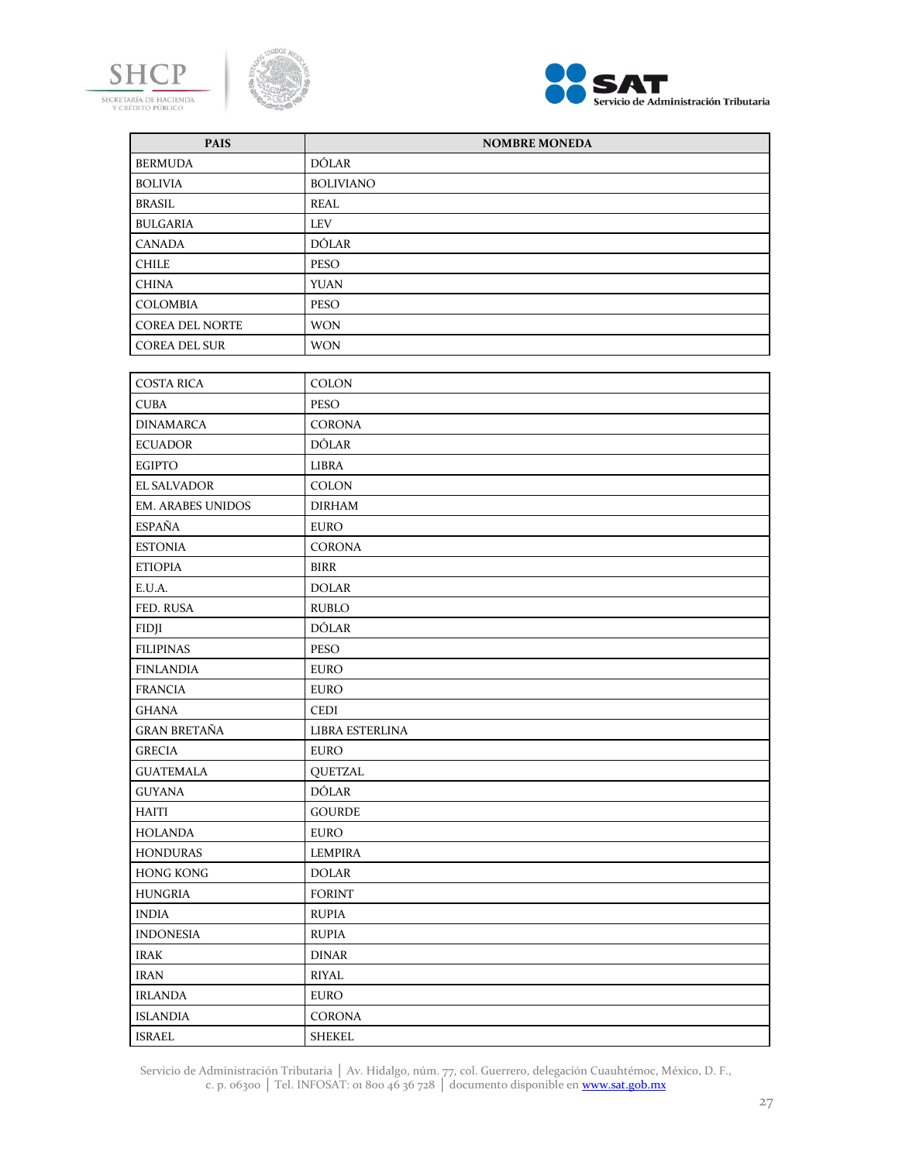





| <b>PAIS</b>              | <b>NOMBRE MONEDA</b> |
|--------------------------|----------------------|
| <b>BERMUDA</b>           | <b>DÓLAR</b>         |
| <b>BOLIVIA</b>           | <b>BOLIVIANO</b>     |
| <b>BRASIL</b>            | REAL                 |
| <b>BULGARIA</b>          | <b>LEV</b>           |
| <b>CANADA</b>            | <b>DÓLAR</b>         |
| <b>CHILE</b>             | <b>PESO</b>          |
| <b>CHINA</b>             | <b>YUAN</b>          |
| <b>COLOMBIA</b>          | <b>PESO</b>          |
| <b>COREA DEL NORTE</b>   | <b>WON</b>           |
| <b>COREA DEL SUR</b>     | <b>WON</b>           |
|                          |                      |
| <b>COSTA RICA</b>        | COLON                |
| <b>CUBA</b>              | <b>PESO</b>          |
| <b>DINAMARCA</b>         | <b>CORONA</b>        |
| <b>ECUADOR</b>           | DÓLAR                |
| <b>EGIPTO</b>            | LIBRA                |
| <b>EL SALVADOR</b>       | COLON                |
| <b>EM. ARABES UNIDOS</b> | <b>DIRHAM</b>        |
| <b>ESPAÑA</b>            | <b>EURO</b>          |
| <b>ESTONIA</b>           | <b>CORONA</b>        |
| <b>ETIOPIA</b>           | <b>BIRR</b>          |
| E.U.A.                   | <b>DOLAR</b>         |
| FED. RUSA                | <b>RUBLO</b>         |
| FIDJI                    | <b>DÓLAR</b>         |
| <b>FILIPINAS</b>         | <b>PESO</b>          |
| <b>FINLANDIA</b>         | <b>EURO</b>          |
| <b>FRANCIA</b>           | <b>EURO</b>          |
| GHANA                    | CEDI                 |
| <b>GRAN BRETAÑA</b>      | LIBRA ESTERLINA      |
| <b>GRECIA</b>            | <b>EURO</b>          |
| <b>GUATEMALA</b>         | <b>QUETZAL</b>       |
| <b>GUYANA</b>            | DÓLAR                |
| HAITI                    | <b>GOURDE</b>        |
| <b>HOLANDA</b>           | <b>EURO</b>          |
| <b>HONDURAS</b>          | <b>LEMPIRA</b>       |
| <b>HONG KONG</b>         | <b>DOLAR</b>         |
| <b>HUNGRIA</b>           | <b>FORINT</b>        |
| <b>INDIA</b>             | <b>RUPIA</b>         |
| <b>INDONESIA</b>         | <b>RUPIA</b>         |
| <b>IRAK</b>              | <b>DINAR</b>         |
| <b>IRAN</b>              | RIYAL                |
| <b>IRLANDA</b>           | <b>EURO</b>          |
| <b>ISLANDIA</b>          | CORONA               |
| ISRAEL                   | SHEKEL               |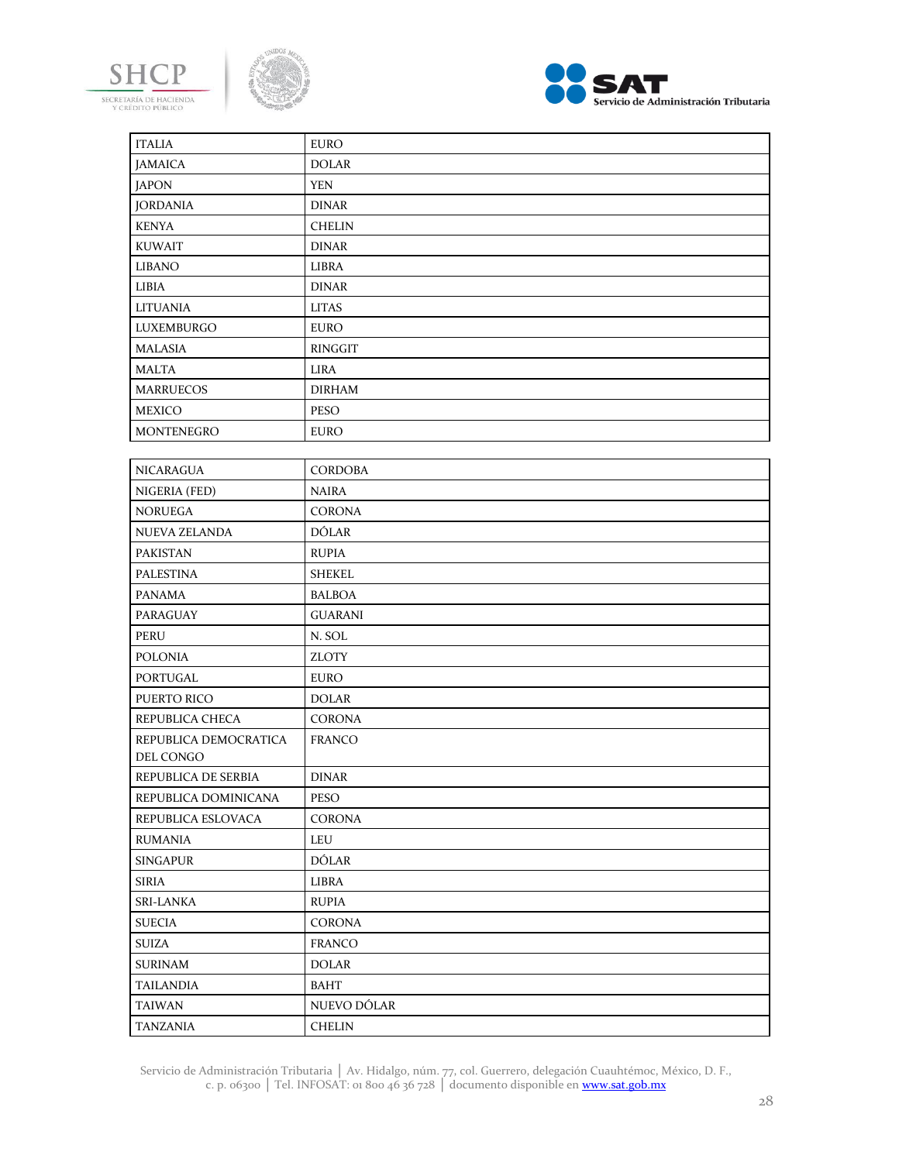





| <b>ITALIA</b>                      | <b>EURO</b>    |
|------------------------------------|----------------|
| <b>JAMAICA</b>                     | <b>DOLAR</b>   |
| <b>JAPON</b>                       | <b>YEN</b>     |
| <b>JORDANIA</b>                    | <b>DINAR</b>   |
| <b>KENYA</b>                       | <b>CHELIN</b>  |
| <b>KUWAIT</b>                      | <b>DINAR</b>   |
| <b>LIBANO</b>                      | LIBRA          |
| LIBIA                              | <b>DINAR</b>   |
| <b>LITUANIA</b>                    | <b>LITAS</b>   |
| LUXEMBURGO                         | <b>EURO</b>    |
| <b>MALASIA</b>                     | RINGGIT        |
| <b>MALTA</b>                       | LIRA           |
| <b>MARRUECOS</b>                   | <b>DIRHAM</b>  |
| <b>MEXICO</b>                      | <b>PESO</b>    |
| MONTENEGRO                         | <b>EURO</b>    |
|                                    |                |
| <b>NICARAGUA</b>                   | <b>CORDOBA</b> |
| NIGERIA (FED)                      | <b>NAIRA</b>   |
| <b>NORUEGA</b>                     | <b>CORONA</b>  |
| NUEVA ZELANDA                      | <b>DÓLAR</b>   |
| <b>PAKISTAN</b>                    | <b>RUPIA</b>   |
| <b>PALESTINA</b>                   | SHEKEL         |
| <b>PANAMA</b>                      | <b>BALBOA</b>  |
| PARAGUAY                           | <b>GUARANI</b> |
| <b>PERU</b>                        | N. SOL         |
| <b>POLONIA</b>                     | <b>ZLOTY</b>   |
| PORTUGAL                           | <b>EURO</b>    |
| PUERTO RICO                        | <b>DOLAR</b>   |
| REPUBLICA CHECA                    | <b>CORONA</b>  |
| REPUBLICA DEMOCRATICA<br>DEL CONGO | <b>FRANCO</b>  |
| REPUBLICA DE SERBIA                | <b>DINAR</b>   |
| REPUBLICA DOMINICANA               | PESO           |
| REPUBLICA ESLOVACA                 | <b>CORONA</b>  |
| <b>RUMANIA</b>                     | LEU            |
| <b>SINGAPUR</b>                    | <b>DÓLAR</b>   |
| <b>SIRIA</b>                       | LIBRA          |
| <b>SRI-LANKA</b>                   | <b>RUPIA</b>   |
| <b>SUECIA</b>                      | <b>CORONA</b>  |
| <b>SUIZA</b>                       | <b>FRANCO</b>  |
| <b>SURINAM</b>                     | <b>DOLAR</b>   |
| <b>TAILANDIA</b>                   | <b>BAHT</b>    |
| <b>TAIWAN</b>                      | NUEVO DÓLAR    |
| <b>TANZANIA</b>                    | <b>CHELIN</b>  |